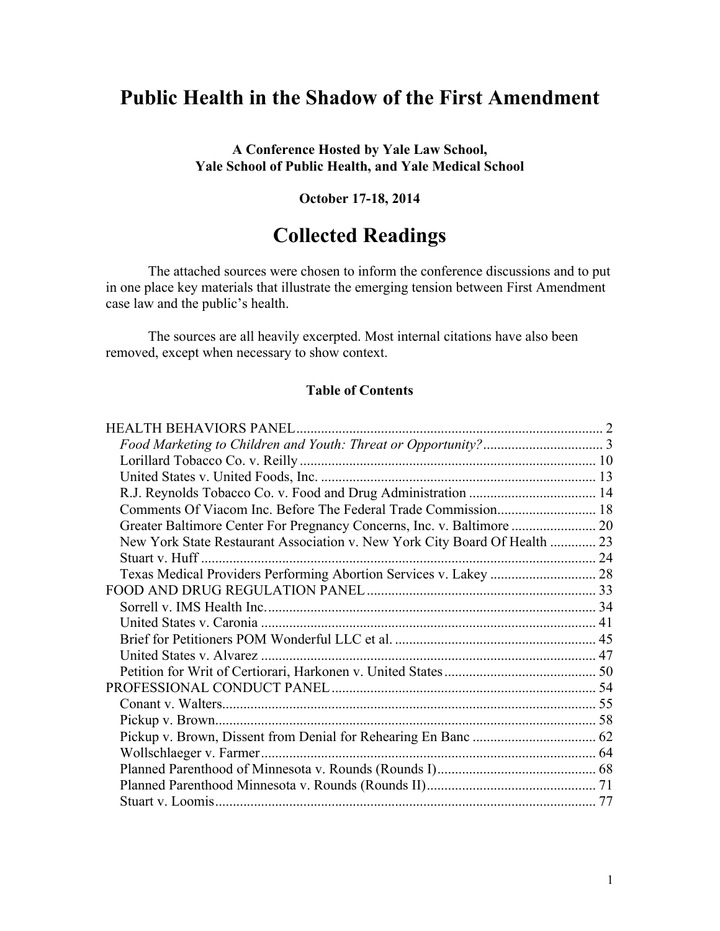# **Public Health in the Shadow of the First Amendment**

**A Conference Hosted by Yale Law School, Yale School of Public Health, and Yale Medical School**

#### **October 17-18, 2014**

# **Collected Readings**

The attached sources were chosen to inform the conference discussions and to put in one place key materials that illustrate the emerging tension between First Amendment case law and the public's health.

The sources are all heavily excerpted. Most internal citations have also been removed, except when necessary to show context.

#### **Table of Contents**

| New York State Restaurant Association v. New York City Board Of Health  23 |  |
|----------------------------------------------------------------------------|--|
| Stuart v. Huff                                                             |  |
|                                                                            |  |
|                                                                            |  |
|                                                                            |  |
|                                                                            |  |
|                                                                            |  |
|                                                                            |  |
|                                                                            |  |
|                                                                            |  |
|                                                                            |  |
|                                                                            |  |
|                                                                            |  |
|                                                                            |  |
|                                                                            |  |
|                                                                            |  |
|                                                                            |  |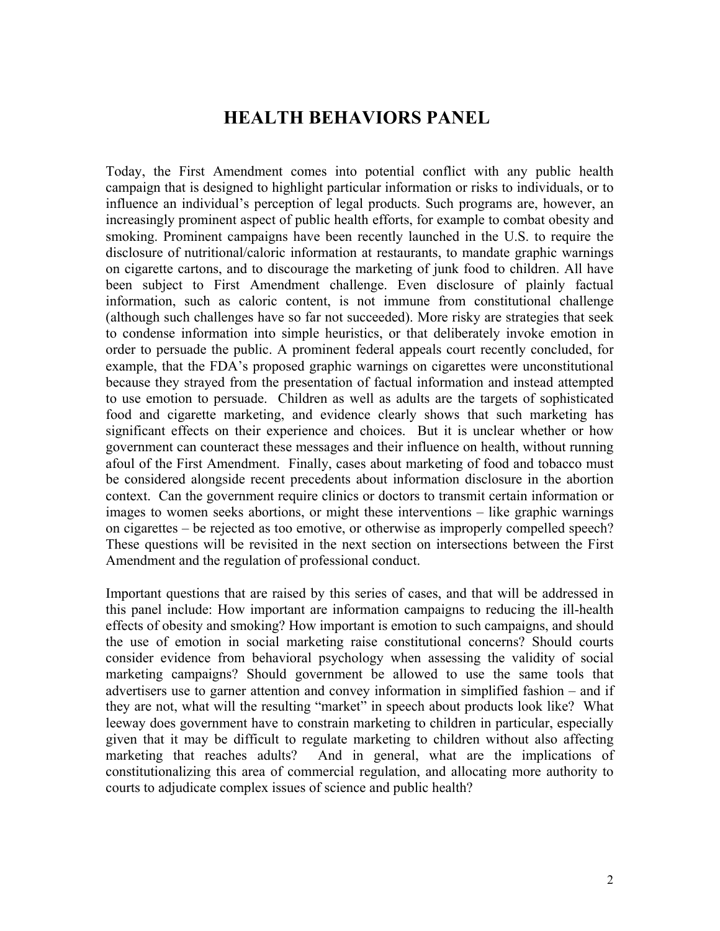# **HEALTH BEHAVIORS PANEL**

Today, the First Amendment comes into potential conflict with any public health campaign that is designed to highlight particular information or risks to individuals, or to influence an individual's perception of legal products. Such programs are, however, an increasingly prominent aspect of public health efforts, for example to combat obesity and smoking. Prominent campaigns have been recently launched in the U.S. to require the disclosure of nutritional/caloric information at restaurants, to mandate graphic warnings on cigarette cartons, and to discourage the marketing of junk food to children. All have been subject to First Amendment challenge. Even disclosure of plainly factual information, such as caloric content, is not immune from constitutional challenge (although such challenges have so far not succeeded). More risky are strategies that seek to condense information into simple heuristics, or that deliberately invoke emotion in order to persuade the public. A prominent federal appeals court recently concluded, for example, that the FDA's proposed graphic warnings on cigarettes were unconstitutional because they strayed from the presentation of factual information and instead attempted to use emotion to persuade. Children as well as adults are the targets of sophisticated food and cigarette marketing, and evidence clearly shows that such marketing has significant effects on their experience and choices. But it is unclear whether or how government can counteract these messages and their influence on health, without running afoul of the First Amendment. Finally, cases about marketing of food and tobacco must be considered alongside recent precedents about information disclosure in the abortion context. Can the government require clinics or doctors to transmit certain information or images to women seeks abortions, or might these interventions – like graphic warnings on cigarettes – be rejected as too emotive, or otherwise as improperly compelled speech? These questions will be revisited in the next section on intersections between the First Amendment and the regulation of professional conduct.

Important questions that are raised by this series of cases, and that will be addressed in this panel include: How important are information campaigns to reducing the ill-health effects of obesity and smoking? How important is emotion to such campaigns, and should the use of emotion in social marketing raise constitutional concerns? Should courts consider evidence from behavioral psychology when assessing the validity of social marketing campaigns? Should government be allowed to use the same tools that advertisers use to garner attention and convey information in simplified fashion – and if they are not, what will the resulting "market" in speech about products look like? What leeway does government have to constrain marketing to children in particular, especially given that it may be difficult to regulate marketing to children without also affecting marketing that reaches adults? And in general, what are the implications of constitutionalizing this area of commercial regulation, and allocating more authority to courts to adjudicate complex issues of science and public health?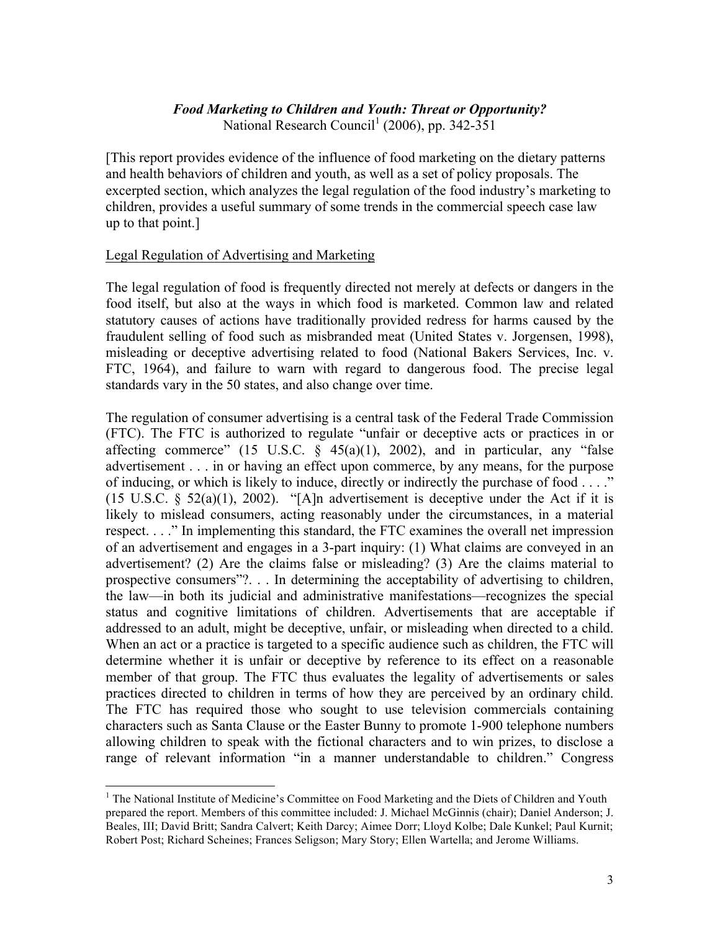## *Food Marketing to Children and Youth: Threat or Opportunity?*  National Research Council<sup>1</sup> (2006), pp. 342-351

[This report provides evidence of the influence of food marketing on the dietary patterns and health behaviors of children and youth, as well as a set of policy proposals. The excerpted section, which analyzes the legal regulation of the food industry's marketing to children, provides a useful summary of some trends in the commercial speech case law up to that point.]

#### Legal Regulation of Advertising and Marketing

The legal regulation of food is frequently directed not merely at defects or dangers in the food itself, but also at the ways in which food is marketed. Common law and related statutory causes of actions have traditionally provided redress for harms caused by the fraudulent selling of food such as misbranded meat (United States v. Jorgensen, 1998), misleading or deceptive advertising related to food (National Bakers Services, Inc. v. FTC, 1964), and failure to warn with regard to dangerous food. The precise legal standards vary in the 50 states, and also change over time.

The regulation of consumer advertising is a central task of the Federal Trade Commission (FTC). The FTC is authorized to regulate "unfair or deceptive acts or practices in or affecting commerce" (15 U.S.C.  $\S$  45(a)(1), 2002), and in particular, any "false advertisement . . . in or having an effect upon commerce, by any means, for the purpose of inducing, or which is likely to induce, directly or indirectly the purchase of food . . . ." (15 U.S.C.  $\S$  52(a)(1), 2002). "[A]n advertisement is deceptive under the Act if it is likely to mislead consumers, acting reasonably under the circumstances, in a material respect. . . ." In implementing this standard, the FTC examines the overall net impression of an advertisement and engages in a 3-part inquiry: (1) What claims are conveyed in an advertisement? (2) Are the claims false or misleading? (3) Are the claims material to prospective consumers"?. . . In determining the acceptability of advertising to children, the law—in both its judicial and administrative manifestations—recognizes the special status and cognitive limitations of children. Advertisements that are acceptable if addressed to an adult, might be deceptive, unfair, or misleading when directed to a child. When an act or a practice is targeted to a specific audience such as children, the FTC will determine whether it is unfair or deceptive by reference to its effect on a reasonable member of that group. The FTC thus evaluates the legality of advertisements or sales practices directed to children in terms of how they are perceived by an ordinary child. The FTC has required those who sought to use television commercials containing characters such as Santa Clause or the Easter Bunny to promote 1-900 telephone numbers allowing children to speak with the fictional characters and to win prizes, to disclose a range of relevant information "in a manner understandable to children." Congress

<sup>&</sup>lt;sup>1</sup> The National Institute of Medicine's Committee on Food Marketing and the Diets of Children and Youth prepared the report. Members of this committee included: J. Michael McGinnis (chair); Daniel Anderson; J. Beales, III; David Britt; Sandra Calvert; Keith Darcy; Aimee Dorr; Lloyd Kolbe; Dale Kunkel; Paul Kurnit; Robert Post; Richard Scheines; Frances Seligson; Mary Story; Ellen Wartella; and Jerome Williams.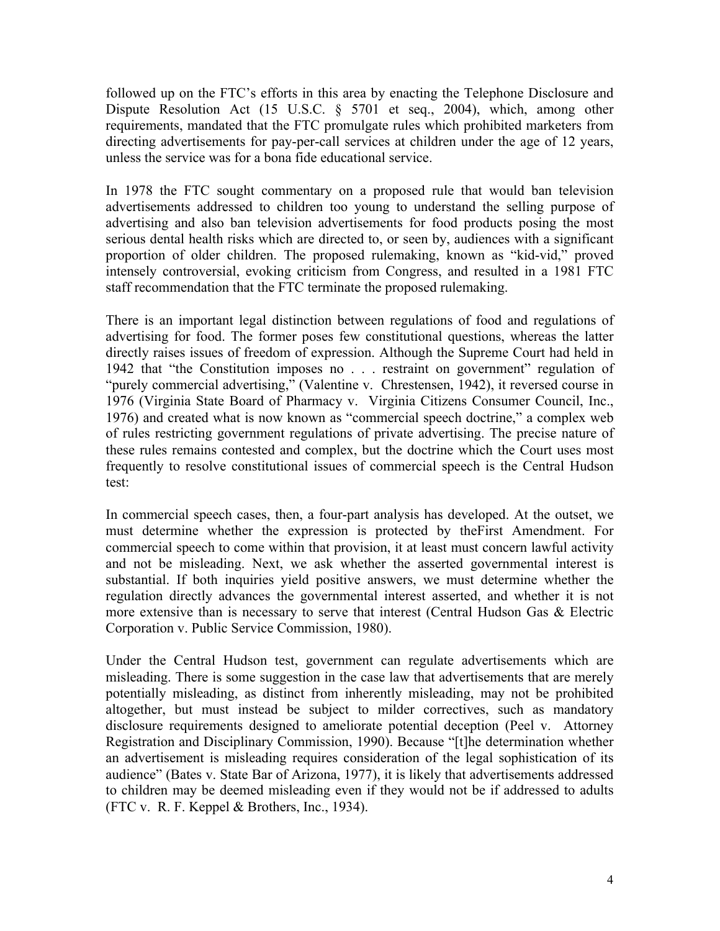followed up on the FTC's efforts in this area by enacting the Telephone Disclosure and Dispute Resolution Act (15 U.S.C. § 5701 et seq., 2004), which, among other requirements, mandated that the FTC promulgate rules which prohibited marketers from directing advertisements for pay-per-call services at children under the age of 12 years, unless the service was for a bona fide educational service.

In 1978 the FTC sought commentary on a proposed rule that would ban television advertisements addressed to children too young to understand the selling purpose of advertising and also ban television advertisements for food products posing the most serious dental health risks which are directed to, or seen by, audiences with a significant proportion of older children. The proposed rulemaking, known as "kid-vid," proved intensely controversial, evoking criticism from Congress, and resulted in a 1981 FTC staff recommendation that the FTC terminate the proposed rulemaking.

There is an important legal distinction between regulations of food and regulations of advertising for food. The former poses few constitutional questions, whereas the latter directly raises issues of freedom of expression. Although the Supreme Court had held in 1942 that "the Constitution imposes no . . . restraint on government" regulation of "purely commercial advertising," (Valentine v. Chrestensen, 1942), it reversed course in 1976 (Virginia State Board of Pharmacy v. Virginia Citizens Consumer Council, Inc., 1976) and created what is now known as "commercial speech doctrine," a complex web of rules restricting government regulations of private advertising. The precise nature of these rules remains contested and complex, but the doctrine which the Court uses most frequently to resolve constitutional issues of commercial speech is the Central Hudson test:

In commercial speech cases, then, a four-part analysis has developed. At the outset, we must determine whether the expression is protected by theFirst Amendment. For commercial speech to come within that provision, it at least must concern lawful activity and not be misleading. Next, we ask whether the asserted governmental interest is substantial. If both inquiries yield positive answers, we must determine whether the regulation directly advances the governmental interest asserted, and whether it is not more extensive than is necessary to serve that interest (Central Hudson Gas & Electric Corporation v. Public Service Commission, 1980).

Under the Central Hudson test, government can regulate advertisements which are misleading. There is some suggestion in the case law that advertisements that are merely potentially misleading, as distinct from inherently misleading, may not be prohibited altogether, but must instead be subject to milder correctives, such as mandatory disclosure requirements designed to ameliorate potential deception (Peel v. Attorney Registration and Disciplinary Commission, 1990). Because "[t]he determination whether an advertisement is misleading requires consideration of the legal sophistication of its audience" (Bates v. State Bar of Arizona, 1977), it is likely that advertisements addressed to children may be deemed misleading even if they would not be if addressed to adults (FTC v. R. F. Keppel & Brothers, Inc., 1934).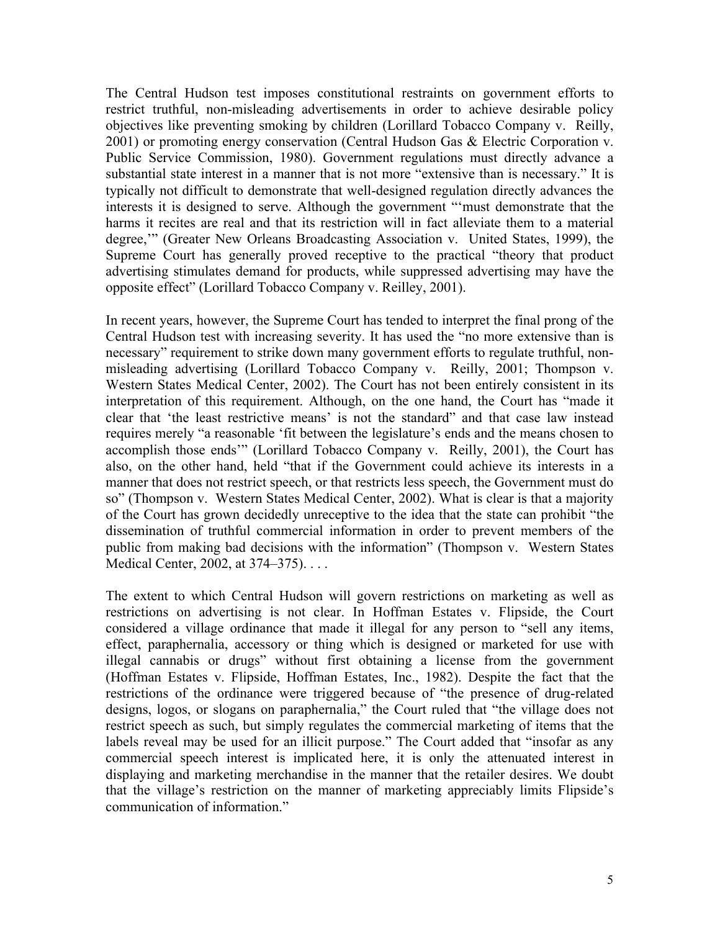The Central Hudson test imposes constitutional restraints on government efforts to restrict truthful, non-misleading advertisements in order to achieve desirable policy objectives like preventing smoking by children (Lorillard Tobacco Company v. Reilly, 2001) or promoting energy conservation (Central Hudson Gas & Electric Corporation v. Public Service Commission, 1980). Government regulations must directly advance a substantial state interest in a manner that is not more "extensive than is necessary." It is typically not difficult to demonstrate that well-designed regulation directly advances the interests it is designed to serve. Although the government "'must demonstrate that the harms it recites are real and that its restriction will in fact alleviate them to a material degree,'" (Greater New Orleans Broadcasting Association v. United States, 1999), the Supreme Court has generally proved receptive to the practical "theory that product advertising stimulates demand for products, while suppressed advertising may have the opposite effect" (Lorillard Tobacco Company v. Reilley, 2001).

In recent years, however, the Supreme Court has tended to interpret the final prong of the Central Hudson test with increasing severity. It has used the "no more extensive than is necessary" requirement to strike down many government efforts to regulate truthful, nonmisleading advertising (Lorillard Tobacco Company v. Reilly, 2001; Thompson v. Western States Medical Center, 2002). The Court has not been entirely consistent in its interpretation of this requirement. Although, on the one hand, the Court has "made it clear that 'the least restrictive means' is not the standard" and that case law instead requires merely "a reasonable 'fit between the legislature's ends and the means chosen to accomplish those ends'" (Lorillard Tobacco Company v. Reilly, 2001), the Court has also, on the other hand, held "that if the Government could achieve its interests in a manner that does not restrict speech, or that restricts less speech, the Government must do so" (Thompson v. Western States Medical Center, 2002). What is clear is that a majority of the Court has grown decidedly unreceptive to the idea that the state can prohibit "the dissemination of truthful commercial information in order to prevent members of the public from making bad decisions with the information" (Thompson v. Western States Medical Center, 2002, at 374–375). . . .

The extent to which Central Hudson will govern restrictions on marketing as well as restrictions on advertising is not clear. In Hoffman Estates v. Flipside, the Court considered a village ordinance that made it illegal for any person to "sell any items, effect, paraphernalia, accessory or thing which is designed or marketed for use with illegal cannabis or drugs" without first obtaining a license from the government (Hoffman Estates v. Flipside, Hoffman Estates, Inc., 1982). Despite the fact that the restrictions of the ordinance were triggered because of "the presence of drug-related designs, logos, or slogans on paraphernalia," the Court ruled that "the village does not restrict speech as such, but simply regulates the commercial marketing of items that the labels reveal may be used for an illicit purpose." The Court added that "insofar as any commercial speech interest is implicated here, it is only the attenuated interest in displaying and marketing merchandise in the manner that the retailer desires. We doubt that the village's restriction on the manner of marketing appreciably limits Flipside's communication of information."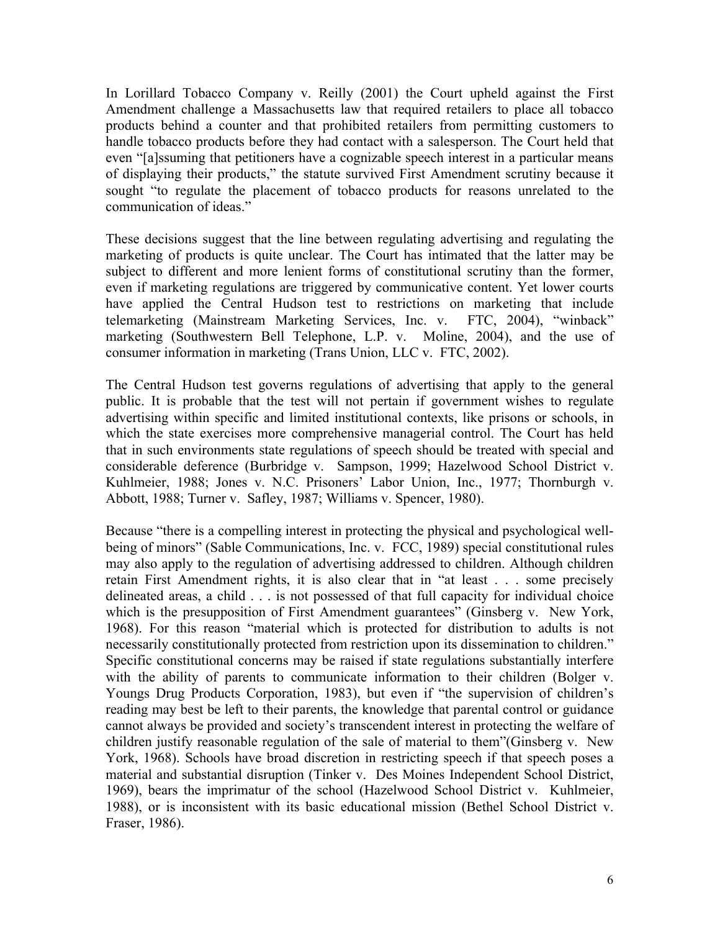In Lorillard Tobacco Company v. Reilly (2001) the Court upheld against the First Amendment challenge a Massachusetts law that required retailers to place all tobacco products behind a counter and that prohibited retailers from permitting customers to handle tobacco products before they had contact with a salesperson. The Court held that even "[a]ssuming that petitioners have a cognizable speech interest in a particular means of displaying their products," the statute survived First Amendment scrutiny because it sought "to regulate the placement of tobacco products for reasons unrelated to the communication of ideas."

These decisions suggest that the line between regulating advertising and regulating the marketing of products is quite unclear. The Court has intimated that the latter may be subject to different and more lenient forms of constitutional scrutiny than the former, even if marketing regulations are triggered by communicative content. Yet lower courts have applied the Central Hudson test to restrictions on marketing that include telemarketing (Mainstream Marketing Services, Inc. v. FTC, 2004), "winback" marketing (Southwestern Bell Telephone, L.P. v. Moline, 2004), and the use of consumer information in marketing (Trans Union, LLC v. FTC, 2002).

The Central Hudson test governs regulations of advertising that apply to the general public. It is probable that the test will not pertain if government wishes to regulate advertising within specific and limited institutional contexts, like prisons or schools, in which the state exercises more comprehensive managerial control. The Court has held that in such environments state regulations of speech should be treated with special and considerable deference (Burbridge v. Sampson, 1999; Hazelwood School District v. Kuhlmeier, 1988; Jones v. N.C. Prisoners' Labor Union, Inc., 1977; Thornburgh v. Abbott, 1988; Turner v. Safley, 1987; Williams v. Spencer, 1980).

Because "there is a compelling interest in protecting the physical and psychological wellbeing of minors" (Sable Communications, Inc. v. FCC, 1989) special constitutional rules may also apply to the regulation of advertising addressed to children. Although children retain First Amendment rights, it is also clear that in "at least . . . some precisely delineated areas, a child . . . is not possessed of that full capacity for individual choice which is the presupposition of First Amendment guarantees" (Ginsberg v. New York, 1968). For this reason "material which is protected for distribution to adults is not necessarily constitutionally protected from restriction upon its dissemination to children." Specific constitutional concerns may be raised if state regulations substantially interfere with the ability of parents to communicate information to their children (Bolger v. Youngs Drug Products Corporation, 1983), but even if "the supervision of children's reading may best be left to their parents, the knowledge that parental control or guidance cannot always be provided and society's transcendent interest in protecting the welfare of children justify reasonable regulation of the sale of material to them"(Ginsberg v. New York, 1968). Schools have broad discretion in restricting speech if that speech poses a material and substantial disruption (Tinker v. Des Moines Independent School District, 1969), bears the imprimatur of the school (Hazelwood School District v. Kuhlmeier, 1988), or is inconsistent with its basic educational mission (Bethel School District v. Fraser, 1986).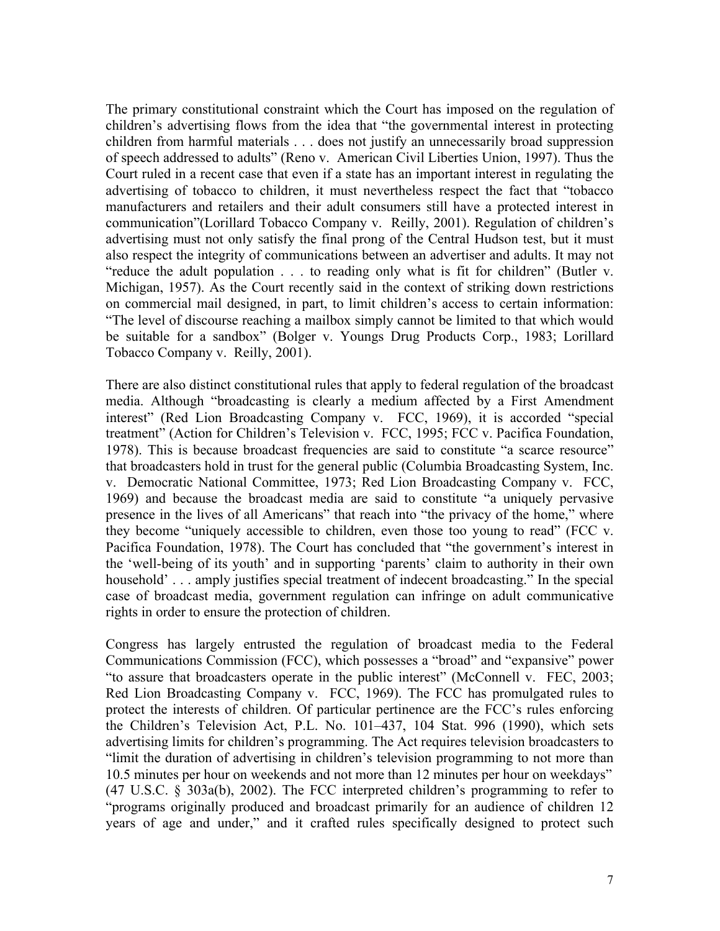The primary constitutional constraint which the Court has imposed on the regulation of children's advertising flows from the idea that "the governmental interest in protecting children from harmful materials . . . does not justify an unnecessarily broad suppression of speech addressed to adults" (Reno v. American Civil Liberties Union, 1997). Thus the Court ruled in a recent case that even if a state has an important interest in regulating the advertising of tobacco to children, it must nevertheless respect the fact that "tobacco manufacturers and retailers and their adult consumers still have a protected interest in communication"(Lorillard Tobacco Company v. Reilly, 2001). Regulation of children's advertising must not only satisfy the final prong of the Central Hudson test, but it must also respect the integrity of communications between an advertiser and adults. It may not "reduce the adult population . . . to reading only what is fit for children" (Butler v. Michigan, 1957). As the Court recently said in the context of striking down restrictions on commercial mail designed, in part, to limit children's access to certain information: "The level of discourse reaching a mailbox simply cannot be limited to that which would be suitable for a sandbox" (Bolger v. Youngs Drug Products Corp., 1983; Lorillard Tobacco Company v. Reilly, 2001).

There are also distinct constitutional rules that apply to federal regulation of the broadcast media. Although "broadcasting is clearly a medium affected by a First Amendment interest" (Red Lion Broadcasting Company v. FCC, 1969), it is accorded "special treatment" (Action for Children's Television v. FCC, 1995; FCC v. Pacifica Foundation, 1978). This is because broadcast frequencies are said to constitute "a scarce resource" that broadcasters hold in trust for the general public (Columbia Broadcasting System, Inc. v. Democratic National Committee, 1973; Red Lion Broadcasting Company v. FCC, 1969) and because the broadcast media are said to constitute "a uniquely pervasive presence in the lives of all Americans" that reach into "the privacy of the home," where they become "uniquely accessible to children, even those too young to read" (FCC v. Pacifica Foundation, 1978). The Court has concluded that "the government's interest in the 'well-being of its youth' and in supporting 'parents' claim to authority in their own household'... amply justifies special treatment of indecent broadcasting." In the special case of broadcast media, government regulation can infringe on adult communicative rights in order to ensure the protection of children.

Congress has largely entrusted the regulation of broadcast media to the Federal Communications Commission (FCC), which possesses a "broad" and "expansive" power "to assure that broadcasters operate in the public interest" (McConnell v. FEC, 2003; Red Lion Broadcasting Company v. FCC, 1969). The FCC has promulgated rules to protect the interests of children. Of particular pertinence are the FCC's rules enforcing the Children's Television Act, P.L. No. 101–437, 104 Stat. 996 (1990), which sets advertising limits for children's programming. The Act requires television broadcasters to "limit the duration of advertising in children's television programming to not more than 10.5 minutes per hour on weekends and not more than 12 minutes per hour on weekdays" (47 U.S.C. § 303a(b), 2002). The FCC interpreted children's programming to refer to "programs originally produced and broadcast primarily for an audience of children 12 years of age and under," and it crafted rules specifically designed to protect such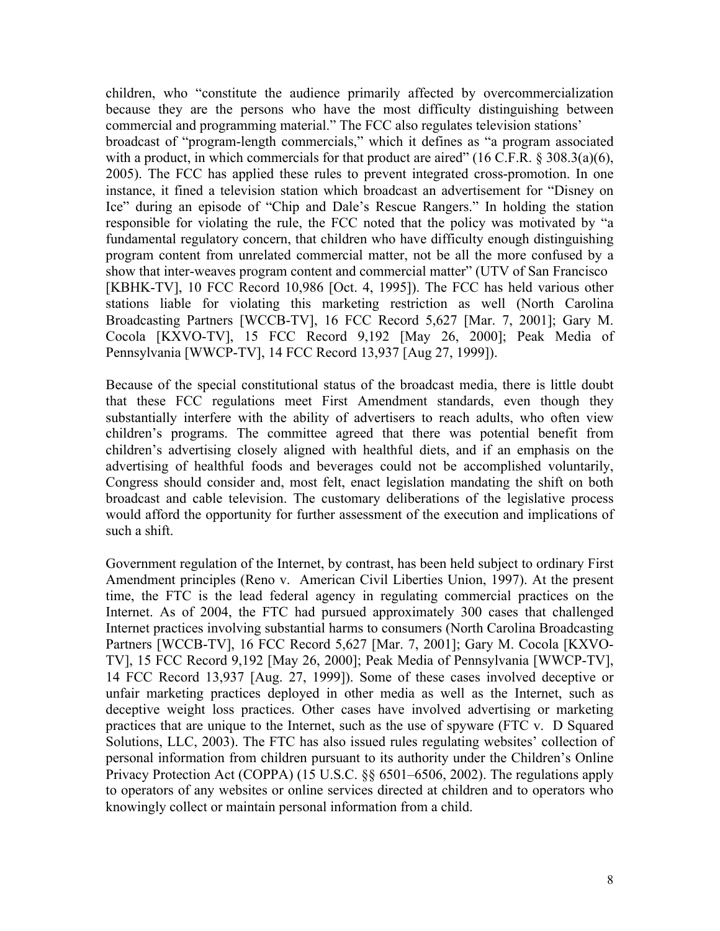children, who "constitute the audience primarily affected by overcommercialization because they are the persons who have the most difficulty distinguishing between commercial and programming material." The FCC also regulates television stations' broadcast of "program-length commercials," which it defines as "a program associated with a product, in which commercials for that product are aired" (16 C.F.R. § 308.3(a)(6), 2005). The FCC has applied these rules to prevent integrated cross-promotion. In one instance, it fined a television station which broadcast an advertisement for "Disney on Ice" during an episode of "Chip and Dale's Rescue Rangers." In holding the station responsible for violating the rule, the FCC noted that the policy was motivated by "a fundamental regulatory concern, that children who have difficulty enough distinguishing program content from unrelated commercial matter, not be all the more confused by a show that inter-weaves program content and commercial matter" (UTV of San Francisco [KBHK-TV], 10 FCC Record 10,986 [Oct. 4, 1995]). The FCC has held various other stations liable for violating this marketing restriction as well (North Carolina Broadcasting Partners [WCCB-TV], 16 FCC Record 5,627 [Mar. 7, 2001]; Gary M. Cocola [KXVO-TV], 15 FCC Record 9,192 [May 26, 2000]; Peak Media of Pennsylvania [WWCP-TV], 14 FCC Record 13,937 [Aug 27, 1999]).

Because of the special constitutional status of the broadcast media, there is little doubt that these FCC regulations meet First Amendment standards, even though they substantially interfere with the ability of advertisers to reach adults, who often view children's programs. The committee agreed that there was potential benefit from children's advertising closely aligned with healthful diets, and if an emphasis on the advertising of healthful foods and beverages could not be accomplished voluntarily, Congress should consider and, most felt, enact legislation mandating the shift on both broadcast and cable television. The customary deliberations of the legislative process would afford the opportunity for further assessment of the execution and implications of such a shift.

Government regulation of the Internet, by contrast, has been held subject to ordinary First Amendment principles (Reno v. American Civil Liberties Union, 1997). At the present time, the FTC is the lead federal agency in regulating commercial practices on the Internet. As of 2004, the FTC had pursued approximately 300 cases that challenged Internet practices involving substantial harms to consumers (North Carolina Broadcasting Partners [WCCB-TV], 16 FCC Record 5,627 [Mar. 7, 2001]; Gary M. Cocola [KXVO-TV], 15 FCC Record 9,192 [May 26, 2000]; Peak Media of Pennsylvania [WWCP-TV], 14 FCC Record 13,937 [Aug. 27, 1999]). Some of these cases involved deceptive or unfair marketing practices deployed in other media as well as the Internet, such as deceptive weight loss practices. Other cases have involved advertising or marketing practices that are unique to the Internet, such as the use of spyware (FTC v. D Squared Solutions, LLC, 2003). The FTC has also issued rules regulating websites' collection of personal information from children pursuant to its authority under the Children's Online Privacy Protection Act (COPPA) (15 U.S.C. §§ 6501–6506, 2002). The regulations apply to operators of any websites or online services directed at children and to operators who knowingly collect or maintain personal information from a child.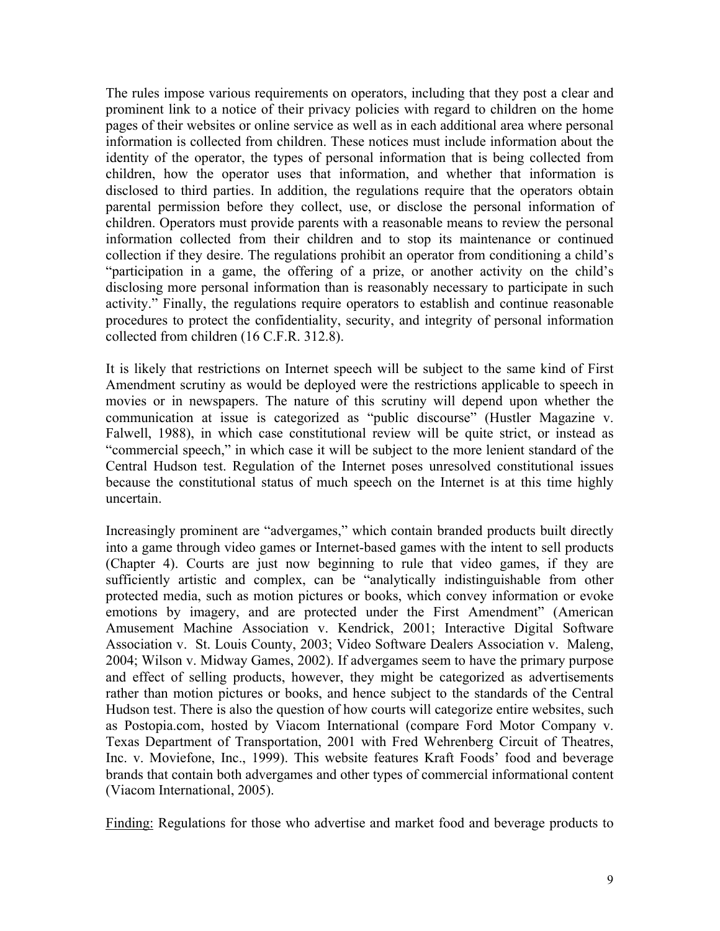The rules impose various requirements on operators, including that they post a clear and prominent link to a notice of their privacy policies with regard to children on the home pages of their websites or online service as well as in each additional area where personal information is collected from children. These notices must include information about the identity of the operator, the types of personal information that is being collected from children, how the operator uses that information, and whether that information is disclosed to third parties. In addition, the regulations require that the operators obtain parental permission before they collect, use, or disclose the personal information of children. Operators must provide parents with a reasonable means to review the personal information collected from their children and to stop its maintenance or continued collection if they desire. The regulations prohibit an operator from conditioning a child's "participation in a game, the offering of a prize, or another activity on the child's disclosing more personal information than is reasonably necessary to participate in such activity." Finally, the regulations require operators to establish and continue reasonable procedures to protect the confidentiality, security, and integrity of personal information collected from children (16 C.F.R. 312.8).

It is likely that restrictions on Internet speech will be subject to the same kind of First Amendment scrutiny as would be deployed were the restrictions applicable to speech in movies or in newspapers. The nature of this scrutiny will depend upon whether the communication at issue is categorized as "public discourse" (Hustler Magazine v. Falwell, 1988), in which case constitutional review will be quite strict, or instead as "commercial speech," in which case it will be subject to the more lenient standard of the Central Hudson test. Regulation of the Internet poses unresolved constitutional issues because the constitutional status of much speech on the Internet is at this time highly uncertain.

Increasingly prominent are "advergames," which contain branded products built directly into a game through video games or Internet-based games with the intent to sell products (Chapter 4). Courts are just now beginning to rule that video games, if they are sufficiently artistic and complex, can be "analytically indistinguishable from other protected media, such as motion pictures or books, which convey information or evoke emotions by imagery, and are protected under the First Amendment" (American Amusement Machine Association v. Kendrick, 2001; Interactive Digital Software Association v. St. Louis County, 2003; Video Software Dealers Association v. Maleng, 2004; Wilson v. Midway Games, 2002). If advergames seem to have the primary purpose and effect of selling products, however, they might be categorized as advertisements rather than motion pictures or books, and hence subject to the standards of the Central Hudson test. There is also the question of how courts will categorize entire websites, such as Postopia.com, hosted by Viacom International (compare Ford Motor Company v. Texas Department of Transportation, 2001 with Fred Wehrenberg Circuit of Theatres, Inc. v. Moviefone, Inc., 1999). This website features Kraft Foods' food and beverage brands that contain both advergames and other types of commercial informational content (Viacom International, 2005).

Finding: Regulations for those who advertise and market food and beverage products to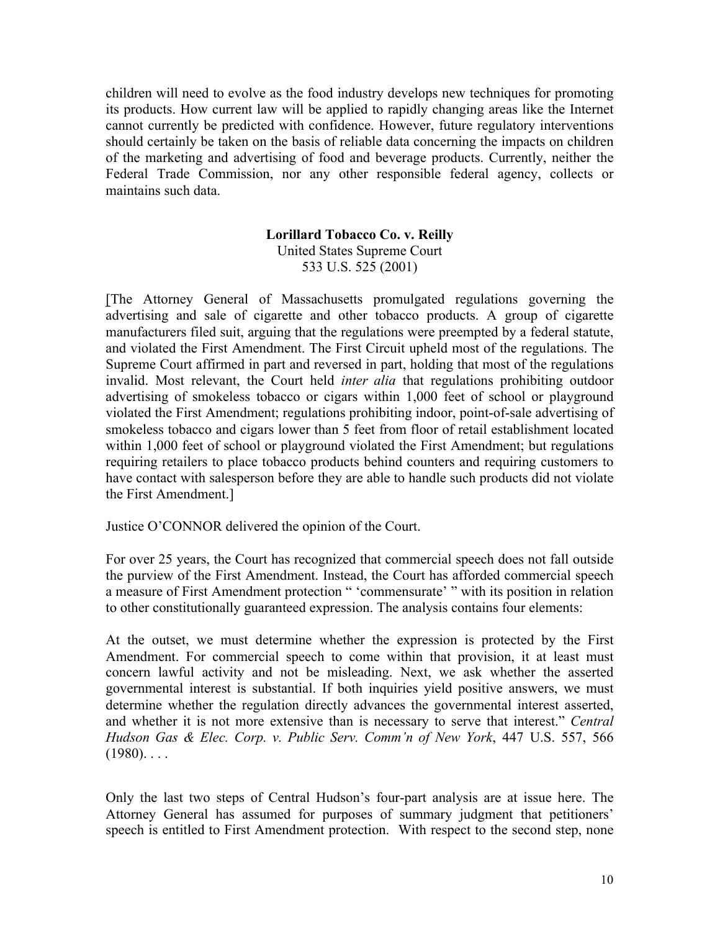children will need to evolve as the food industry develops new techniques for promoting its products. How current law will be applied to rapidly changing areas like the Internet cannot currently be predicted with confidence. However, future regulatory interventions should certainly be taken on the basis of reliable data concerning the impacts on children of the marketing and advertising of food and beverage products. Currently, neither the Federal Trade Commission, nor any other responsible federal agency, collects or maintains such data.

# **Lorillard Tobacco Co. v. Reilly**

United States Supreme Court 533 U.S. 525 (2001)

[The Attorney General of Massachusetts promulgated regulations governing the advertising and sale of cigarette and other tobacco products. A group of cigarette manufacturers filed suit, arguing that the regulations were preempted by a federal statute, and violated the First Amendment. The First Circuit upheld most of the regulations. The Supreme Court affirmed in part and reversed in part, holding that most of the regulations invalid. Most relevant, the Court held *inter alia* that regulations prohibiting outdoor advertising of smokeless tobacco or cigars within 1,000 feet of school or playground violated the First Amendment; regulations prohibiting indoor, point-of-sale advertising of smokeless tobacco and cigars lower than 5 feet from floor of retail establishment located within 1,000 feet of school or playground violated the First Amendment; but regulations requiring retailers to place tobacco products behind counters and requiring customers to have contact with salesperson before they are able to handle such products did not violate the First Amendment.]

Justice O'CONNOR delivered the opinion of the Court.

For over 25 years, the Court has recognized that commercial speech does not fall outside the purview of the First Amendment. Instead, the Court has afforded commercial speech a measure of First Amendment protection " 'commensurate' " with its position in relation to other constitutionally guaranteed expression. The analysis contains four elements:

At the outset, we must determine whether the expression is protected by the First Amendment. For commercial speech to come within that provision, it at least must concern lawful activity and not be misleading. Next, we ask whether the asserted governmental interest is substantial. If both inquiries yield positive answers, we must determine whether the regulation directly advances the governmental interest asserted, and whether it is not more extensive than is necessary to serve that interest." *Central Hudson Gas & Elec. Corp. v. Public Serv. Comm'n of New York*, 447 U.S. 557, 566  $(1980)$ ...

Only the last two steps of Central Hudson's four-part analysis are at issue here. The Attorney General has assumed for purposes of summary judgment that petitioners' speech is entitled to First Amendment protection. With respect to the second step, none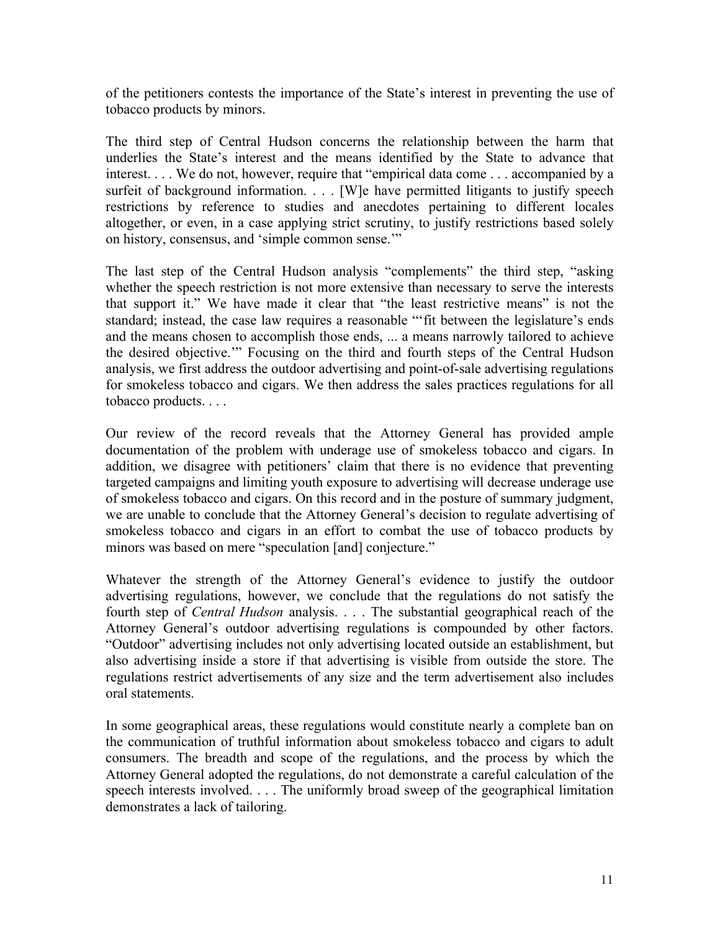of the petitioners contests the importance of the State's interest in preventing the use of tobacco products by minors.

The third step of Central Hudson concerns the relationship between the harm that underlies the State's interest and the means identified by the State to advance that interest. . . . We do not, however, require that "empirical data come . . . accompanied by a surfeit of background information. . . . [W]e have permitted litigants to justify speech restrictions by reference to studies and anecdotes pertaining to different locales altogether, or even, in a case applying strict scrutiny, to justify restrictions based solely on history, consensus, and 'simple common sense.'"

The last step of the Central Hudson analysis "complements" the third step, "asking whether the speech restriction is not more extensive than necessary to serve the interests that support it." We have made it clear that "the least restrictive means" is not the standard; instead, the case law requires a reasonable "'fit between the legislature's ends and the means chosen to accomplish those ends, ... a means narrowly tailored to achieve the desired objective.'" Focusing on the third and fourth steps of the Central Hudson analysis, we first address the outdoor advertising and point-of-sale advertising regulations for smokeless tobacco and cigars. We then address the sales practices regulations for all tobacco products. . . .

Our review of the record reveals that the Attorney General has provided ample documentation of the problem with underage use of smokeless tobacco and cigars. In addition, we disagree with petitioners' claim that there is no evidence that preventing targeted campaigns and limiting youth exposure to advertising will decrease underage use of smokeless tobacco and cigars. On this record and in the posture of summary judgment, we are unable to conclude that the Attorney General's decision to regulate advertising of smokeless tobacco and cigars in an effort to combat the use of tobacco products by minors was based on mere "speculation [and] conjecture."

Whatever the strength of the Attorney General's evidence to justify the outdoor advertising regulations, however, we conclude that the regulations do not satisfy the fourth step of *Central Hudson* analysis. . . . The substantial geographical reach of the Attorney General's outdoor advertising regulations is compounded by other factors. "Outdoor" advertising includes not only advertising located outside an establishment, but also advertising inside a store if that advertising is visible from outside the store. The regulations restrict advertisements of any size and the term advertisement also includes oral statements.

In some geographical areas, these regulations would constitute nearly a complete ban on the communication of truthful information about smokeless tobacco and cigars to adult consumers. The breadth and scope of the regulations, and the process by which the Attorney General adopted the regulations, do not demonstrate a careful calculation of the speech interests involved. . . . The uniformly broad sweep of the geographical limitation demonstrates a lack of tailoring.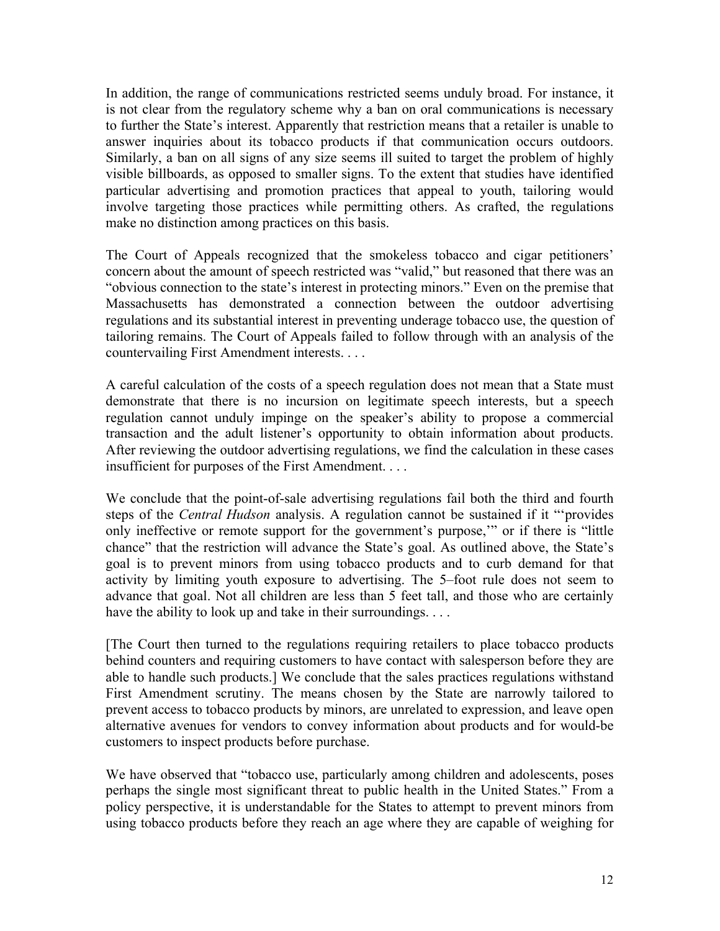In addition, the range of communications restricted seems unduly broad. For instance, it is not clear from the regulatory scheme why a ban on oral communications is necessary to further the State's interest. Apparently that restriction means that a retailer is unable to answer inquiries about its tobacco products if that communication occurs outdoors. Similarly, a ban on all signs of any size seems ill suited to target the problem of highly visible billboards, as opposed to smaller signs. To the extent that studies have identified particular advertising and promotion practices that appeal to youth, tailoring would involve targeting those practices while permitting others. As crafted, the regulations make no distinction among practices on this basis.

The Court of Appeals recognized that the smokeless tobacco and cigar petitioners' concern about the amount of speech restricted was "valid," but reasoned that there was an "obvious connection to the state's interest in protecting minors." Even on the premise that Massachusetts has demonstrated a connection between the outdoor advertising regulations and its substantial interest in preventing underage tobacco use, the question of tailoring remains. The Court of Appeals failed to follow through with an analysis of the countervailing First Amendment interests. . . .

A careful calculation of the costs of a speech regulation does not mean that a State must demonstrate that there is no incursion on legitimate speech interests, but a speech regulation cannot unduly impinge on the speaker's ability to propose a commercial transaction and the adult listener's opportunity to obtain information about products. After reviewing the outdoor advertising regulations, we find the calculation in these cases insufficient for purposes of the First Amendment. . . .

We conclude that the point-of-sale advertising regulations fail both the third and fourth steps of the *Central Hudson* analysis. A regulation cannot be sustained if it "'provides only ineffective or remote support for the government's purpose,'" or if there is "little chance" that the restriction will advance the State's goal. As outlined above, the State's goal is to prevent minors from using tobacco products and to curb demand for that activity by limiting youth exposure to advertising. The 5–foot rule does not seem to advance that goal. Not all children are less than 5 feet tall, and those who are certainly have the ability to look up and take in their surroundings. . . .

[The Court then turned to the regulations requiring retailers to place tobacco products behind counters and requiring customers to have contact with salesperson before they are able to handle such products.] We conclude that the sales practices regulations withstand First Amendment scrutiny. The means chosen by the State are narrowly tailored to prevent access to tobacco products by minors, are unrelated to expression, and leave open alternative avenues for vendors to convey information about products and for would-be customers to inspect products before purchase.

We have observed that "tobacco use, particularly among children and adolescents, poses perhaps the single most significant threat to public health in the United States." From a policy perspective, it is understandable for the States to attempt to prevent minors from using tobacco products before they reach an age where they are capable of weighing for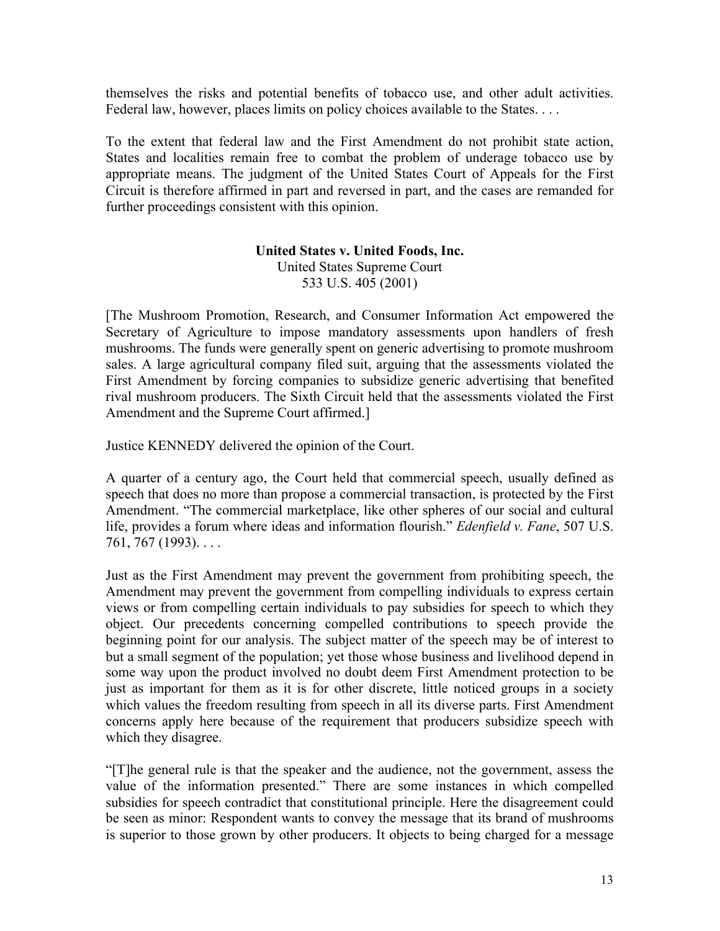themselves the risks and potential benefits of tobacco use, and other adult activities. Federal law, however, places limits on policy choices available to the States. . . .

To the extent that federal law and the First Amendment do not prohibit state action, States and localities remain free to combat the problem of underage tobacco use by appropriate means. The judgment of the United States Court of Appeals for the First Circuit is therefore affirmed in part and reversed in part, and the cases are remanded for further proceedings consistent with this opinion.

> **United States v. United Foods, Inc.** United States Supreme Court 533 U.S. 405 (2001)

[The Mushroom Promotion, Research, and Consumer Information Act empowered the Secretary of Agriculture to impose mandatory assessments upon handlers of fresh mushrooms. The funds were generally spent on generic advertising to promote mushroom sales. A large agricultural company filed suit, arguing that the assessments violated the First Amendment by forcing companies to subsidize generic advertising that benefited rival mushroom producers. The Sixth Circuit held that the assessments violated the First Amendment and the Supreme Court affirmed.]

Justice KENNEDY delivered the opinion of the Court.

A quarter of a century ago, the Court held that commercial speech, usually defined as speech that does no more than propose a commercial transaction, is protected by the First Amendment. "The commercial marketplace, like other spheres of our social and cultural life, provides a forum where ideas and information flourish." *Edenfield v. Fane*, 507 U.S. 761, 767 (1993). . . .

Just as the First Amendment may prevent the government from prohibiting speech, the Amendment may prevent the government from compelling individuals to express certain views or from compelling certain individuals to pay subsidies for speech to which they object. Our precedents concerning compelled contributions to speech provide the beginning point for our analysis. The subject matter of the speech may be of interest to but a small segment of the population; yet those whose business and livelihood depend in some way upon the product involved no doubt deem First Amendment protection to be just as important for them as it is for other discrete, little noticed groups in a society which values the freedom resulting from speech in all its diverse parts. First Amendment concerns apply here because of the requirement that producers subsidize speech with which they disagree.

"[T]he general rule is that the speaker and the audience, not the government, assess the value of the information presented." There are some instances in which compelled subsidies for speech contradict that constitutional principle. Here the disagreement could be seen as minor: Respondent wants to convey the message that its brand of mushrooms is superior to those grown by other producers. It objects to being charged for a message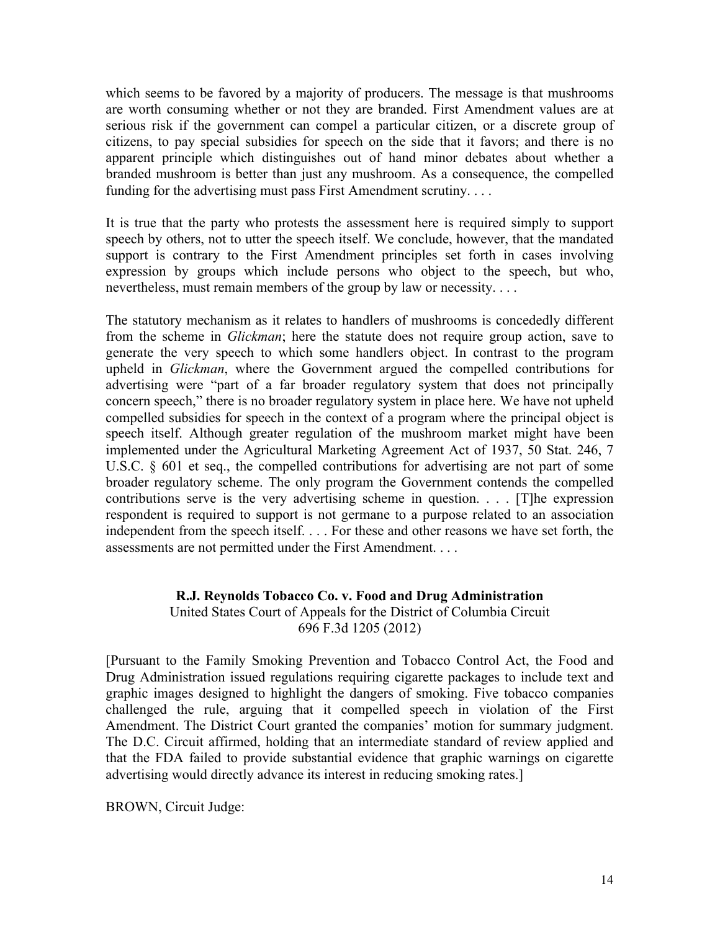which seems to be favored by a majority of producers. The message is that mushrooms are worth consuming whether or not they are branded. First Amendment values are at serious risk if the government can compel a particular citizen, or a discrete group of citizens, to pay special subsidies for speech on the side that it favors; and there is no apparent principle which distinguishes out of hand minor debates about whether a branded mushroom is better than just any mushroom. As a consequence, the compelled funding for the advertising must pass First Amendment scrutiny. . . .

It is true that the party who protests the assessment here is required simply to support speech by others, not to utter the speech itself. We conclude, however, that the mandated support is contrary to the First Amendment principles set forth in cases involving expression by groups which include persons who object to the speech, but who, nevertheless, must remain members of the group by law or necessity....

The statutory mechanism as it relates to handlers of mushrooms is concededly different from the scheme in *Glickman*; here the statute does not require group action, save to generate the very speech to which some handlers object. In contrast to the program upheld in *Glickman*, where the Government argued the compelled contributions for advertising were "part of a far broader regulatory system that does not principally concern speech," there is no broader regulatory system in place here. We have not upheld compelled subsidies for speech in the context of a program where the principal object is speech itself. Although greater regulation of the mushroom market might have been implemented under the Agricultural Marketing Agreement Act of 1937, 50 Stat. 246, 7 U.S.C. § 601 et seq., the compelled contributions for advertising are not part of some broader regulatory scheme. The only program the Government contends the compelled contributions serve is the very advertising scheme in question. . . . [T]he expression respondent is required to support is not germane to a purpose related to an association independent from the speech itself. . . . For these and other reasons we have set forth, the assessments are not permitted under the First Amendment. . . .

#### **R.J. Reynolds Tobacco Co. v. Food and Drug Administration**

United States Court of Appeals for the District of Columbia Circuit 696 F.3d 1205 (2012)

[Pursuant to the Family Smoking Prevention and Tobacco Control Act, the Food and Drug Administration issued regulations requiring cigarette packages to include text and graphic images designed to highlight the dangers of smoking. Five tobacco companies challenged the rule, arguing that it compelled speech in violation of the First Amendment. The District Court granted the companies' motion for summary judgment. The D.C. Circuit affirmed, holding that an intermediate standard of review applied and that the FDA failed to provide substantial evidence that graphic warnings on cigarette advertising would directly advance its interest in reducing smoking rates.]

BROWN, Circuit Judge: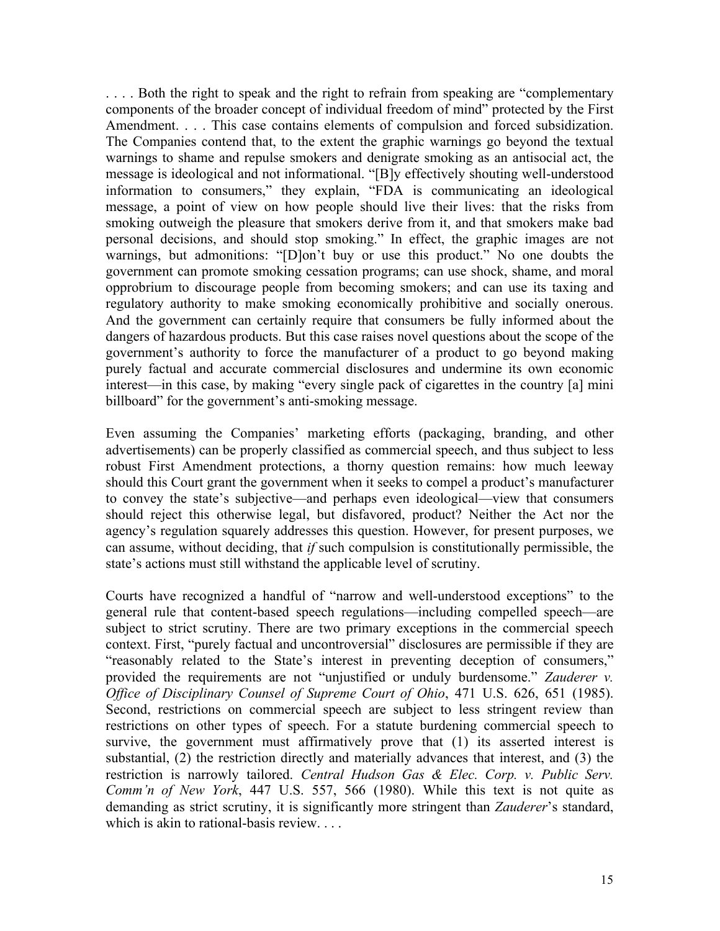.... Both the right to speak and the right to refrain from speaking are "complementary" components of the broader concept of individual freedom of mind" protected by the First Amendment. . . . This case contains elements of compulsion and forced subsidization. The Companies contend that, to the extent the graphic warnings go beyond the textual warnings to shame and repulse smokers and denigrate smoking as an antisocial act, the message is ideological and not informational. "[B]y effectively shouting well-understood information to consumers," they explain, "FDA is communicating an ideological message, a point of view on how people should live their lives: that the risks from smoking outweigh the pleasure that smokers derive from it, and that smokers make bad personal decisions, and should stop smoking." In effect, the graphic images are not warnings, but admonitions: "[D]on't buy or use this product." No one doubts the government can promote smoking cessation programs; can use shock, shame, and moral opprobrium to discourage people from becoming smokers; and can use its taxing and regulatory authority to make smoking economically prohibitive and socially onerous. And the government can certainly require that consumers be fully informed about the dangers of hazardous products. But this case raises novel questions about the scope of the government's authority to force the manufacturer of a product to go beyond making purely factual and accurate commercial disclosures and undermine its own economic interest—in this case, by making "every single pack of cigarettes in the country [a] mini billboard" for the government's anti-smoking message.

Even assuming the Companies' marketing efforts (packaging, branding, and other advertisements) can be properly classified as commercial speech, and thus subject to less robust First Amendment protections, a thorny question remains: how much leeway should this Court grant the government when it seeks to compel a product's manufacturer to convey the state's subjective—and perhaps even ideological—view that consumers should reject this otherwise legal, but disfavored, product? Neither the Act nor the agency's regulation squarely addresses this question. However, for present purposes, we can assume, without deciding, that *if* such compulsion is constitutionally permissible, the state's actions must still withstand the applicable level of scrutiny.

Courts have recognized a handful of "narrow and well-understood exceptions" to the general rule that content-based speech regulations—including compelled speech—are subject to strict scrutiny. There are two primary exceptions in the commercial speech context. First, "purely factual and uncontroversial" disclosures are permissible if they are "reasonably related to the State's interest in preventing deception of consumers," provided the requirements are not "unjustified or unduly burdensome." *Zauderer v. Office of Disciplinary Counsel of Supreme Court of Ohio*, 471 U.S. 626, 651 (1985). Second, restrictions on commercial speech are subject to less stringent review than restrictions on other types of speech. For a statute burdening commercial speech to survive, the government must affirmatively prove that (1) its asserted interest is substantial, (2) the restriction directly and materially advances that interest, and (3) the restriction is narrowly tailored. *Central Hudson Gas & Elec. Corp. v. Public Serv. Comm'n of New York*, 447 U.S. 557, 566 (1980). While this text is not quite as demanding as strict scrutiny, it is significantly more stringent than *Zauderer*'s standard, which is akin to rational-basis review. . . .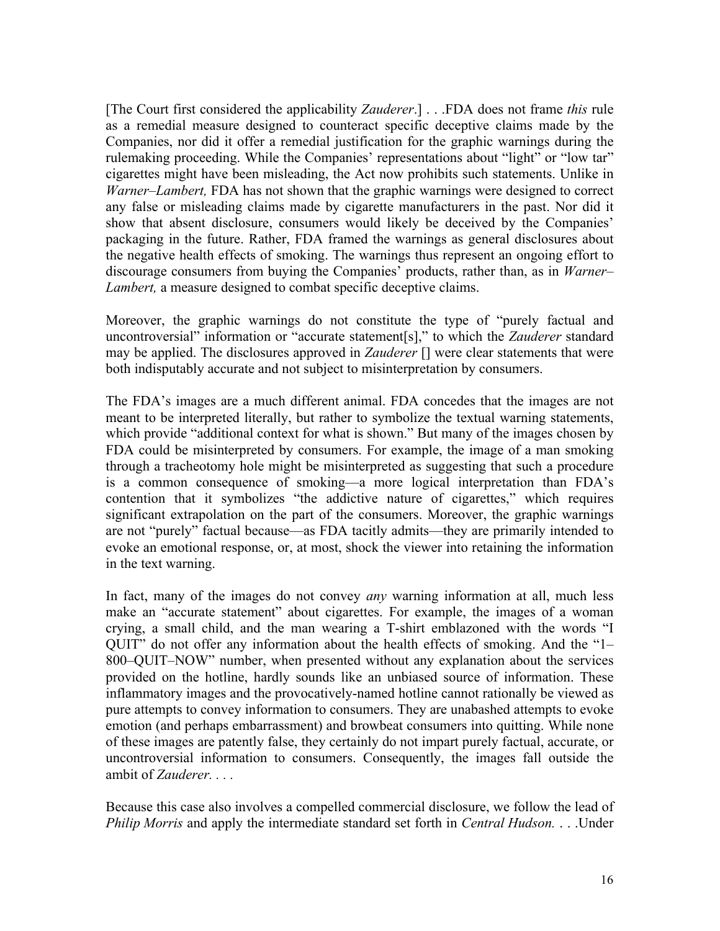[The Court first considered the applicability *Zauderer*.] . . .FDA does not frame *this* rule as a remedial measure designed to counteract specific deceptive claims made by the Companies, nor did it offer a remedial justification for the graphic warnings during the rulemaking proceeding. While the Companies' representations about "light" or "low tar" cigarettes might have been misleading, the Act now prohibits such statements. Unlike in *Warner–Lambert,* FDA has not shown that the graphic warnings were designed to correct any false or misleading claims made by cigarette manufacturers in the past. Nor did it show that absent disclosure, consumers would likely be deceived by the Companies' packaging in the future. Rather, FDA framed the warnings as general disclosures about the negative health effects of smoking. The warnings thus represent an ongoing effort to discourage consumers from buying the Companies' products, rather than, as in *Warner– Lambert,* a measure designed to combat specific deceptive claims.

Moreover, the graphic warnings do not constitute the type of "purely factual and uncontroversial" information or "accurate statement[s]," to which the *Zauderer* standard may be applied. The disclosures approved in *Zauderer* [] were clear statements that were both indisputably accurate and not subject to misinterpretation by consumers.

The FDA's images are a much different animal. FDA concedes that the images are not meant to be interpreted literally, but rather to symbolize the textual warning statements, which provide "additional context for what is shown." But many of the images chosen by FDA could be misinterpreted by consumers. For example, the image of a man smoking through a tracheotomy hole might be misinterpreted as suggesting that such a procedure is a common consequence of smoking—a more logical interpretation than FDA's contention that it symbolizes "the addictive nature of cigarettes," which requires significant extrapolation on the part of the consumers. Moreover, the graphic warnings are not "purely" factual because—as FDA tacitly admits—they are primarily intended to evoke an emotional response, or, at most, shock the viewer into retaining the information in the text warning.

In fact, many of the images do not convey *any* warning information at all, much less make an "accurate statement" about cigarettes. For example, the images of a woman crying, a small child, and the man wearing a T-shirt emblazoned with the words "I QUIT" do not offer any information about the health effects of smoking. And the "1– 800–QUIT–NOW" number, when presented without any explanation about the services provided on the hotline, hardly sounds like an unbiased source of information. These inflammatory images and the provocatively-named hotline cannot rationally be viewed as pure attempts to convey information to consumers. They are unabashed attempts to evoke emotion (and perhaps embarrassment) and browbeat consumers into quitting. While none of these images are patently false, they certainly do not impart purely factual, accurate, or uncontroversial information to consumers. Consequently, the images fall outside the ambit of *Zauderer. . . .* 

Because this case also involves a compelled commercial disclosure, we follow the lead of *Philip Morris* and apply the intermediate standard set forth in *Central Hudson.* . . .Under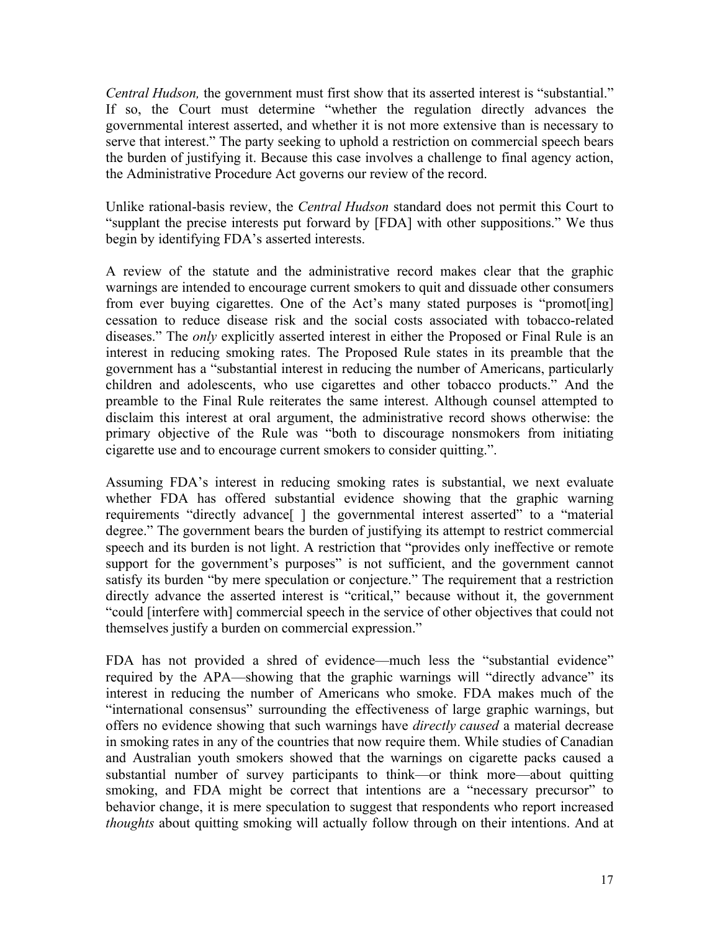*Central Hudson,* the government must first show that its asserted interest is "substantial." If so, the Court must determine "whether the regulation directly advances the governmental interest asserted, and whether it is not more extensive than is necessary to serve that interest." The party seeking to uphold a restriction on commercial speech bears the burden of justifying it. Because this case involves a challenge to final agency action, the Administrative Procedure Act governs our review of the record.

Unlike rational-basis review, the *Central Hudson* standard does not permit this Court to "supplant the precise interests put forward by [FDA] with other suppositions." We thus begin by identifying FDA's asserted interests.

A review of the statute and the administrative record makes clear that the graphic warnings are intended to encourage current smokers to quit and dissuade other consumers from ever buying cigarettes. One of the Act's many stated purposes is "promot[ing] cessation to reduce disease risk and the social costs associated with tobacco-related diseases." The *only* explicitly asserted interest in either the Proposed or Final Rule is an interest in reducing smoking rates. The Proposed Rule states in its preamble that the government has a "substantial interest in reducing the number of Americans, particularly children and adolescents, who use cigarettes and other tobacco products." And the preamble to the Final Rule reiterates the same interest. Although counsel attempted to disclaim this interest at oral argument, the administrative record shows otherwise: the primary objective of the Rule was "both to discourage nonsmokers from initiating cigarette use and to encourage current smokers to consider quitting.".

Assuming FDA's interest in reducing smoking rates is substantial, we next evaluate whether FDA has offered substantial evidence showing that the graphic warning requirements "directly advance[ ] the governmental interest asserted" to a "material degree." The government bears the burden of justifying its attempt to restrict commercial speech and its burden is not light. A restriction that "provides only ineffective or remote support for the government's purposes" is not sufficient, and the government cannot satisfy its burden "by mere speculation or conjecture." The requirement that a restriction directly advance the asserted interest is "critical," because without it, the government "could [interfere with] commercial speech in the service of other objectives that could not themselves justify a burden on commercial expression."

FDA has not provided a shred of evidence—much less the "substantial evidence" required by the APA—showing that the graphic warnings will "directly advance" its interest in reducing the number of Americans who smoke. FDA makes much of the "international consensus" surrounding the effectiveness of large graphic warnings, but offers no evidence showing that such warnings have *directly caused* a material decrease in smoking rates in any of the countries that now require them. While studies of Canadian and Australian youth smokers showed that the warnings on cigarette packs caused a substantial number of survey participants to think—or think more—about quitting smoking, and FDA might be correct that intentions are a "necessary precursor" to behavior change, it is mere speculation to suggest that respondents who report increased *thoughts* about quitting smoking will actually follow through on their intentions. And at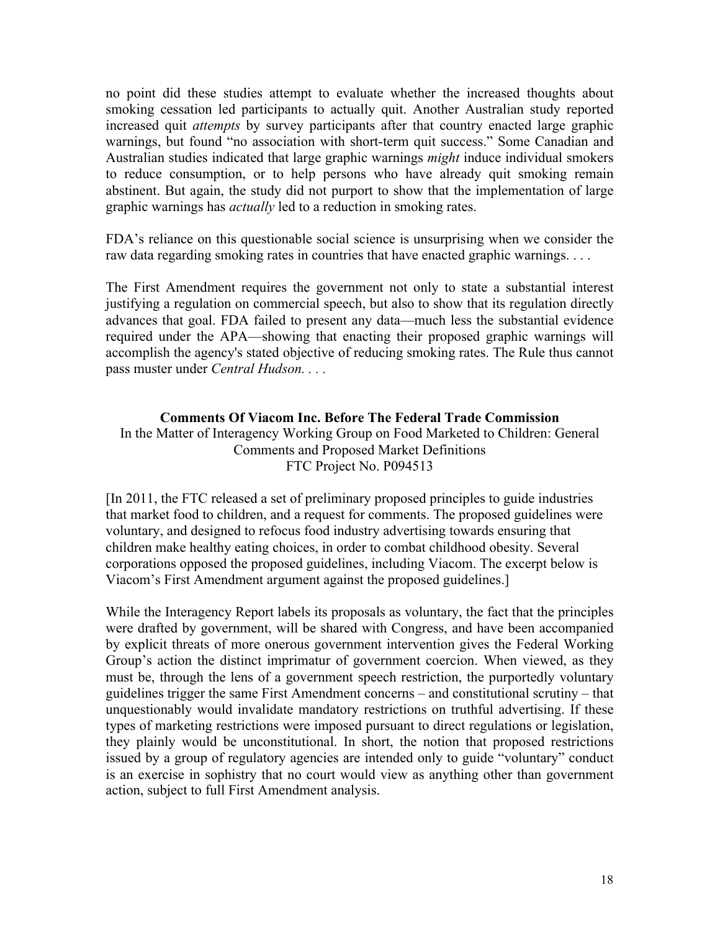no point did these studies attempt to evaluate whether the increased thoughts about smoking cessation led participants to actually quit. Another Australian study reported increased quit *attempts* by survey participants after that country enacted large graphic warnings, but found "no association with short-term quit success." Some Canadian and Australian studies indicated that large graphic warnings *might* induce individual smokers to reduce consumption, or to help persons who have already quit smoking remain abstinent. But again, the study did not purport to show that the implementation of large graphic warnings has *actually* led to a reduction in smoking rates.

FDA's reliance on this questionable social science is unsurprising when we consider the raw data regarding smoking rates in countries that have enacted graphic warnings. . . .

The First Amendment requires the government not only to state a substantial interest justifying a regulation on commercial speech, but also to show that its regulation directly advances that goal. FDA failed to present any data—much less the substantial evidence required under the APA—showing that enacting their proposed graphic warnings will accomplish the agency's stated objective of reducing smoking rates. The Rule thus cannot pass muster under *Central Hudson. . . .*

#### **Comments Of Viacom Inc. Before The Federal Trade Commission**

In the Matter of Interagency Working Group on Food Marketed to Children: General Comments and Proposed Market Definitions FTC Project No. P094513

[In 2011, the FTC released a set of preliminary proposed principles to guide industries that market food to children, and a request for comments. The proposed guidelines were voluntary, and designed to refocus food industry advertising towards ensuring that children make healthy eating choices, in order to combat childhood obesity. Several corporations opposed the proposed guidelines, including Viacom. The excerpt below is Viacom's First Amendment argument against the proposed guidelines.]

While the Interagency Report labels its proposals as voluntary, the fact that the principles were drafted by government, will be shared with Congress, and have been accompanied by explicit threats of more onerous government intervention gives the Federal Working Group's action the distinct imprimatur of government coercion. When viewed, as they must be, through the lens of a government speech restriction, the purportedly voluntary guidelines trigger the same First Amendment concerns – and constitutional scrutiny – that unquestionably would invalidate mandatory restrictions on truthful advertising. If these types of marketing restrictions were imposed pursuant to direct regulations or legislation, they plainly would be unconstitutional. In short, the notion that proposed restrictions issued by a group of regulatory agencies are intended only to guide "voluntary" conduct is an exercise in sophistry that no court would view as anything other than government action, subject to full First Amendment analysis.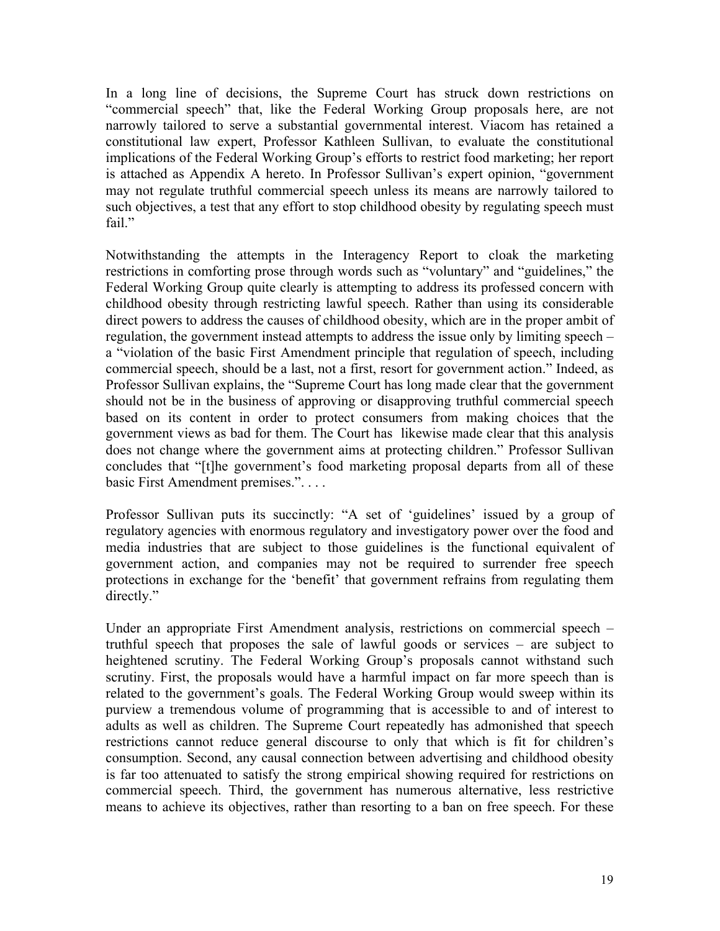In a long line of decisions, the Supreme Court has struck down restrictions on "commercial speech" that, like the Federal Working Group proposals here, are not narrowly tailored to serve a substantial governmental interest. Viacom has retained a constitutional law expert, Professor Kathleen Sullivan, to evaluate the constitutional implications of the Federal Working Group's efforts to restrict food marketing; her report is attached as Appendix A hereto. In Professor Sullivan's expert opinion, "government may not regulate truthful commercial speech unless its means are narrowly tailored to such objectives, a test that any effort to stop childhood obesity by regulating speech must fail."

Notwithstanding the attempts in the Interagency Report to cloak the marketing restrictions in comforting prose through words such as "voluntary" and "guidelines," the Federal Working Group quite clearly is attempting to address its professed concern with childhood obesity through restricting lawful speech. Rather than using its considerable direct powers to address the causes of childhood obesity, which are in the proper ambit of regulation, the government instead attempts to address the issue only by limiting speech – a "violation of the basic First Amendment principle that regulation of speech, including commercial speech, should be a last, not a first, resort for government action." Indeed, as Professor Sullivan explains, the "Supreme Court has long made clear that the government should not be in the business of approving or disapproving truthful commercial speech based on its content in order to protect consumers from making choices that the government views as bad for them. The Court has likewise made clear that this analysis does not change where the government aims at protecting children." Professor Sullivan concludes that "[t]he government's food marketing proposal departs from all of these basic First Amendment premises.". . . .

Professor Sullivan puts its succinctly: "A set of 'guidelines' issued by a group of regulatory agencies with enormous regulatory and investigatory power over the food and media industries that are subject to those guidelines is the functional equivalent of government action, and companies may not be required to surrender free speech protections in exchange for the 'benefit' that government refrains from regulating them directly."

Under an appropriate First Amendment analysis, restrictions on commercial speech – truthful speech that proposes the sale of lawful goods or services – are subject to heightened scrutiny. The Federal Working Group's proposals cannot withstand such scrutiny. First, the proposals would have a harmful impact on far more speech than is related to the government's goals. The Federal Working Group would sweep within its purview a tremendous volume of programming that is accessible to and of interest to adults as well as children. The Supreme Court repeatedly has admonished that speech restrictions cannot reduce general discourse to only that which is fit for children's consumption. Second, any causal connection between advertising and childhood obesity is far too attenuated to satisfy the strong empirical showing required for restrictions on commercial speech. Third, the government has numerous alternative, less restrictive means to achieve its objectives, rather than resorting to a ban on free speech. For these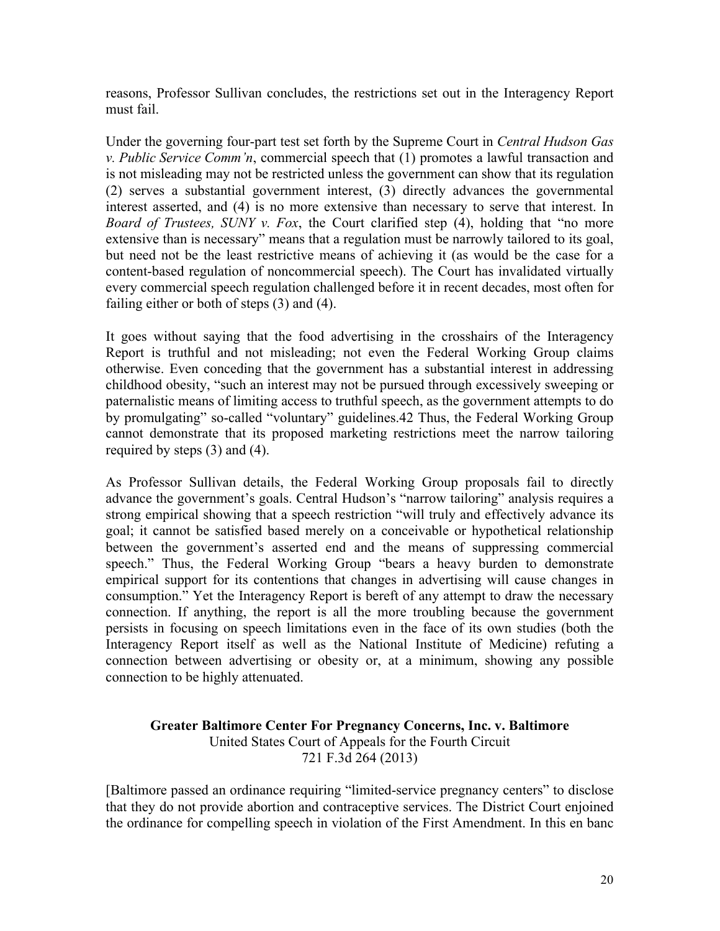reasons, Professor Sullivan concludes, the restrictions set out in the Interagency Report must fail.

Under the governing four-part test set forth by the Supreme Court in *Central Hudson Gas v. Public Service Comm'n*, commercial speech that (1) promotes a lawful transaction and is not misleading may not be restricted unless the government can show that its regulation (2) serves a substantial government interest, (3) directly advances the governmental interest asserted, and (4) is no more extensive than necessary to serve that interest. In *Board of Trustees, SUNY v. Fox*, the Court clarified step (4), holding that "no more extensive than is necessary" means that a regulation must be narrowly tailored to its goal, but need not be the least restrictive means of achieving it (as would be the case for a content-based regulation of noncommercial speech). The Court has invalidated virtually every commercial speech regulation challenged before it in recent decades, most often for failing either or both of steps (3) and (4).

It goes without saying that the food advertising in the crosshairs of the Interagency Report is truthful and not misleading; not even the Federal Working Group claims otherwise. Even conceding that the government has a substantial interest in addressing childhood obesity, "such an interest may not be pursued through excessively sweeping or paternalistic means of limiting access to truthful speech, as the government attempts to do by promulgating" so-called "voluntary" guidelines.42 Thus, the Federal Working Group cannot demonstrate that its proposed marketing restrictions meet the narrow tailoring required by steps (3) and (4).

As Professor Sullivan details, the Federal Working Group proposals fail to directly advance the government's goals. Central Hudson's "narrow tailoring" analysis requires a strong empirical showing that a speech restriction "will truly and effectively advance its goal; it cannot be satisfied based merely on a conceivable or hypothetical relationship between the government's asserted end and the means of suppressing commercial speech." Thus, the Federal Working Group "bears a heavy burden to demonstrate empirical support for its contentions that changes in advertising will cause changes in consumption." Yet the Interagency Report is bereft of any attempt to draw the necessary connection. If anything, the report is all the more troubling because the government persists in focusing on speech limitations even in the face of its own studies (both the Interagency Report itself as well as the National Institute of Medicine) refuting a connection between advertising or obesity or, at a minimum, showing any possible connection to be highly attenuated.

#### **Greater Baltimore Center For Pregnancy Concerns, Inc. v. Baltimore** United States Court of Appeals for the Fourth Circuit 721 F.3d 264 (2013)

[Baltimore passed an ordinance requiring "limited-service pregnancy centers" to disclose that they do not provide abortion and contraceptive services. The District Court enjoined the ordinance for compelling speech in violation of the First Amendment. In this en banc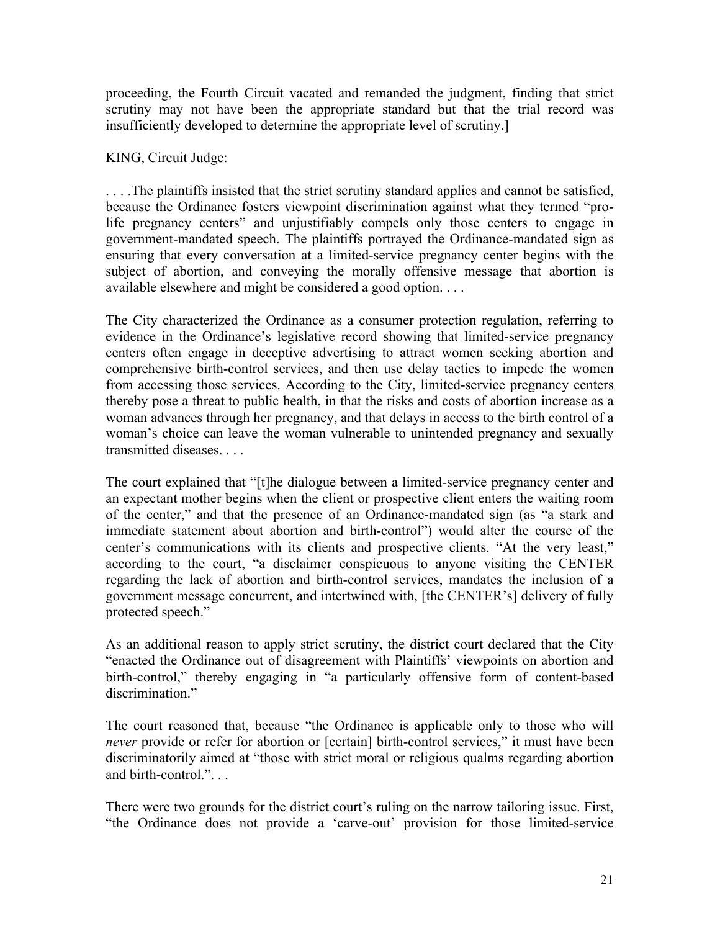proceeding, the Fourth Circuit vacated and remanded the judgment, finding that strict scrutiny may not have been the appropriate standard but that the trial record was insufficiently developed to determine the appropriate level of scrutiny.]

### KING, Circuit Judge:

. . . .The plaintiffs insisted that the strict scrutiny standard applies and cannot be satisfied, because the Ordinance fosters viewpoint discrimination against what they termed "prolife pregnancy centers" and unjustifiably compels only those centers to engage in government-mandated speech. The plaintiffs portrayed the Ordinance-mandated sign as ensuring that every conversation at a limited-service pregnancy center begins with the subject of abortion, and conveying the morally offensive message that abortion is available elsewhere and might be considered a good option. . . .

The City characterized the Ordinance as a consumer protection regulation, referring to evidence in the Ordinance's legislative record showing that limited-service pregnancy centers often engage in deceptive advertising to attract women seeking abortion and comprehensive birth-control services, and then use delay tactics to impede the women from accessing those services. According to the City, limited-service pregnancy centers thereby pose a threat to public health, in that the risks and costs of abortion increase as a woman advances through her pregnancy, and that delays in access to the birth control of a woman's choice can leave the woman vulnerable to unintended pregnancy and sexually transmitted diseases. . . .

The court explained that "[t]he dialogue between a limited-service pregnancy center and an expectant mother begins when the client or prospective client enters the waiting room of the center," and that the presence of an Ordinance-mandated sign (as "a stark and immediate statement about abortion and birth-control") would alter the course of the center's communications with its clients and prospective clients. "At the very least," according to the court, "a disclaimer conspicuous to anyone visiting the CENTER regarding the lack of abortion and birth-control services, mandates the inclusion of a government message concurrent, and intertwined with, [the CENTER's] delivery of fully protected speech."

As an additional reason to apply strict scrutiny, the district court declared that the City "enacted the Ordinance out of disagreement with Plaintiffs' viewpoints on abortion and birth-control," thereby engaging in "a particularly offensive form of content-based discrimination<sup>"</sup>

The court reasoned that, because "the Ordinance is applicable only to those who will *never* provide or refer for abortion or [certain] birth-control services," it must have been discriminatorily aimed at "those with strict moral or religious qualms regarding abortion and birth-control.". . .

There were two grounds for the district court's ruling on the narrow tailoring issue. First, "the Ordinance does not provide a 'carve-out' provision for those limited-service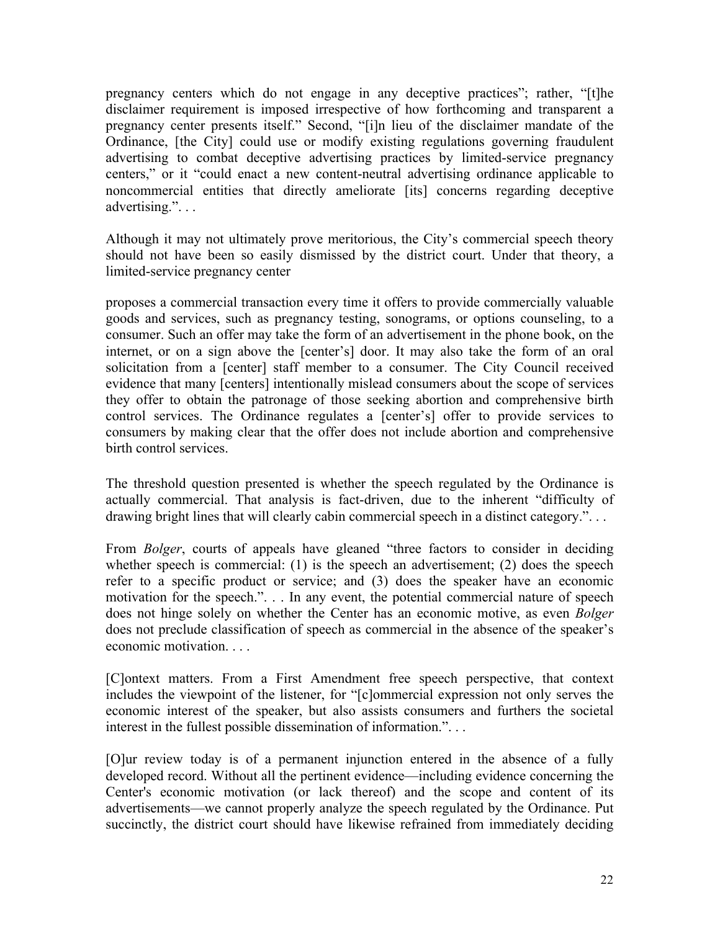pregnancy centers which do not engage in any deceptive practices"; rather, "[t]he disclaimer requirement is imposed irrespective of how forthcoming and transparent a pregnancy center presents itself." Second, "[i]n lieu of the disclaimer mandate of the Ordinance, [the City] could use or modify existing regulations governing fraudulent advertising to combat deceptive advertising practices by limited-service pregnancy centers," or it "could enact a new content-neutral advertising ordinance applicable to noncommercial entities that directly ameliorate [its] concerns regarding deceptive advertising.". . .

Although it may not ultimately prove meritorious, the City's commercial speech theory should not have been so easily dismissed by the district court. Under that theory, a limited-service pregnancy center

proposes a commercial transaction every time it offers to provide commercially valuable goods and services, such as pregnancy testing, sonograms, or options counseling, to a consumer. Such an offer may take the form of an advertisement in the phone book, on the internet, or on a sign above the [center's] door. It may also take the form of an oral solicitation from a [center] staff member to a consumer. The City Council received evidence that many [centers] intentionally mislead consumers about the scope of services they offer to obtain the patronage of those seeking abortion and comprehensive birth control services. The Ordinance regulates a [center's] offer to provide services to consumers by making clear that the offer does not include abortion and comprehensive birth control services.

The threshold question presented is whether the speech regulated by the Ordinance is actually commercial. That analysis is fact-driven, due to the inherent "difficulty of drawing bright lines that will clearly cabin commercial speech in a distinct category.". . .

From *Bolger*, courts of appeals have gleaned "three factors to consider in deciding whether speech is commercial: (1) is the speech an advertisement; (2) does the speech refer to a specific product or service; and (3) does the speaker have an economic motivation for the speech.". . . In any event, the potential commercial nature of speech does not hinge solely on whether the Center has an economic motive, as even *Bolger* does not preclude classification of speech as commercial in the absence of the speaker's economic motivation. . . .

[C]ontext matters. From a First Amendment free speech perspective, that context includes the viewpoint of the listener, for "[c]ommercial expression not only serves the economic interest of the speaker, but also assists consumers and furthers the societal interest in the fullest possible dissemination of information.". . .

[O]ur review today is of a permanent injunction entered in the absence of a fully developed record. Without all the pertinent evidence—including evidence concerning the Center's economic motivation (or lack thereof) and the scope and content of its advertisements—we cannot properly analyze the speech regulated by the Ordinance. Put succinctly, the district court should have likewise refrained from immediately deciding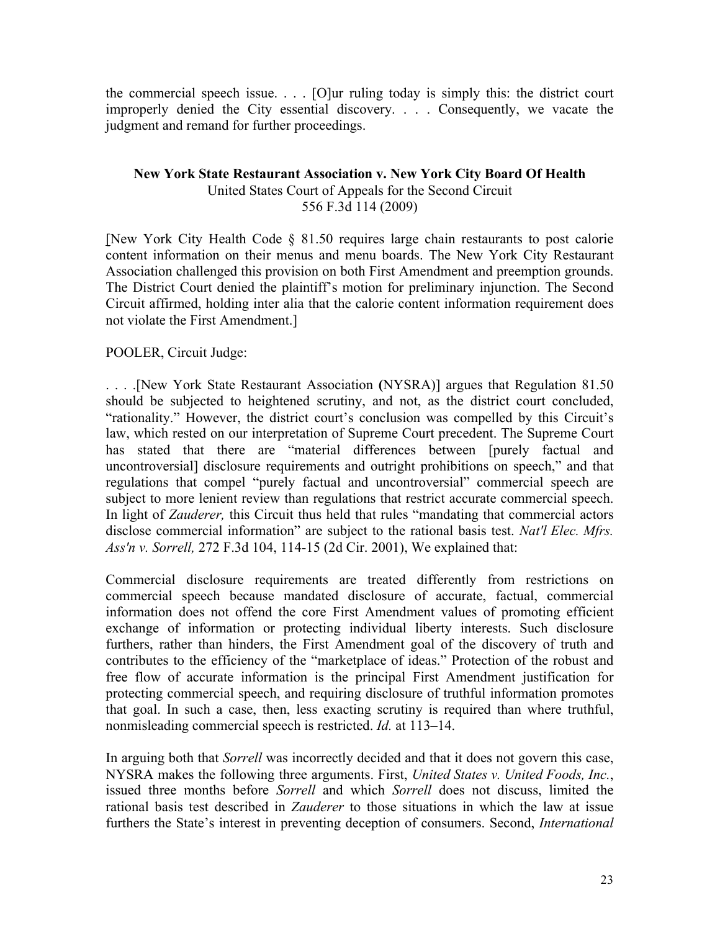the commercial speech issue. . . . [O]ur ruling today is simply this: the district court improperly denied the City essential discovery. . . . Consequently, we vacate the judgment and remand for further proceedings.

#### **New York State Restaurant Association v. New York City Board Of Health** United States Court of Appeals for the Second Circuit 556 F.3d 114 (2009)

[New York City Health Code § 81.50 requires large chain restaurants to post calorie content information on their menus and menu boards. The New York City Restaurant Association challenged this provision on both First Amendment and preemption grounds. The District Court denied the plaintiff's motion for preliminary injunction. The Second Circuit affirmed, holding inter alia that the calorie content information requirement does not violate the First Amendment.]

#### POOLER, Circuit Judge:

. . . .[New York State Restaurant Association **(**NYSRA)] argues that Regulation 81.50 should be subjected to heightened scrutiny, and not, as the district court concluded, "rationality." However, the district court's conclusion was compelled by this Circuit's law, which rested on our interpretation of Supreme Court precedent. The Supreme Court has stated that there are "material differences between [purely factual and uncontroversial] disclosure requirements and outright prohibitions on speech," and that regulations that compel "purely factual and uncontroversial" commercial speech are subject to more lenient review than regulations that restrict accurate commercial speech. In light of *Zauderer,* this Circuit thus held that rules "mandating that commercial actors disclose commercial information" are subject to the rational basis test. *Nat'l Elec. Mfrs. Ass'n v. Sorrell,* 272 F.3d 104, 114-15 (2d Cir. 2001), We explained that:

Commercial disclosure requirements are treated differently from restrictions on commercial speech because mandated disclosure of accurate, factual, commercial information does not offend the core First Amendment values of promoting efficient exchange of information or protecting individual liberty interests. Such disclosure furthers, rather than hinders, the First Amendment goal of the discovery of truth and contributes to the efficiency of the "marketplace of ideas." Protection of the robust and free flow of accurate information is the principal First Amendment justification for protecting commercial speech, and requiring disclosure of truthful information promotes that goal. In such a case, then, less exacting scrutiny is required than where truthful, nonmisleading commercial speech is restricted. *Id.* at 113–14.

In arguing both that *Sorrell* was incorrectly decided and that it does not govern this case, NYSRA makes the following three arguments. First, *United States v. United Foods, Inc.*, issued three months before *Sorrell* and which *Sorrell* does not discuss, limited the rational basis test described in *Zauderer* to those situations in which the law at issue furthers the State's interest in preventing deception of consumers. Second, *International*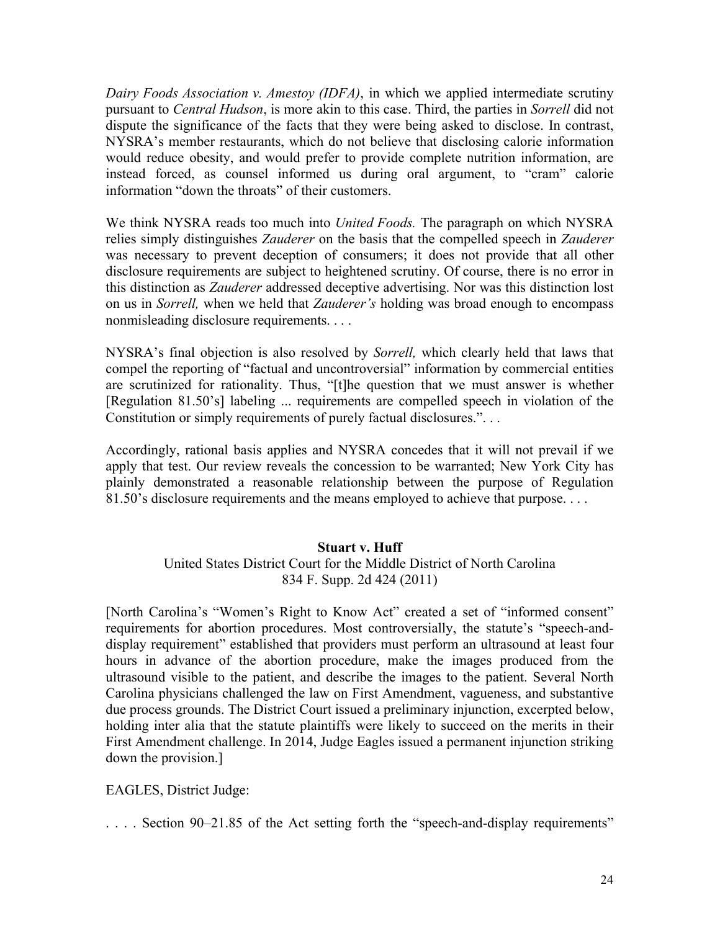*Dairy Foods Association v. Amestoy (IDFA)*, in which we applied intermediate scrutiny pursuant to *Central Hudson*, is more akin to this case. Third, the parties in *Sorrell* did not dispute the significance of the facts that they were being asked to disclose. In contrast, NYSRA's member restaurants, which do not believe that disclosing calorie information would reduce obesity, and would prefer to provide complete nutrition information, are instead forced, as counsel informed us during oral argument, to "cram" calorie information "down the throats" of their customers.

We think NYSRA reads too much into *United Foods.* The paragraph on which NYSRA relies simply distinguishes *Zauderer* on the basis that the compelled speech in *Zauderer* was necessary to prevent deception of consumers; it does not provide that all other disclosure requirements are subject to heightened scrutiny. Of course, there is no error in this distinction as *Zauderer* addressed deceptive advertising. Nor was this distinction lost on us in *Sorrell,* when we held that *Zauderer's* holding was broad enough to encompass nonmisleading disclosure requirements. . . .

NYSRA's final objection is also resolved by *Sorrell,* which clearly held that laws that compel the reporting of "factual and uncontroversial" information by commercial entities are scrutinized for rationality. Thus, "[t]he question that we must answer is whether [Regulation 81.50's] labeling ... requirements are compelled speech in violation of the Constitution or simply requirements of purely factual disclosures.". . .

Accordingly, rational basis applies and NYSRA concedes that it will not prevail if we apply that test. Our review reveals the concession to be warranted; New York City has plainly demonstrated a reasonable relationship between the purpose of Regulation 81.50's disclosure requirements and the means employed to achieve that purpose. . . .

## **Stuart v. Huff**

## United States District Court for the Middle District of North Carolina 834 F. Supp. 2d 424 (2011)

[North Carolina's "Women's Right to Know Act" created a set of "informed consent" requirements for abortion procedures. Most controversially, the statute's "speech-anddisplay requirement" established that providers must perform an ultrasound at least four hours in advance of the abortion procedure, make the images produced from the ultrasound visible to the patient, and describe the images to the patient. Several North Carolina physicians challenged the law on First Amendment, vagueness, and substantive due process grounds. The District Court issued a preliminary injunction, excerpted below, holding inter alia that the statute plaintiffs were likely to succeed on the merits in their First Amendment challenge. In 2014, Judge Eagles issued a permanent injunction striking down the provision.]

EAGLES, District Judge:

. . . . Section 90–21.85 of the Act setting forth the "speech-and-display requirements"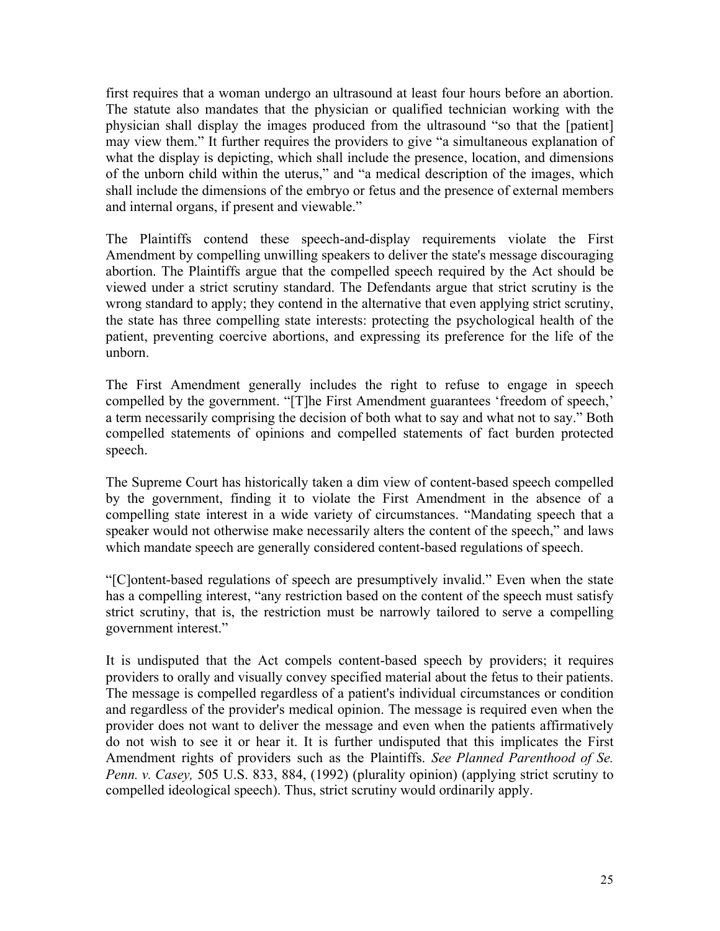first requires that a woman undergo an ultrasound at least four hours before an abortion. The statute also mandates that the physician or qualified technician working with the physician shall display the images produced from the ultrasound "so that the [patient] may view them." It further requires the providers to give "a simultaneous explanation of what the display is depicting, which shall include the presence, location, and dimensions of the unborn child within the uterus," and "a medical description of the images, which shall include the dimensions of the embryo or fetus and the presence of external members and internal organs, if present and viewable."

The Plaintiffs contend these speech-and-display requirements violate the First Amendment by compelling unwilling speakers to deliver the state's message discouraging abortion. The Plaintiffs argue that the compelled speech required by the Act should be viewed under a strict scrutiny standard. The Defendants argue that strict scrutiny is the wrong standard to apply; they contend in the alternative that even applying strict scrutiny, the state has three compelling state interests: protecting the psychological health of the patient, preventing coercive abortions, and expressing its preference for the life of the unborn.

The First Amendment generally includes the right to refuse to engage in speech compelled by the government. "[T]he First Amendment guarantees 'freedom of speech,' a term necessarily comprising the decision of both what to say and what not to say." Both compelled statements of opinions and compelled statements of fact burden protected speech.

The Supreme Court has historically taken a dim view of content-based speech compelled by the government, finding it to violate the First Amendment in the absence of a compelling state interest in a wide variety of circumstances. "Mandating speech that a speaker would not otherwise make necessarily alters the content of the speech," and laws which mandate speech are generally considered content-based regulations of speech.

"[C]ontent-based regulations of speech are presumptively invalid." Even when the state has a compelling interest, "any restriction based on the content of the speech must satisfy strict scrutiny, that is, the restriction must be narrowly tailored to serve a compelling government interest."

It is undisputed that the Act compels content-based speech by providers; it requires providers to orally and visually convey specified material about the fetus to their patients. The message is compelled regardless of a patient's individual circumstances or condition and regardless of the provider's medical opinion. The message is required even when the provider does not want to deliver the message and even when the patients affirmatively do not wish to see it or hear it. It is further undisputed that this implicates the First Amendment rights of providers such as the Plaintiffs. *See Planned Parenthood of Se. Penn. v. Casey,* 505 U.S. 833, 884, (1992) (plurality opinion) (applying strict scrutiny to compelled ideological speech). Thus, strict scrutiny would ordinarily apply.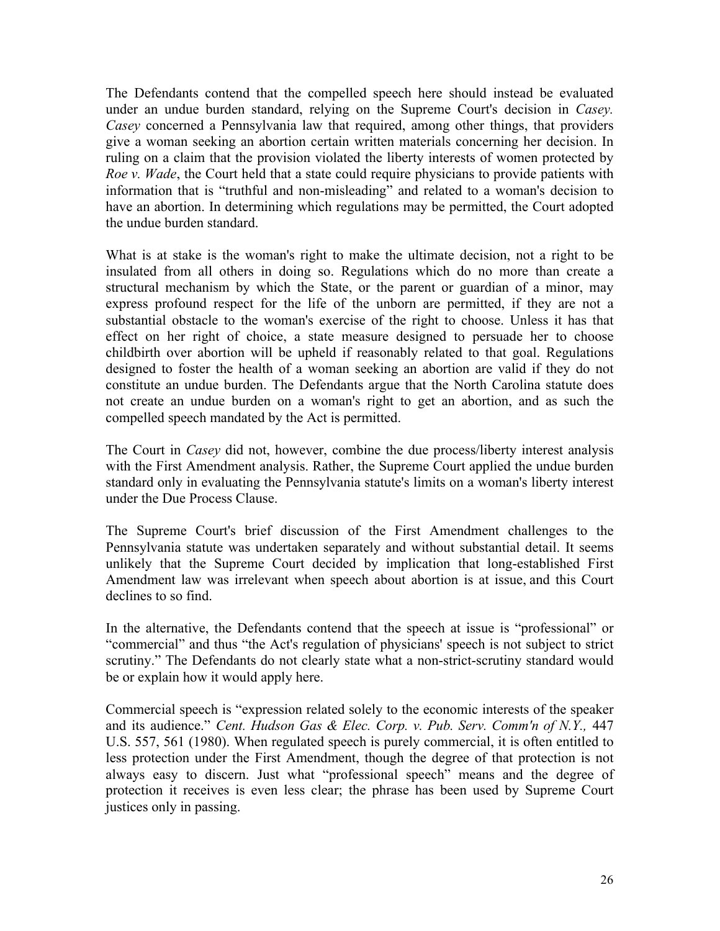The Defendants contend that the compelled speech here should instead be evaluated under an undue burden standard, relying on the Supreme Court's decision in *Casey. Casey* concerned a Pennsylvania law that required, among other things, that providers give a woman seeking an abortion certain written materials concerning her decision. In ruling on a claim that the provision violated the liberty interests of women protected by *Roe v. Wade*, the Court held that a state could require physicians to provide patients with information that is "truthful and non-misleading" and related to a woman's decision to have an abortion. In determining which regulations may be permitted, the Court adopted the undue burden standard.

What is at stake is the woman's right to make the ultimate decision, not a right to be insulated from all others in doing so. Regulations which do no more than create a structural mechanism by which the State, or the parent or guardian of a minor, may express profound respect for the life of the unborn are permitted, if they are not a substantial obstacle to the woman's exercise of the right to choose. Unless it has that effect on her right of choice, a state measure designed to persuade her to choose childbirth over abortion will be upheld if reasonably related to that goal. Regulations designed to foster the health of a woman seeking an abortion are valid if they do not constitute an undue burden. The Defendants argue that the North Carolina statute does not create an undue burden on a woman's right to get an abortion, and as such the compelled speech mandated by the Act is permitted.

The Court in *Casey* did not, however, combine the due process/liberty interest analysis with the First Amendment analysis. Rather, the Supreme Court applied the undue burden standard only in evaluating the Pennsylvania statute's limits on a woman's liberty interest under the Due Process Clause.

The Supreme Court's brief discussion of the First Amendment challenges to the Pennsylvania statute was undertaken separately and without substantial detail. It seems unlikely that the Supreme Court decided by implication that long-established First Amendment law was irrelevant when speech about abortion is at issue, and this Court declines to so find.

In the alternative, the Defendants contend that the speech at issue is "professional" or "commercial" and thus "the Act's regulation of physicians' speech is not subject to strict scrutiny." The Defendants do not clearly state what a non-strict-scrutiny standard would be or explain how it would apply here.

Commercial speech is "expression related solely to the economic interests of the speaker and its audience." *Cent. Hudson Gas & Elec. Corp. v. Pub. Serv. Comm'n of N.Y.,* 447 U.S. 557, 561 (1980). When regulated speech is purely commercial, it is often entitled to less protection under the First Amendment, though the degree of that protection is not always easy to discern. Just what "professional speech" means and the degree of protection it receives is even less clear; the phrase has been used by Supreme Court justices only in passing.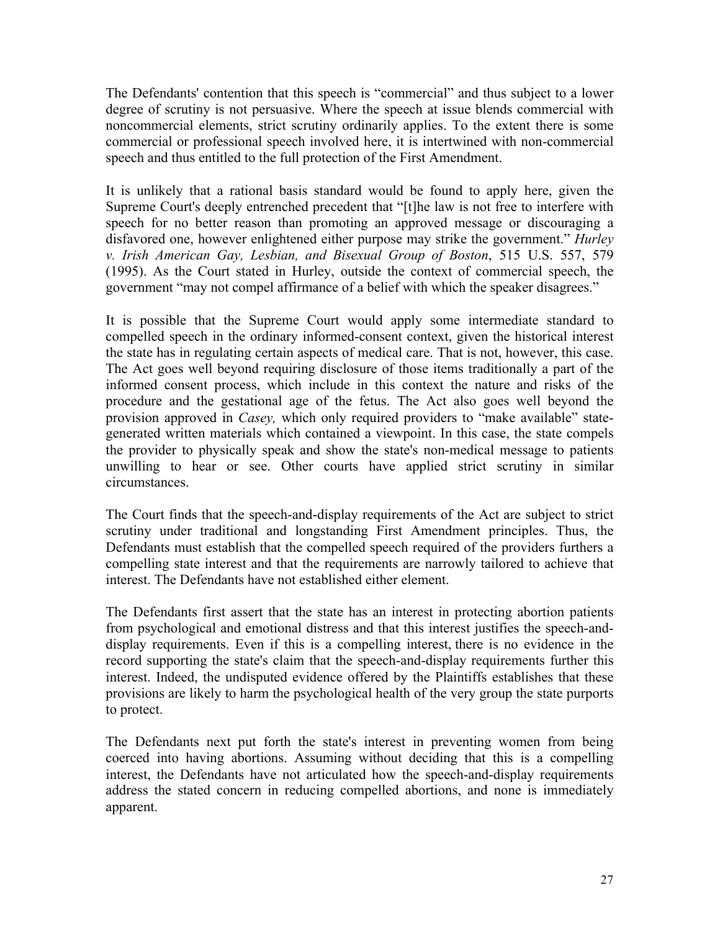The Defendants' contention that this speech is "commercial" and thus subject to a lower degree of scrutiny is not persuasive. Where the speech at issue blends commercial with noncommercial elements, strict scrutiny ordinarily applies. To the extent there is some commercial or professional speech involved here, it is intertwined with non-commercial speech and thus entitled to the full protection of the First Amendment.

It is unlikely that a rational basis standard would be found to apply here, given the Supreme Court's deeply entrenched precedent that "[t]he law is not free to interfere with speech for no better reason than promoting an approved message or discouraging a disfavored one, however enlightened either purpose may strike the government." *Hurley v. Irish American Gay, Lesbian, and Bisexual Group of Boston*, 515 U.S. 557, 579 (1995). As the Court stated in Hurley, outside the context of commercial speech, the government "may not compel affirmance of a belief with which the speaker disagrees."

It is possible that the Supreme Court would apply some intermediate standard to compelled speech in the ordinary informed-consent context, given the historical interest the state has in regulating certain aspects of medical care. That is not, however, this case. The Act goes well beyond requiring disclosure of those items traditionally a part of the informed consent process, which include in this context the nature and risks of the procedure and the gestational age of the fetus. The Act also goes well beyond the provision approved in *Casey,* which only required providers to "make available" stategenerated written materials which contained a viewpoint. In this case, the state compels the provider to physically speak and show the state's non-medical message to patients unwilling to hear or see. Other courts have applied strict scrutiny in similar circumstances.

The Court finds that the speech-and-display requirements of the Act are subject to strict scrutiny under traditional and longstanding First Amendment principles. Thus, the Defendants must establish that the compelled speech required of the providers furthers a compelling state interest and that the requirements are narrowly tailored to achieve that interest. The Defendants have not established either element.

The Defendants first assert that the state has an interest in protecting abortion patients from psychological and emotional distress and that this interest justifies the speech-anddisplay requirements. Even if this is a compelling interest, there is no evidence in the record supporting the state's claim that the speech-and-display requirements further this interest. Indeed, the undisputed evidence offered by the Plaintiffs establishes that these provisions are likely to harm the psychological health of the very group the state purports to protect.

The Defendants next put forth the state's interest in preventing women from being coerced into having abortions. Assuming without deciding that this is a compelling interest, the Defendants have not articulated how the speech-and-display requirements address the stated concern in reducing compelled abortions, and none is immediately apparent.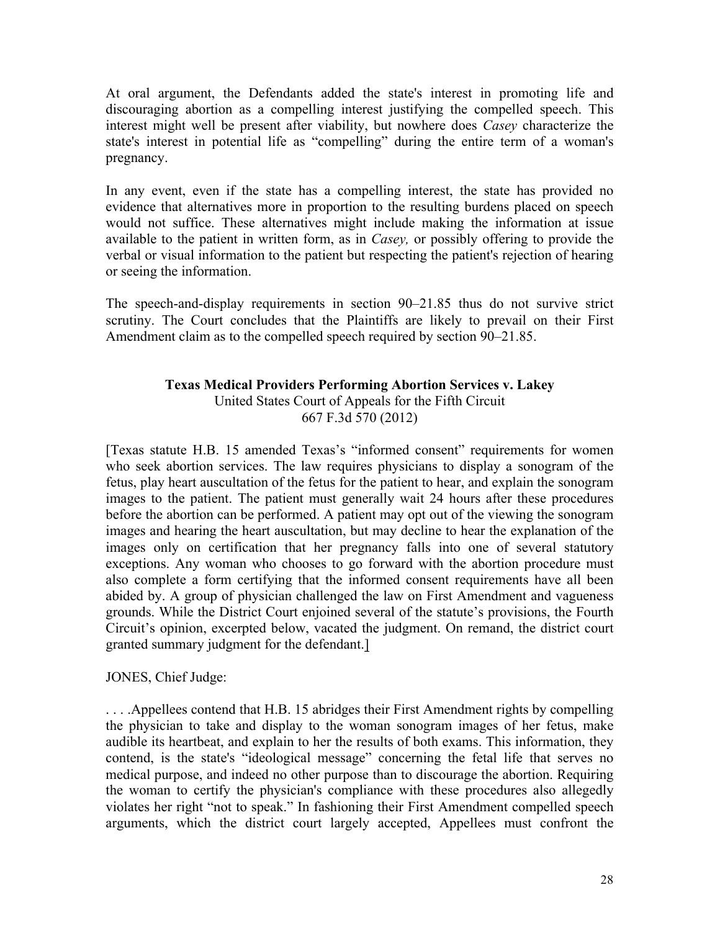At oral argument, the Defendants added the state's interest in promoting life and discouraging abortion as a compelling interest justifying the compelled speech. This interest might well be present after viability, but nowhere does *Casey* characterize the state's interest in potential life as "compelling" during the entire term of a woman's pregnancy.

In any event, even if the state has a compelling interest, the state has provided no evidence that alternatives more in proportion to the resulting burdens placed on speech would not suffice. These alternatives might include making the information at issue available to the patient in written form, as in *Casey,* or possibly offering to provide the verbal or visual information to the patient but respecting the patient's rejection of hearing or seeing the information.

The speech-and-display requirements in section 90–21.85 thus do not survive strict scrutiny. The Court concludes that the Plaintiffs are likely to prevail on their First Amendment claim as to the compelled speech required by section 90–21.85.

# **Texas Medical Providers Performing Abortion Services v. Lakey**

United States Court of Appeals for the Fifth Circuit 667 F.3d 570 (2012)

[Texas statute H.B. 15 amended Texas's "informed consent" requirements for women who seek abortion services. The law requires physicians to display a sonogram of the fetus, play heart auscultation of the fetus for the patient to hear, and explain the sonogram images to the patient. The patient must generally wait 24 hours after these procedures before the abortion can be performed. A patient may opt out of the viewing the sonogram images and hearing the heart auscultation, but may decline to hear the explanation of the images only on certification that her pregnancy falls into one of several statutory exceptions. Any woman who chooses to go forward with the abortion procedure must also complete a form certifying that the informed consent requirements have all been abided by. A group of physician challenged the law on First Amendment and vagueness grounds. While the District Court enjoined several of the statute's provisions, the Fourth Circuit's opinion, excerpted below, vacated the judgment. On remand, the district court granted summary judgment for the defendant.]

JONES, Chief Judge:

. . . .Appellees contend that H.B. 15 abridges their First Amendment rights by compelling the physician to take and display to the woman sonogram images of her fetus, make audible its heartbeat, and explain to her the results of both exams. This information, they contend, is the state's "ideological message" concerning the fetal life that serves no medical purpose, and indeed no other purpose than to discourage the abortion. Requiring the woman to certify the physician's compliance with these procedures also allegedly violates her right "not to speak." In fashioning their First Amendment compelled speech arguments, which the district court largely accepted, Appellees must confront the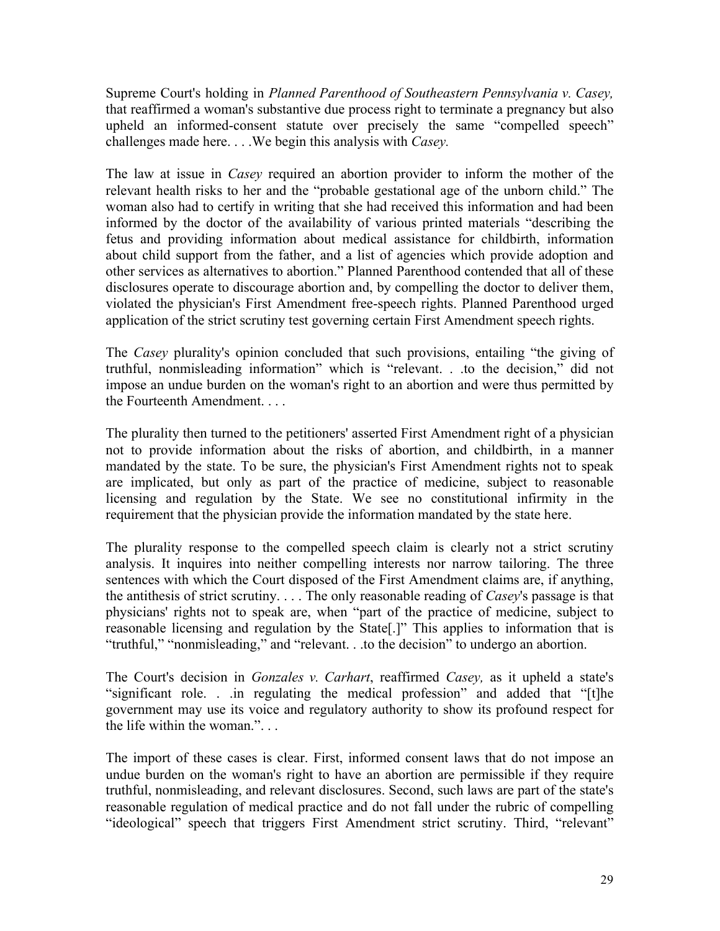Supreme Court's holding in *Planned Parenthood of Southeastern Pennsylvania v. Casey,* that reaffirmed a woman's substantive due process right to terminate a pregnancy but also upheld an informed-consent statute over precisely the same "compelled speech" challenges made here. . . .We begin this analysis with *Casey.*

The law at issue in *Casey* required an abortion provider to inform the mother of the relevant health risks to her and the "probable gestational age of the unborn child." The woman also had to certify in writing that she had received this information and had been informed by the doctor of the availability of various printed materials "describing the fetus and providing information about medical assistance for childbirth, information about child support from the father, and a list of agencies which provide adoption and other services as alternatives to abortion." Planned Parenthood contended that all of these disclosures operate to discourage abortion and, by compelling the doctor to deliver them, violated the physician's First Amendment free-speech rights. Planned Parenthood urged application of the strict scrutiny test governing certain First Amendment speech rights.

The *Casey* plurality's opinion concluded that such provisions, entailing "the giving of truthful, nonmisleading information" which is "relevant. . .to the decision," did not impose an undue burden on the woman's right to an abortion and were thus permitted by the Fourteenth Amendment. . . .

The plurality then turned to the petitioners' asserted First Amendment right of a physician not to provide information about the risks of abortion, and childbirth, in a manner mandated by the state. To be sure, the physician's First Amendment rights not to speak are implicated, but only as part of the practice of medicine, subject to reasonable licensing and regulation by the State. We see no constitutional infirmity in the requirement that the physician provide the information mandated by the state here.

The plurality response to the compelled speech claim is clearly not a strict scrutiny analysis. It inquires into neither compelling interests nor narrow tailoring. The three sentences with which the Court disposed of the First Amendment claims are, if anything, the antithesis of strict scrutiny. . . . The only reasonable reading of *Casey*'s passage is that physicians' rights not to speak are, when "part of the practice of medicine, subject to reasonable licensing and regulation by the State[.]" This applies to information that is "truthful," "nonmisleading," and "relevant. . .to the decision" to undergo an abortion.

The Court's decision in *Gonzales v. Carhart*, reaffirmed *Casey,* as it upheld a state's "significant role. . .in regulating the medical profession" and added that "[t]he government may use its voice and regulatory authority to show its profound respect for the life within the woman.". . .

The import of these cases is clear. First, informed consent laws that do not impose an undue burden on the woman's right to have an abortion are permissible if they require truthful, nonmisleading, and relevant disclosures. Second, such laws are part of the state's reasonable regulation of medical practice and do not fall under the rubric of compelling "ideological" speech that triggers First Amendment strict scrutiny. Third, "relevant"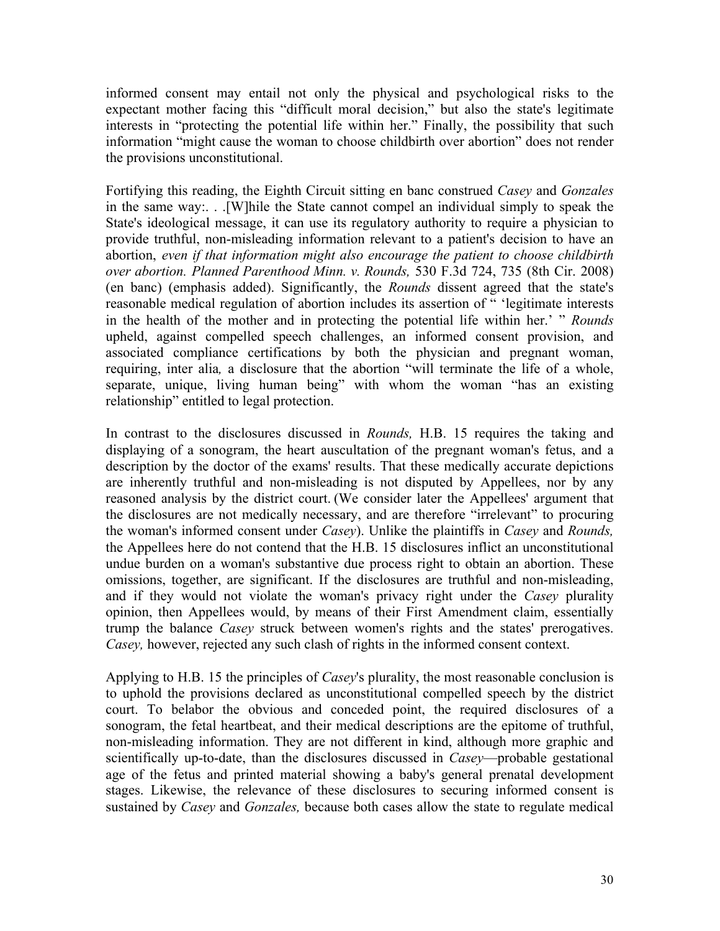informed consent may entail not only the physical and psychological risks to the expectant mother facing this "difficult moral decision," but also the state's legitimate interests in "protecting the potential life within her." Finally, the possibility that such information "might cause the woman to choose childbirth over abortion" does not render the provisions unconstitutional.

Fortifying this reading, the Eighth Circuit sitting en banc construed *Casey* and *Gonzales* in the same way:. . .[W]hile the State cannot compel an individual simply to speak the State's ideological message, it can use its regulatory authority to require a physician to provide truthful, non-misleading information relevant to a patient's decision to have an abortion, *even if that information might also encourage the patient to choose childbirth over abortion. Planned Parenthood Minn. v. Rounds,* 530 F.3d 724, 735 (8th Cir. 2008) (en banc) (emphasis added). Significantly, the *Rounds* dissent agreed that the state's reasonable medical regulation of abortion includes its assertion of " 'legitimate interests in the health of the mother and in protecting the potential life within her.' " *Rounds* upheld, against compelled speech challenges, an informed consent provision, and associated compliance certifications by both the physician and pregnant woman, requiring, inter alia*,* a disclosure that the abortion "will terminate the life of a whole, separate, unique, living human being" with whom the woman "has an existing relationship" entitled to legal protection.

In contrast to the disclosures discussed in *Rounds,* H.B. 15 requires the taking and displaying of a sonogram, the heart auscultation of the pregnant woman's fetus, and a description by the doctor of the exams' results. That these medically accurate depictions are inherently truthful and non-misleading is not disputed by Appellees, nor by any reasoned analysis by the district court. (We consider later the Appellees' argument that the disclosures are not medically necessary, and are therefore "irrelevant" to procuring the woman's informed consent under *Casey*). Unlike the plaintiffs in *Casey* and *Rounds,* the Appellees here do not contend that the H.B. 15 disclosures inflict an unconstitutional undue burden on a woman's substantive due process right to obtain an abortion. These omissions, together, are significant. If the disclosures are truthful and non-misleading, and if they would not violate the woman's privacy right under the *Casey* plurality opinion, then Appellees would, by means of their First Amendment claim, essentially trump the balance *Casey* struck between women's rights and the states' prerogatives. *Casey,* however, rejected any such clash of rights in the informed consent context.

Applying to H.B. 15 the principles of *Casey*'s plurality, the most reasonable conclusion is to uphold the provisions declared as unconstitutional compelled speech by the district court. To belabor the obvious and conceded point, the required disclosures of a sonogram, the fetal heartbeat, and their medical descriptions are the epitome of truthful, non-misleading information. They are not different in kind, although more graphic and scientifically up-to-date, than the disclosures discussed in *Casey*—probable gestational age of the fetus and printed material showing a baby's general prenatal development stages. Likewise, the relevance of these disclosures to securing informed consent is sustained by *Casey* and *Gonzales,* because both cases allow the state to regulate medical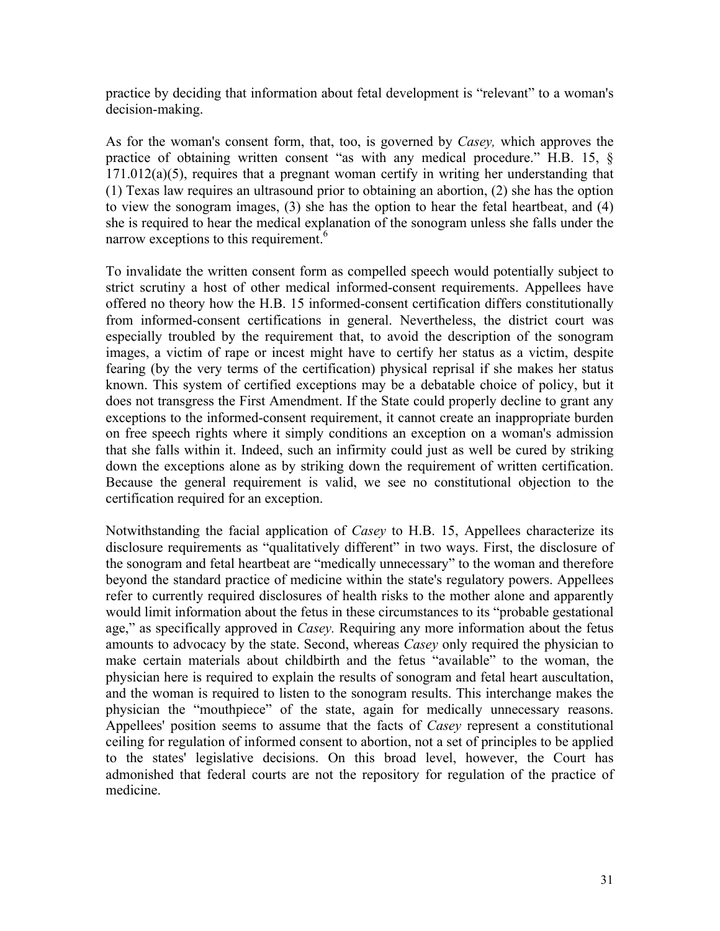practice by deciding that information about fetal development is "relevant" to a woman's decision-making.

As for the woman's consent form, that, too, is governed by *Casey,* which approves the practice of obtaining written consent "as with any medical procedure." H.B. 15, §  $171.012(a)(5)$ , requires that a pregnant woman certify in writing her understanding that (1) Texas law requires an ultrasound prior to obtaining an abortion, (2) she has the option to view the sonogram images, (3) she has the option to hear the fetal heartbeat, and (4) she is required to hear the medical explanation of the sonogram unless she falls under the narrow exceptions to this requirement.<sup>6</sup>

To invalidate the written consent form as compelled speech would potentially subject to strict scrutiny a host of other medical informed-consent requirements. Appellees have offered no theory how the H.B. 15 informed-consent certification differs constitutionally from informed-consent certifications in general. Nevertheless, the district court was especially troubled by the requirement that, to avoid the description of the sonogram images, a victim of rape or incest might have to certify her status as a victim, despite fearing (by the very terms of the certification) physical reprisal if she makes her status known. This system of certified exceptions may be a debatable choice of policy, but it does not transgress the First Amendment. If the State could properly decline to grant any exceptions to the informed-consent requirement, it cannot create an inappropriate burden on free speech rights where it simply conditions an exception on a woman's admission that she falls within it. Indeed, such an infirmity could just as well be cured by striking down the exceptions alone as by striking down the requirement of written certification. Because the general requirement is valid, we see no constitutional objection to the certification required for an exception.

Notwithstanding the facial application of *Casey* to H.B. 15, Appellees characterize its disclosure requirements as "qualitatively different" in two ways. First, the disclosure of the sonogram and fetal heartbeat are "medically unnecessary" to the woman and therefore beyond the standard practice of medicine within the state's regulatory powers. Appellees refer to currently required disclosures of health risks to the mother alone and apparently would limit information about the fetus in these circumstances to its "probable gestational age," as specifically approved in *Casey.* Requiring any more information about the fetus amounts to advocacy by the state. Second, whereas *Casey* only required the physician to make certain materials about childbirth and the fetus "available" to the woman, the physician here is required to explain the results of sonogram and fetal heart auscultation, and the woman is required to listen to the sonogram results. This interchange makes the physician the "mouthpiece" of the state, again for medically unnecessary reasons. Appellees' position seems to assume that the facts of *Casey* represent a constitutional ceiling for regulation of informed consent to abortion, not a set of principles to be applied to the states' legislative decisions. On this broad level, however, the Court has admonished that federal courts are not the repository for regulation of the practice of medicine.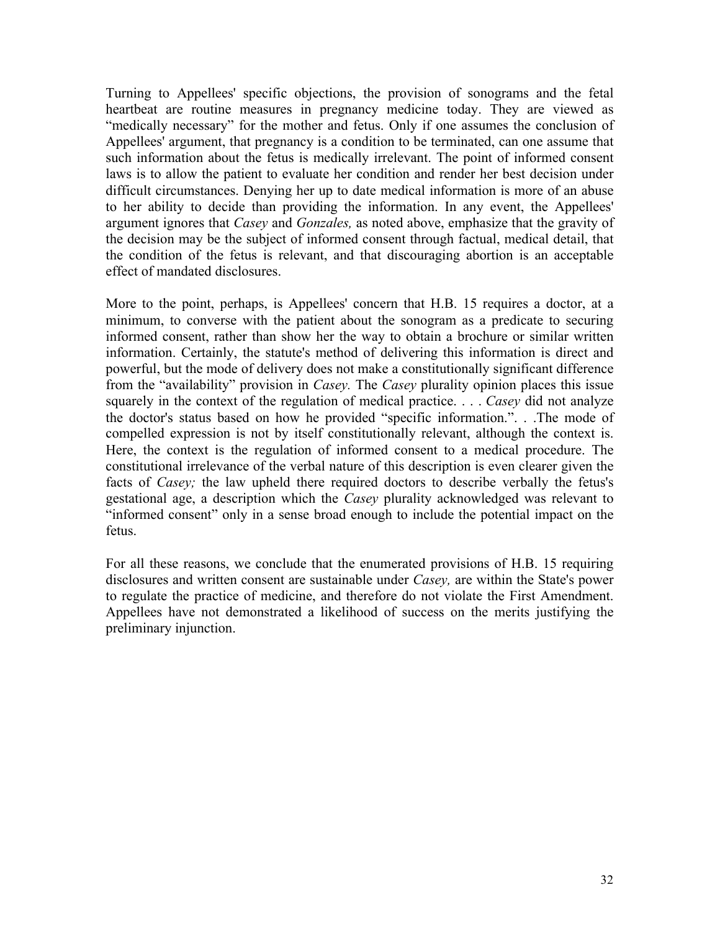Turning to Appellees' specific objections, the provision of sonograms and the fetal heartbeat are routine measures in pregnancy medicine today. They are viewed as "medically necessary" for the mother and fetus. Only if one assumes the conclusion of Appellees' argument, that pregnancy is a condition to be terminated, can one assume that such information about the fetus is medically irrelevant. The point of informed consent laws is to allow the patient to evaluate her condition and render her best decision under difficult circumstances. Denying her up to date medical information is more of an abuse to her ability to decide than providing the information. In any event, the Appellees' argument ignores that *Casey* and *Gonzales,* as noted above, emphasize that the gravity of the decision may be the subject of informed consent through factual, medical detail, that the condition of the fetus is relevant, and that discouraging abortion is an acceptable effect of mandated disclosures.

More to the point, perhaps, is Appellees' concern that H.B. 15 requires a doctor, at a minimum, to converse with the patient about the sonogram as a predicate to securing informed consent, rather than show her the way to obtain a brochure or similar written information. Certainly, the statute's method of delivering this information is direct and powerful, but the mode of delivery does not make a constitutionally significant difference from the "availability" provision in *Casey.* The *Casey* plurality opinion places this issue squarely in the context of the regulation of medical practice. . . . *Casey* did not analyze the doctor's status based on how he provided "specific information.". . .The mode of compelled expression is not by itself constitutionally relevant, although the context is. Here, the context is the regulation of informed consent to a medical procedure. The constitutional irrelevance of the verbal nature of this description is even clearer given the facts of *Casey;* the law upheld there required doctors to describe verbally the fetus's gestational age, a description which the *Casey* plurality acknowledged was relevant to "informed consent" only in a sense broad enough to include the potential impact on the fetus.

For all these reasons, we conclude that the enumerated provisions of H.B. 15 requiring disclosures and written consent are sustainable under *Casey,* are within the State's power to regulate the practice of medicine, and therefore do not violate the First Amendment. Appellees have not demonstrated a likelihood of success on the merits justifying the preliminary injunction.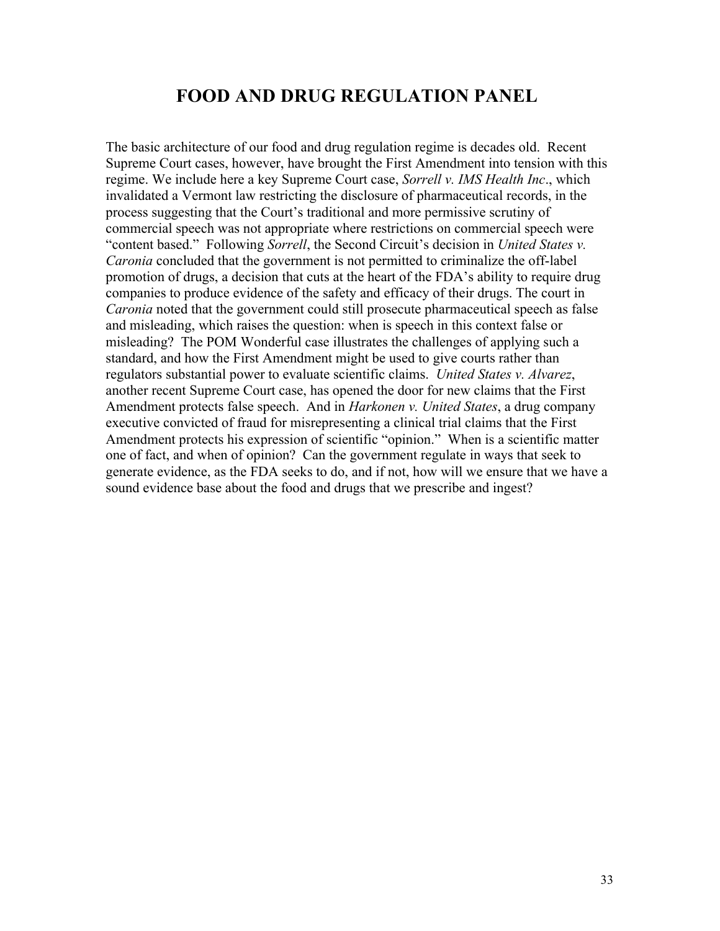# **FOOD AND DRUG REGULATION PANEL**

The basic architecture of our food and drug regulation regime is decades old. Recent Supreme Court cases, however, have brought the First Amendment into tension with this regime. We include here a key Supreme Court case, *Sorrell v. IMS Health Inc*., which invalidated a Vermont law restricting the disclosure of pharmaceutical records, in the process suggesting that the Court's traditional and more permissive scrutiny of commercial speech was not appropriate where restrictions on commercial speech were "content based." Following *Sorrell*, the Second Circuit's decision in *United States v. Caronia* concluded that the government is not permitted to criminalize the off-label promotion of drugs, a decision that cuts at the heart of the FDA's ability to require drug companies to produce evidence of the safety and efficacy of their drugs. The court in *Caronia* noted that the government could still prosecute pharmaceutical speech as false and misleading, which raises the question: when is speech in this context false or misleading? The POM Wonderful case illustrates the challenges of applying such a standard, and how the First Amendment might be used to give courts rather than regulators substantial power to evaluate scientific claims. *United States v. Alvarez*, another recent Supreme Court case, has opened the door for new claims that the First Amendment protects false speech. And in *Harkonen v. United States*, a drug company executive convicted of fraud for misrepresenting a clinical trial claims that the First Amendment protects his expression of scientific "opinion." When is a scientific matter one of fact, and when of opinion? Can the government regulate in ways that seek to generate evidence, as the FDA seeks to do, and if not, how will we ensure that we have a sound evidence base about the food and drugs that we prescribe and ingest?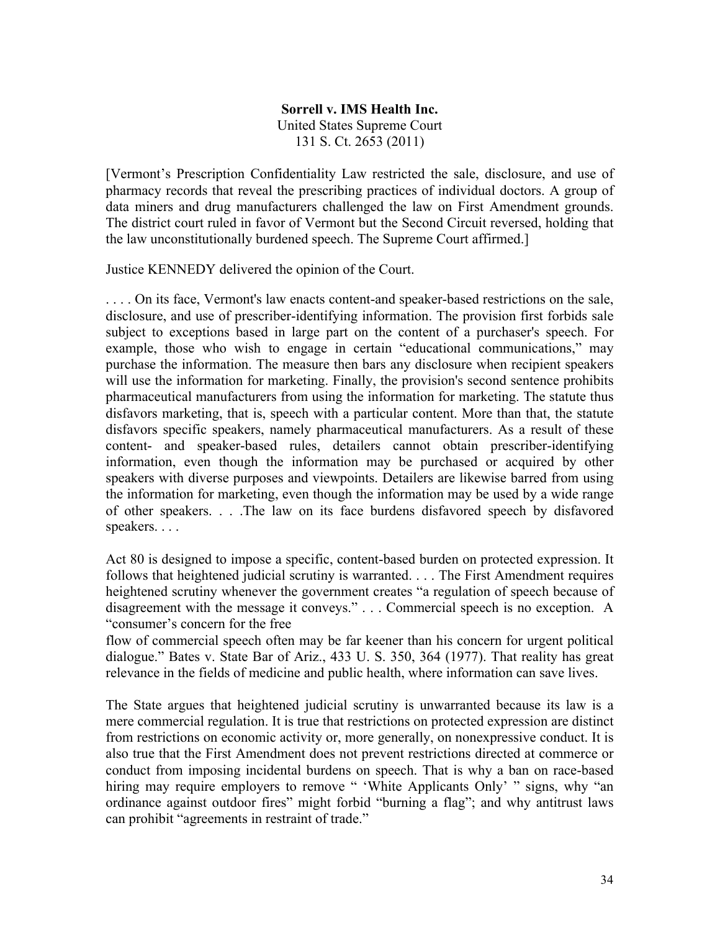## **Sorrell v. IMS Health Inc.** United States Supreme Court

131 S. Ct. 2653 (2011)

[Vermont's Prescription Confidentiality Law restricted the sale, disclosure, and use of pharmacy records that reveal the prescribing practices of individual doctors. A group of data miners and drug manufacturers challenged the law on First Amendment grounds. The district court ruled in favor of Vermont but the Second Circuit reversed, holding that the law unconstitutionally burdened speech. The Supreme Court affirmed.]

Justice KENNEDY delivered the opinion of the Court.

. . . . On its face, Vermont's law enacts content-and speaker-based restrictions on the sale, disclosure, and use of prescriber-identifying information. The provision first forbids sale subject to exceptions based in large part on the content of a purchaser's speech. For example, those who wish to engage in certain "educational communications," may purchase the information. The measure then bars any disclosure when recipient speakers will use the information for marketing. Finally, the provision's second sentence prohibits pharmaceutical manufacturers from using the information for marketing. The statute thus disfavors marketing, that is, speech with a particular content. More than that, the statute disfavors specific speakers, namely pharmaceutical manufacturers. As a result of these content- and speaker-based rules, detailers cannot obtain prescriber-identifying information, even though the information may be purchased or acquired by other speakers with diverse purposes and viewpoints. Detailers are likewise barred from using the information for marketing, even though the information may be used by a wide range of other speakers. . . .The law on its face burdens disfavored speech by disfavored speakers. . . .

Act 80 is designed to impose a specific, content-based burden on protected expression. It follows that heightened judicial scrutiny is warranted. . . . The First Amendment requires heightened scrutiny whenever the government creates "a regulation of speech because of disagreement with the message it conveys." . . . Commercial speech is no exception. A "consumer's concern for the free

flow of commercial speech often may be far keener than his concern for urgent political dialogue." Bates v. State Bar of Ariz., 433 U. S. 350, 364 (1977). That reality has great relevance in the fields of medicine and public health, where information can save lives.

The State argues that heightened judicial scrutiny is unwarranted because its law is a mere commercial regulation. It is true that restrictions on protected expression are distinct from restrictions on economic activity or, more generally, on nonexpressive conduct. It is also true that the First Amendment does not prevent restrictions directed at commerce or conduct from imposing incidental burdens on speech. That is why a ban on race-based hiring may require employers to remove " 'White Applicants Only' " signs, why "an ordinance against outdoor fires" might forbid "burning a flag"; and why antitrust laws can prohibit "agreements in restraint of trade."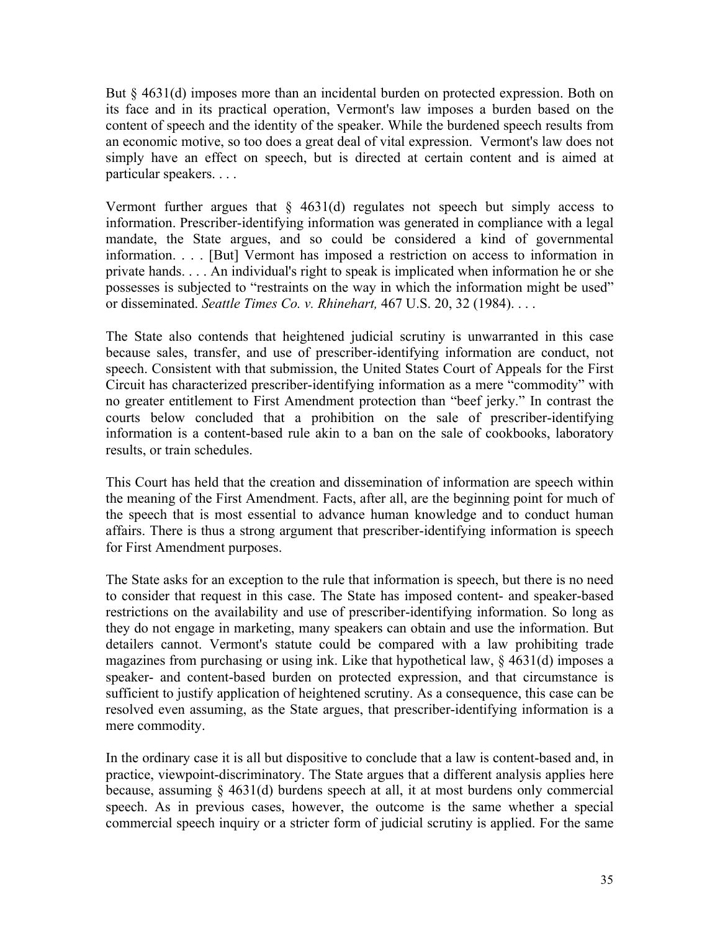But § 4631(d) imposes more than an incidental burden on protected expression. Both on its face and in its practical operation, Vermont's law imposes a burden based on the content of speech and the identity of the speaker. While the burdened speech results from an economic motive, so too does a great deal of vital expression. Vermont's law does not simply have an effect on speech, but is directed at certain content and is aimed at particular speakers. . . .

Vermont further argues that  $\S$  4631(d) regulates not speech but simply access to information. Prescriber-identifying information was generated in compliance with a legal mandate, the State argues, and so could be considered a kind of governmental information. . . . [But] Vermont has imposed a restriction on access to information in private hands. . . . An individual's right to speak is implicated when information he or she possesses is subjected to "restraints on the way in which the information might be used" or disseminated. *Seattle Times Co. v. Rhinehart,* 467 U.S. 20, 32 (1984). . . .

The State also contends that heightened judicial scrutiny is unwarranted in this case because sales, transfer, and use of prescriber-identifying information are conduct, not speech. Consistent with that submission, the United States Court of Appeals for the First Circuit has characterized prescriber-identifying information as a mere "commodity" with no greater entitlement to First Amendment protection than "beef jerky." In contrast the courts below concluded that a prohibition on the sale of prescriber-identifying information is a content-based rule akin to a ban on the sale of cookbooks, laboratory results, or train schedules.

This Court has held that the creation and dissemination of information are speech within the meaning of the First Amendment. Facts, after all, are the beginning point for much of the speech that is most essential to advance human knowledge and to conduct human affairs. There is thus a strong argument that prescriber-identifying information is speech for First Amendment purposes.

The State asks for an exception to the rule that information is speech, but there is no need to consider that request in this case. The State has imposed content- and speaker-based restrictions on the availability and use of prescriber-identifying information. So long as they do not engage in marketing, many speakers can obtain and use the information. But detailers cannot. Vermont's statute could be compared with a law prohibiting trade magazines from purchasing or using ink. Like that hypothetical law, § 4631(d) imposes a speaker- and content-based burden on protected expression, and that circumstance is sufficient to justify application of heightened scrutiny. As a consequence, this case can be resolved even assuming, as the State argues, that prescriber-identifying information is a mere commodity.

In the ordinary case it is all but dispositive to conclude that a law is content-based and, in practice, viewpoint-discriminatory. The State argues that a different analysis applies here because, assuming § 4631(d) burdens speech at all, it at most burdens only commercial speech. As in previous cases, however, the outcome is the same whether a special commercial speech inquiry or a stricter form of judicial scrutiny is applied. For the same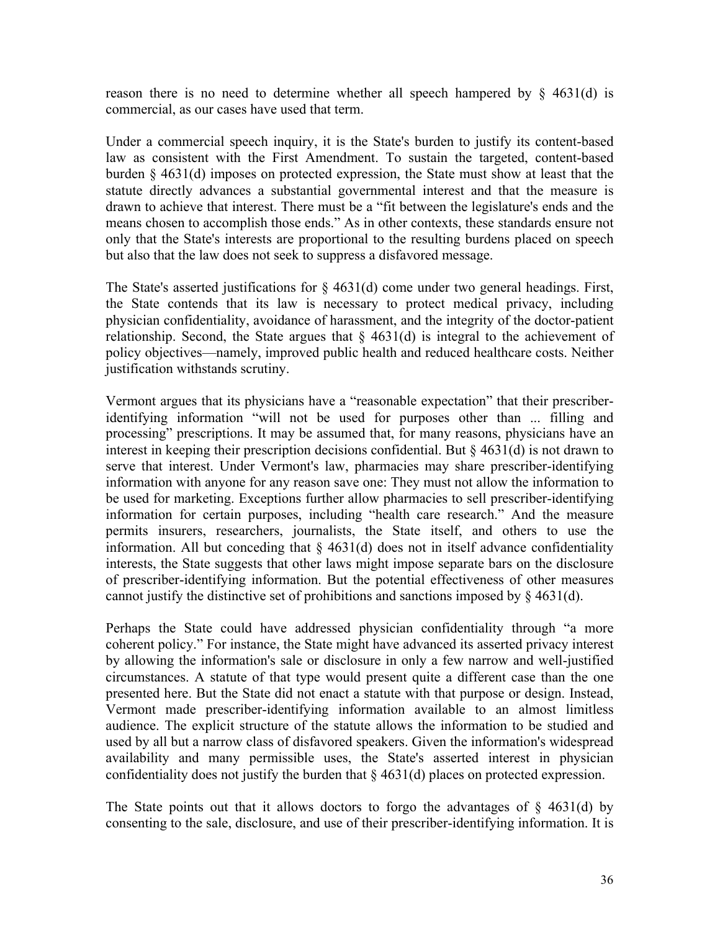reason there is no need to determine whether all speech hampered by  $\S$  4631(d) is commercial, as our cases have used that term.

Under a commercial speech inquiry, it is the State's burden to justify its content-based law as consistent with the First Amendment. To sustain the targeted, content-based burden § 4631(d) imposes on protected expression, the State must show at least that the statute directly advances a substantial governmental interest and that the measure is drawn to achieve that interest. There must be a "fit between the legislature's ends and the means chosen to accomplish those ends." As in other contexts, these standards ensure not only that the State's interests are proportional to the resulting burdens placed on speech but also that the law does not seek to suppress a disfavored message.

The State's asserted justifications for § 4631(d) come under two general headings. First, the State contends that its law is necessary to protect medical privacy, including physician confidentiality, avoidance of harassment, and the integrity of the doctor-patient relationship. Second, the State argues that  $\S$  4631(d) is integral to the achievement of policy objectives—namely, improved public health and reduced healthcare costs. Neither justification withstands scrutiny.

Vermont argues that its physicians have a "reasonable expectation" that their prescriberidentifying information "will not be used for purposes other than ... filling and processing" prescriptions. It may be assumed that, for many reasons, physicians have an interest in keeping their prescription decisions confidential. But § 4631(d) is not drawn to serve that interest. Under Vermont's law, pharmacies may share prescriber-identifying information with anyone for any reason save one: They must not allow the information to be used for marketing. Exceptions further allow pharmacies to sell prescriber-identifying information for certain purposes, including "health care research." And the measure permits insurers, researchers, journalists, the State itself, and others to use the information. All but conceding that  $\S$  4631(d) does not in itself advance confidentiality interests, the State suggests that other laws might impose separate bars on the disclosure of prescriber-identifying information. But the potential effectiveness of other measures cannot justify the distinctive set of prohibitions and sanctions imposed by § 4631(d).

Perhaps the State could have addressed physician confidentiality through "a more coherent policy." For instance, the State might have advanced its asserted privacy interest by allowing the information's sale or disclosure in only a few narrow and well-justified circumstances. A statute of that type would present quite a different case than the one presented here. But the State did not enact a statute with that purpose or design. Instead, Vermont made prescriber-identifying information available to an almost limitless audience. The explicit structure of the statute allows the information to be studied and used by all but a narrow class of disfavored speakers. Given the information's widespread availability and many permissible uses, the State's asserted interest in physician confidentiality does not justify the burden that  $\S$  4631(d) places on protected expression.

The State points out that it allows doctors to forgo the advantages of  $\S$  4631(d) by consenting to the sale, disclosure, and use of their prescriber-identifying information. It is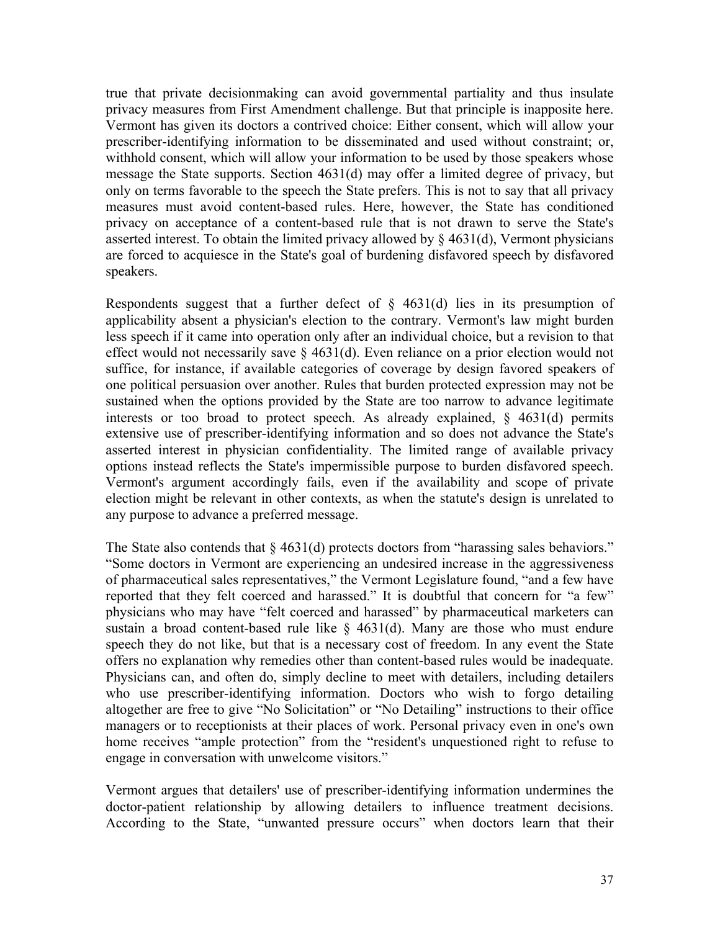true that private decisionmaking can avoid governmental partiality and thus insulate privacy measures from First Amendment challenge. But that principle is inapposite here. Vermont has given its doctors a contrived choice: Either consent, which will allow your prescriber-identifying information to be disseminated and used without constraint; or, withhold consent, which will allow your information to be used by those speakers whose message the State supports. Section 4631(d) may offer a limited degree of privacy, but only on terms favorable to the speech the State prefers. This is not to say that all privacy measures must avoid content-based rules. Here, however, the State has conditioned privacy on acceptance of a content-based rule that is not drawn to serve the State's asserted interest. To obtain the limited privacy allowed by  $\S$  4631(d), Vermont physicians are forced to acquiesce in the State's goal of burdening disfavored speech by disfavored speakers.

Respondents suggest that a further defect of  $\S$  4631(d) lies in its presumption of applicability absent a physician's election to the contrary. Vermont's law might burden less speech if it came into operation only after an individual choice, but a revision to that effect would not necessarily save § 4631(d). Even reliance on a prior election would not suffice, for instance, if available categories of coverage by design favored speakers of one political persuasion over another. Rules that burden protected expression may not be sustained when the options provided by the State are too narrow to advance legitimate interests or too broad to protect speech. As already explained, § 4631(d) permits extensive use of prescriber-identifying information and so does not advance the State's asserted interest in physician confidentiality. The limited range of available privacy options instead reflects the State's impermissible purpose to burden disfavored speech. Vermont's argument accordingly fails, even if the availability and scope of private election might be relevant in other contexts, as when the statute's design is unrelated to any purpose to advance a preferred message.

The State also contends that § 4631(d) protects doctors from "harassing sales behaviors." "Some doctors in Vermont are experiencing an undesired increase in the aggressiveness of pharmaceutical sales representatives," the Vermont Legislature found, "and a few have reported that they felt coerced and harassed." It is doubtful that concern for "a few" physicians who may have "felt coerced and harassed" by pharmaceutical marketers can sustain a broad content-based rule like  $\S$  4631(d). Many are those who must endure speech they do not like, but that is a necessary cost of freedom. In any event the State offers no explanation why remedies other than content-based rules would be inadequate. Physicians can, and often do, simply decline to meet with detailers, including detailers who use prescriber-identifying information. Doctors who wish to forgo detailing altogether are free to give "No Solicitation" or "No Detailing" instructions to their office managers or to receptionists at their places of work. Personal privacy even in one's own home receives "ample protection" from the "resident's unquestioned right to refuse to engage in conversation with unwelcome visitors."

Vermont argues that detailers' use of prescriber-identifying information undermines the doctor-patient relationship by allowing detailers to influence treatment decisions. According to the State, "unwanted pressure occurs" when doctors learn that their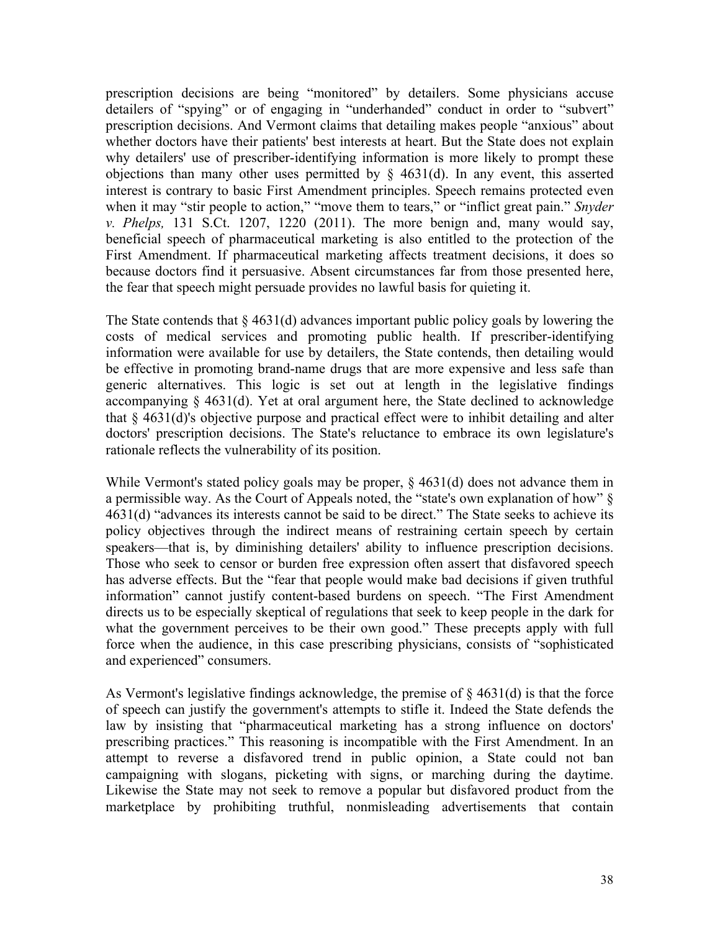prescription decisions are being "monitored" by detailers. Some physicians accuse detailers of "spying" or of engaging in "underhanded" conduct in order to "subvert" prescription decisions. And Vermont claims that detailing makes people "anxious" about whether doctors have their patients' best interests at heart. But the State does not explain why detailers' use of prescriber-identifying information is more likely to prompt these objections than many other uses permitted by  $\S$  4631(d). In any event, this asserted interest is contrary to basic First Amendment principles. Speech remains protected even when it may "stir people to action," "move them to tears," or "inflict great pain." *Snyder v. Phelps,* 131 S.Ct. 1207, 1220 (2011). The more benign and, many would say, beneficial speech of pharmaceutical marketing is also entitled to the protection of the First Amendment. If pharmaceutical marketing affects treatment decisions, it does so because doctors find it persuasive. Absent circumstances far from those presented here, the fear that speech might persuade provides no lawful basis for quieting it.

The State contends that  $\S 4631(d)$  advances important public policy goals by lowering the costs of medical services and promoting public health. If prescriber-identifying information were available for use by detailers, the State contends, then detailing would be effective in promoting brand-name drugs that are more expensive and less safe than generic alternatives. This logic is set out at length in the legislative findings accompanying § 4631(d). Yet at oral argument here, the State declined to acknowledge that § 4631(d)'s objective purpose and practical effect were to inhibit detailing and alter doctors' prescription decisions. The State's reluctance to embrace its own legislature's rationale reflects the vulnerability of its position.

While Vermont's stated policy goals may be proper,  $\S$  4631(d) does not advance them in a permissible way. As the Court of Appeals noted, the "state's own explanation of how" § 4631(d) "advances its interests cannot be said to be direct." The State seeks to achieve its policy objectives through the indirect means of restraining certain speech by certain speakers—that is, by diminishing detailers' ability to influence prescription decisions. Those who seek to censor or burden free expression often assert that disfavored speech has adverse effects. But the "fear that people would make bad decisions if given truthful information" cannot justify content-based burdens on speech. "The First Amendment directs us to be especially skeptical of regulations that seek to keep people in the dark for what the government perceives to be their own good." These precepts apply with full force when the audience, in this case prescribing physicians, consists of "sophisticated and experienced" consumers.

As Vermont's legislative findings acknowledge, the premise of  $\S$  4631(d) is that the force of speech can justify the government's attempts to stifle it. Indeed the State defends the law by insisting that "pharmaceutical marketing has a strong influence on doctors' prescribing practices." This reasoning is incompatible with the First Amendment. In an attempt to reverse a disfavored trend in public opinion, a State could not ban campaigning with slogans, picketing with signs, or marching during the daytime. Likewise the State may not seek to remove a popular but disfavored product from the marketplace by prohibiting truthful, nonmisleading advertisements that contain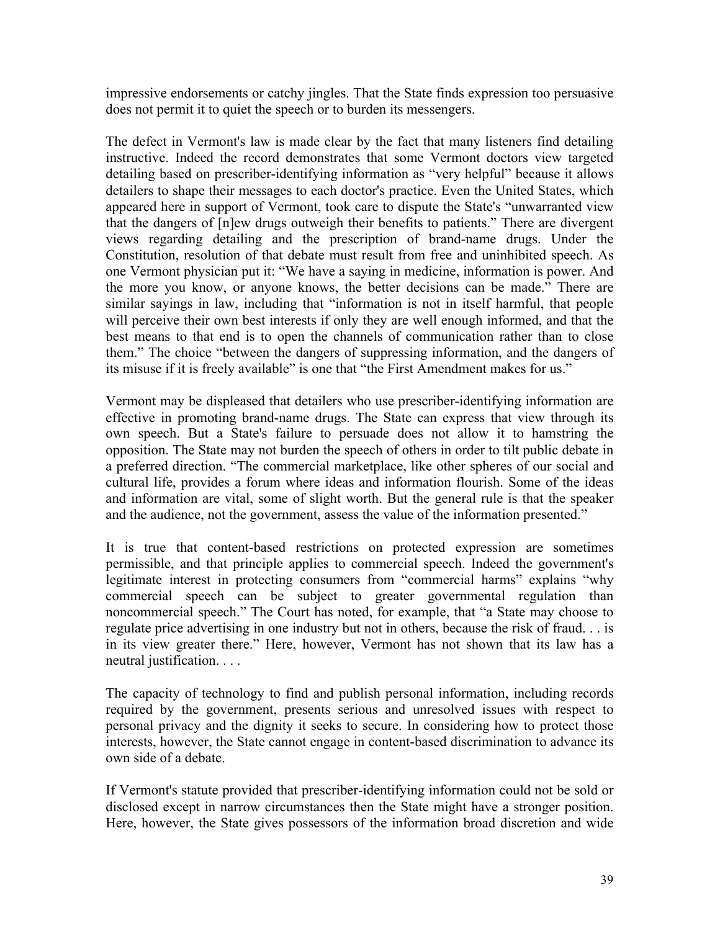impressive endorsements or catchy jingles. That the State finds expression too persuasive does not permit it to quiet the speech or to burden its messengers.

The defect in Vermont's law is made clear by the fact that many listeners find detailing instructive. Indeed the record demonstrates that some Vermont doctors view targeted detailing based on prescriber-identifying information as "very helpful" because it allows detailers to shape their messages to each doctor's practice. Even the United States, which appeared here in support of Vermont, took care to dispute the State's "unwarranted view that the dangers of [n]ew drugs outweigh their benefits to patients." There are divergent views regarding detailing and the prescription of brand-name drugs. Under the Constitution, resolution of that debate must result from free and uninhibited speech. As one Vermont physician put it: "We have a saying in medicine, information is power. And the more you know, or anyone knows, the better decisions can be made." There are similar sayings in law, including that "information is not in itself harmful, that people will perceive their own best interests if only they are well enough informed, and that the best means to that end is to open the channels of communication rather than to close them." The choice "between the dangers of suppressing information, and the dangers of its misuse if it is freely available" is one that "the First Amendment makes for us."

Vermont may be displeased that detailers who use prescriber-identifying information are effective in promoting brand-name drugs. The State can express that view through its own speech. But a State's failure to persuade does not allow it to hamstring the opposition. The State may not burden the speech of others in order to tilt public debate in a preferred direction. "The commercial marketplace, like other spheres of our social and cultural life, provides a forum where ideas and information flourish. Some of the ideas and information are vital, some of slight worth. But the general rule is that the speaker and the audience, not the government, assess the value of the information presented."

It is true that content-based restrictions on protected expression are sometimes permissible, and that principle applies to commercial speech. Indeed the government's legitimate interest in protecting consumers from "commercial harms" explains "why commercial speech can be subject to greater governmental regulation than noncommercial speech." The Court has noted, for example, that "a State may choose to regulate price advertising in one industry but not in others, because the risk of fraud. . . is in its view greater there." Here, however, Vermont has not shown that its law has a neutral justification. . . .

The capacity of technology to find and publish personal information, including records required by the government, presents serious and unresolved issues with respect to personal privacy and the dignity it seeks to secure. In considering how to protect those interests, however, the State cannot engage in content-based discrimination to advance its own side of a debate.

If Vermont's statute provided that prescriber-identifying information could not be sold or disclosed except in narrow circumstances then the State might have a stronger position. Here, however, the State gives possessors of the information broad discretion and wide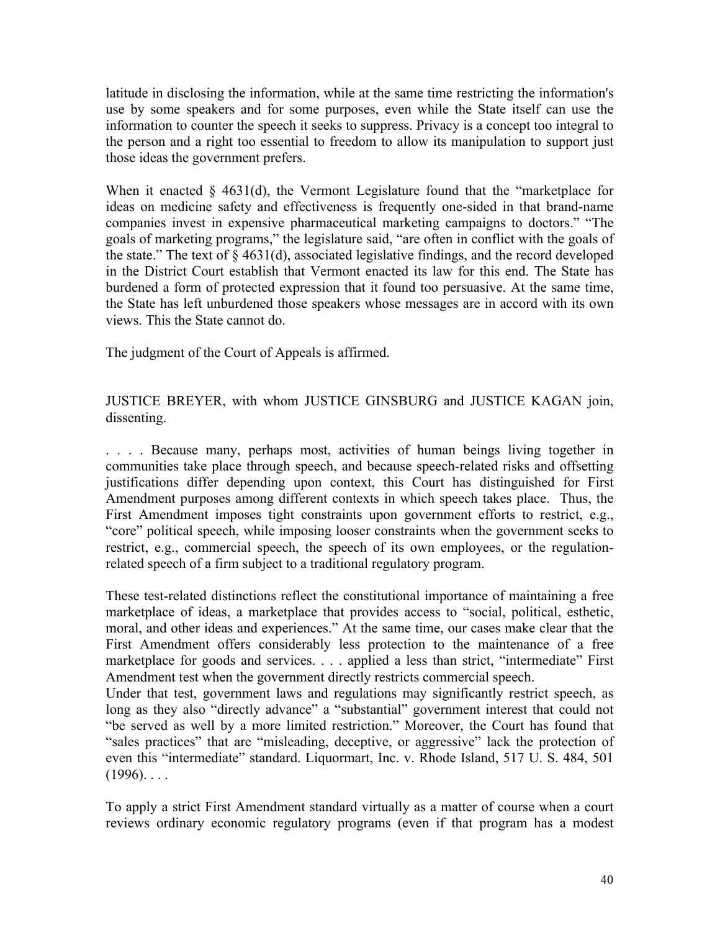latitude in disclosing the information, while at the same time restricting the information's use by some speakers and for some purposes, even while the State itself can use the information to counter the speech it seeks to suppress. Privacy is a concept too integral to the person and a right too essential to freedom to allow its manipulation to support just those ideas the government prefers.

When it enacted  $\S$  4631(d), the Vermont Legislature found that the "marketplace for ideas on medicine safety and effectiveness is frequently one-sided in that brand-name companies invest in expensive pharmaceutical marketing campaigns to doctors." "The goals of marketing programs," the legislature said, "are often in conflict with the goals of the state." The text of § 4631(d), associated legislative findings, and the record developed in the District Court establish that Vermont enacted its law for this end. The State has burdened a form of protected expression that it found too persuasive. At the same time, the State has left unburdened those speakers whose messages are in accord with its own views. This the State cannot do.

The judgment of the Court of Appeals is affirmed.

JUSTICE BREYER, with whom JUSTICE GINSBURG and JUSTICE KAGAN join, dissenting.

. . . . Because many, perhaps most, activities of human beings living together in communities take place through speech, and because speech-related risks and offsetting justifications differ depending upon context, this Court has distinguished for First Amendment purposes among different contexts in which speech takes place. Thus, the First Amendment imposes tight constraints upon government efforts to restrict, e.g., "core" political speech, while imposing looser constraints when the government seeks to restrict, e.g., commercial speech, the speech of its own employees, or the regulationrelated speech of a firm subject to a traditional regulatory program.

These test-related distinctions reflect the constitutional importance of maintaining a free marketplace of ideas, a marketplace that provides access to "social, political, esthetic, moral, and other ideas and experiences." At the same time, our cases make clear that the First Amendment offers considerably less protection to the maintenance of a free marketplace for goods and services. . . . applied a less than strict, "intermediate" First Amendment test when the government directly restricts commercial speech.

Under that test, government laws and regulations may significantly restrict speech, as long as they also "directly advance" a "substantial" government interest that could not "be served as well by a more limited restriction." Moreover, the Court has found that "sales practices" that are "misleading, deceptive, or aggressive" lack the protection of even this "intermediate" standard. Liquormart, Inc. v. Rhode Island, 517 U. S. 484, 501  $(1996)$ ...

To apply a strict First Amendment standard virtually as a matter of course when a court reviews ordinary economic regulatory programs (even if that program has a modest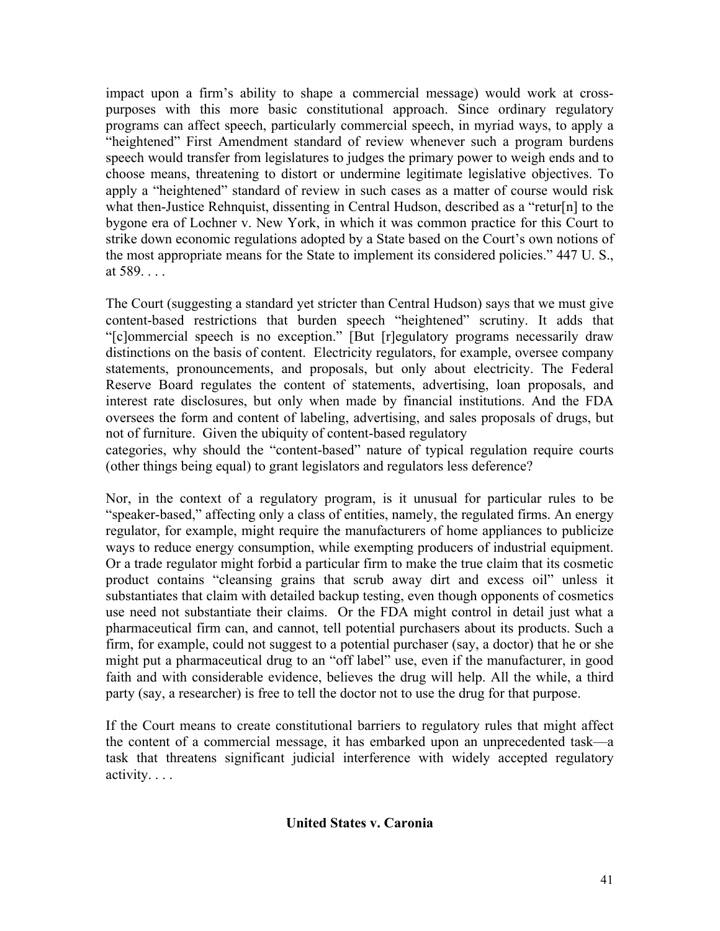impact upon a firm's ability to shape a commercial message) would work at crosspurposes with this more basic constitutional approach. Since ordinary regulatory programs can affect speech, particularly commercial speech, in myriad ways, to apply a "heightened" First Amendment standard of review whenever such a program burdens speech would transfer from legislatures to judges the primary power to weigh ends and to choose means, threatening to distort or undermine legitimate legislative objectives. To apply a "heightened" standard of review in such cases as a matter of course would risk what then-Justice Rehnquist, dissenting in Central Hudson, described as a "retur[n] to the bygone era of Lochner v. New York, in which it was common practice for this Court to strike down economic regulations adopted by a State based on the Court's own notions of the most appropriate means for the State to implement its considered policies." 447 U. S., at 589. . . .

The Court (suggesting a standard yet stricter than Central Hudson) says that we must give content-based restrictions that burden speech "heightened" scrutiny. It adds that "[c]ommercial speech is no exception." [But [r]egulatory programs necessarily draw distinctions on the basis of content. Electricity regulators, for example, oversee company statements, pronouncements, and proposals, but only about electricity. The Federal Reserve Board regulates the content of statements, advertising, loan proposals, and interest rate disclosures, but only when made by financial institutions. And the FDA oversees the form and content of labeling, advertising, and sales proposals of drugs, but not of furniture. Given the ubiquity of content-based regulatory

categories, why should the "content-based" nature of typical regulation require courts (other things being equal) to grant legislators and regulators less deference?

Nor, in the context of a regulatory program, is it unusual for particular rules to be "speaker-based," affecting only a class of entities, namely, the regulated firms. An energy regulator, for example, might require the manufacturers of home appliances to publicize ways to reduce energy consumption, while exempting producers of industrial equipment. Or a trade regulator might forbid a particular firm to make the true claim that its cosmetic product contains "cleansing grains that scrub away dirt and excess oil" unless it substantiates that claim with detailed backup testing, even though opponents of cosmetics use need not substantiate their claims. Or the FDA might control in detail just what a pharmaceutical firm can, and cannot, tell potential purchasers about its products. Such a firm, for example, could not suggest to a potential purchaser (say, a doctor) that he or she might put a pharmaceutical drug to an "off label" use, even if the manufacturer, in good faith and with considerable evidence, believes the drug will help. All the while, a third party (say, a researcher) is free to tell the doctor not to use the drug for that purpose.

If the Court means to create constitutional barriers to regulatory rules that might affect the content of a commercial message, it has embarked upon an unprecedented task—a task that threatens significant judicial interference with widely accepted regulatory activity. . . .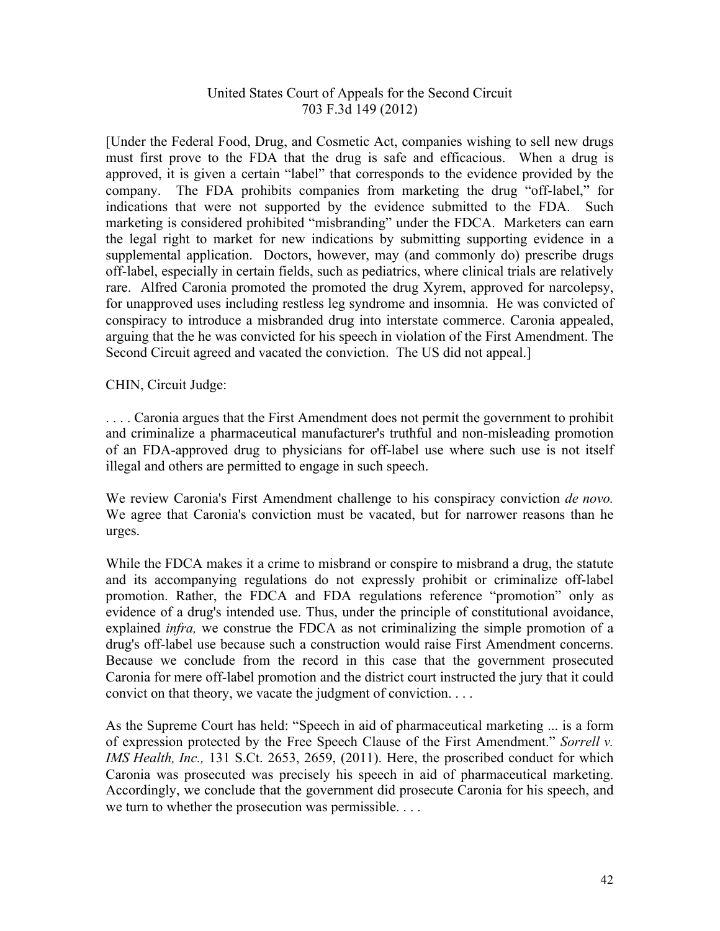## United States Court of Appeals for the Second Circuit 703 F.3d 149 (2012)

[Under the Federal Food, Drug, and Cosmetic Act, companies wishing to sell new drugs must first prove to the FDA that the drug is safe and efficacious. When a drug is approved, it is given a certain "label" that corresponds to the evidence provided by the company. The FDA prohibits companies from marketing the drug "off-label," for indications that were not supported by the evidence submitted to the FDA. Such marketing is considered prohibited "misbranding" under the FDCA. Marketers can earn the legal right to market for new indications by submitting supporting evidence in a supplemental application. Doctors, however, may (and commonly do) prescribe drugs off-label, especially in certain fields, such as pediatrics, where clinical trials are relatively rare. Alfred Caronia promoted the promoted the drug Xyrem, approved for narcolepsy, for unapproved uses including restless leg syndrome and insomnia. He was convicted of conspiracy to introduce a misbranded drug into interstate commerce. Caronia appealed, arguing that the he was convicted for his speech in violation of the First Amendment. The Second Circuit agreed and vacated the conviction. The US did not appeal.]

CHIN, Circuit Judge:

. . . . Caronia argues that the First Amendment does not permit the government to prohibit and criminalize a pharmaceutical manufacturer's truthful and non-misleading promotion of an FDA-approved drug to physicians for off-label use where such use is not itself illegal and others are permitted to engage in such speech.

We review Caronia's First Amendment challenge to his conspiracy conviction *de novo.*  We agree that Caronia's conviction must be vacated, but for narrower reasons than he urges.

While the FDCA makes it a crime to misbrand or conspire to misbrand a drug, the statute and its accompanying regulations do not expressly prohibit or criminalize off-label promotion. Rather, the FDCA and FDA regulations reference "promotion" only as evidence of a drug's intended use. Thus, under the principle of constitutional avoidance, explained *infra,* we construe the FDCA as not criminalizing the simple promotion of a drug's off-label use because such a construction would raise First Amendment concerns. Because we conclude from the record in this case that the government prosecuted Caronia for mere off-label promotion and the district court instructed the jury that it could convict on that theory, we vacate the judgment of conviction. . . .

As the Supreme Court has held: "Speech in aid of pharmaceutical marketing ... is a form of expression protected by the Free Speech Clause of the First Amendment." *Sorrell v. IMS Health, Inc.,* 131 S.Ct. 2653, 2659, (2011). Here, the proscribed conduct for which Caronia was prosecuted was precisely his speech in aid of pharmaceutical marketing. Accordingly, we conclude that the government did prosecute Caronia for his speech, and we turn to whether the prosecution was permissible. . . .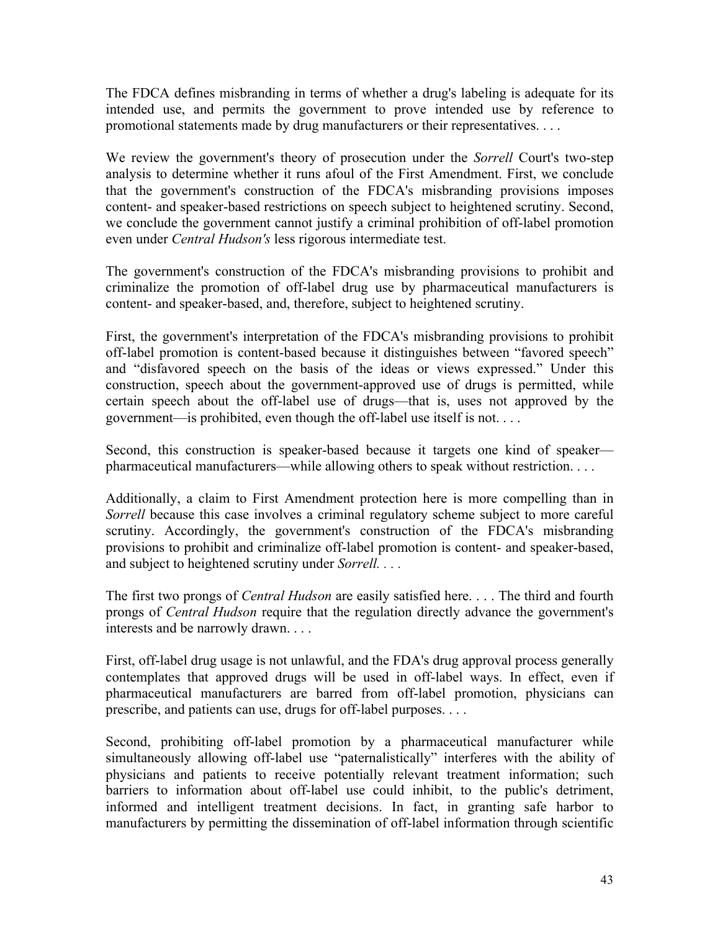The FDCA defines misbranding in terms of whether a drug's labeling is adequate for its intended use, and permits the government to prove intended use by reference to promotional statements made by drug manufacturers or their representatives. . . .

We review the government's theory of prosecution under the *Sorrell* Court's two-step analysis to determine whether it runs afoul of the First Amendment. First, we conclude that the government's construction of the FDCA's misbranding provisions imposes content- and speaker-based restrictions on speech subject to heightened scrutiny. Second, we conclude the government cannot justify a criminal prohibition of off-label promotion even under *Central Hudson's* less rigorous intermediate test.

The government's construction of the FDCA's misbranding provisions to prohibit and criminalize the promotion of off-label drug use by pharmaceutical manufacturers is content- and speaker-based, and, therefore, subject to heightened scrutiny.

First, the government's interpretation of the FDCA's misbranding provisions to prohibit off-label promotion is content-based because it distinguishes between "favored speech" and "disfavored speech on the basis of the ideas or views expressed." Under this construction, speech about the government-approved use of drugs is permitted, while certain speech about the off-label use of drugs—that is, uses not approved by the government—is prohibited, even though the off-label use itself is not. . . .

Second, this construction is speaker-based because it targets one kind of speaker pharmaceutical manufacturers—while allowing others to speak without restriction. . . .

Additionally, a claim to First Amendment protection here is more compelling than in *Sorrell* because this case involves a criminal regulatory scheme subject to more careful scrutiny. Accordingly, the government's construction of the FDCA's misbranding provisions to prohibit and criminalize off-label promotion is content- and speaker-based, and subject to heightened scrutiny under *Sorrell. . . .*

The first two prongs of *Central Hudson* are easily satisfied here. . . . The third and fourth prongs of *Central Hudson* require that the regulation directly advance the government's interests and be narrowly drawn. . . .

First, off-label drug usage is not unlawful, and the FDA's drug approval process generally contemplates that approved drugs will be used in off-label ways. In effect, even if pharmaceutical manufacturers are barred from off-label promotion, physicians can prescribe, and patients can use, drugs for off-label purposes. . . .

Second, prohibiting off-label promotion by a pharmaceutical manufacturer while simultaneously allowing off-label use "paternalistically" interferes with the ability of physicians and patients to receive potentially relevant treatment information; such barriers to information about off-label use could inhibit, to the public's detriment, informed and intelligent treatment decisions. In fact, in granting safe harbor to manufacturers by permitting the dissemination of off-label information through scientific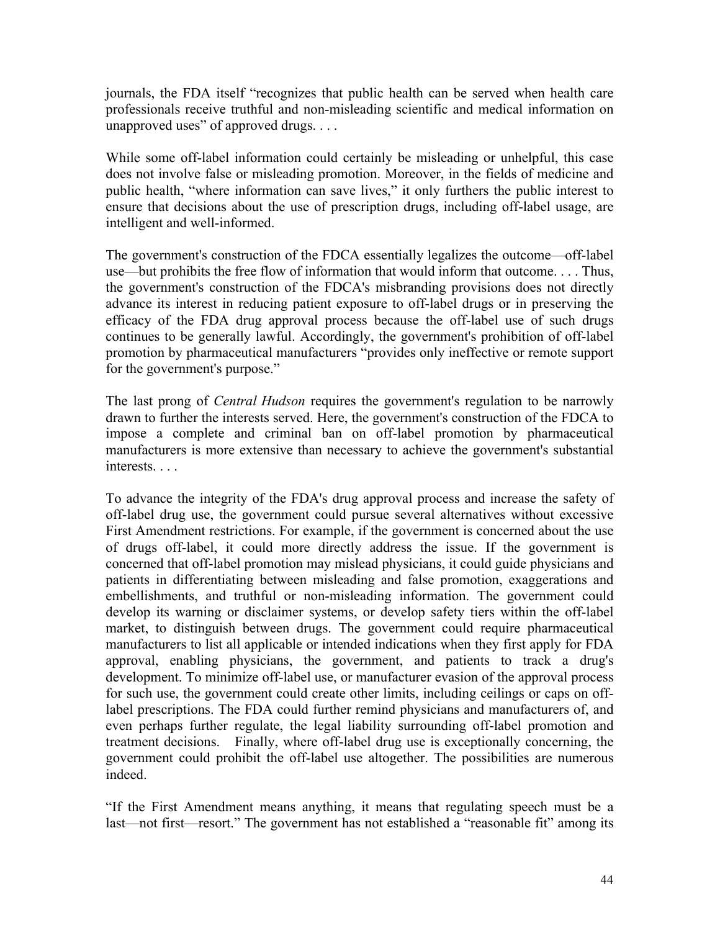journals, the FDA itself "recognizes that public health can be served when health care professionals receive truthful and non-misleading scientific and medical information on unapproved uses" of approved drugs. . . .

While some off-label information could certainly be misleading or unhelpful, this case does not involve false or misleading promotion. Moreover, in the fields of medicine and public health, "where information can save lives," it only furthers the public interest to ensure that decisions about the use of prescription drugs, including off-label usage, are intelligent and well-informed.

The government's construction of the FDCA essentially legalizes the outcome—off-label use—but prohibits the free flow of information that would inform that outcome. . . . Thus, the government's construction of the FDCA's misbranding provisions does not directly advance its interest in reducing patient exposure to off-label drugs or in preserving the efficacy of the FDA drug approval process because the off-label use of such drugs continues to be generally lawful. Accordingly, the government's prohibition of off-label promotion by pharmaceutical manufacturers "provides only ineffective or remote support for the government's purpose."

The last prong of *Central Hudson* requires the government's regulation to be narrowly drawn to further the interests served. Here, the government's construction of the FDCA to impose a complete and criminal ban on off-label promotion by pharmaceutical manufacturers is more extensive than necessary to achieve the government's substantial interests. . . .

To advance the integrity of the FDA's drug approval process and increase the safety of off-label drug use, the government could pursue several alternatives without excessive First Amendment restrictions. For example, if the government is concerned about the use of drugs off-label, it could more directly address the issue. If the government is concerned that off-label promotion may mislead physicians, it could guide physicians and patients in differentiating between misleading and false promotion, exaggerations and embellishments, and truthful or non-misleading information. The government could develop its warning or disclaimer systems, or develop safety tiers within the off-label market, to distinguish between drugs. The government could require pharmaceutical manufacturers to list all applicable or intended indications when they first apply for FDA approval, enabling physicians, the government, and patients to track a drug's development. To minimize off-label use, or manufacturer evasion of the approval process for such use, the government could create other limits, including ceilings or caps on offlabel prescriptions. The FDA could further remind physicians and manufacturers of, and even perhaps further regulate, the legal liability surrounding off-label promotion and treatment decisions. Finally, where off-label drug use is exceptionally concerning, the government could prohibit the off-label use altogether. The possibilities are numerous indeed.

"If the First Amendment means anything, it means that regulating speech must be a last—not first—resort." The government has not established a "reasonable fit" among its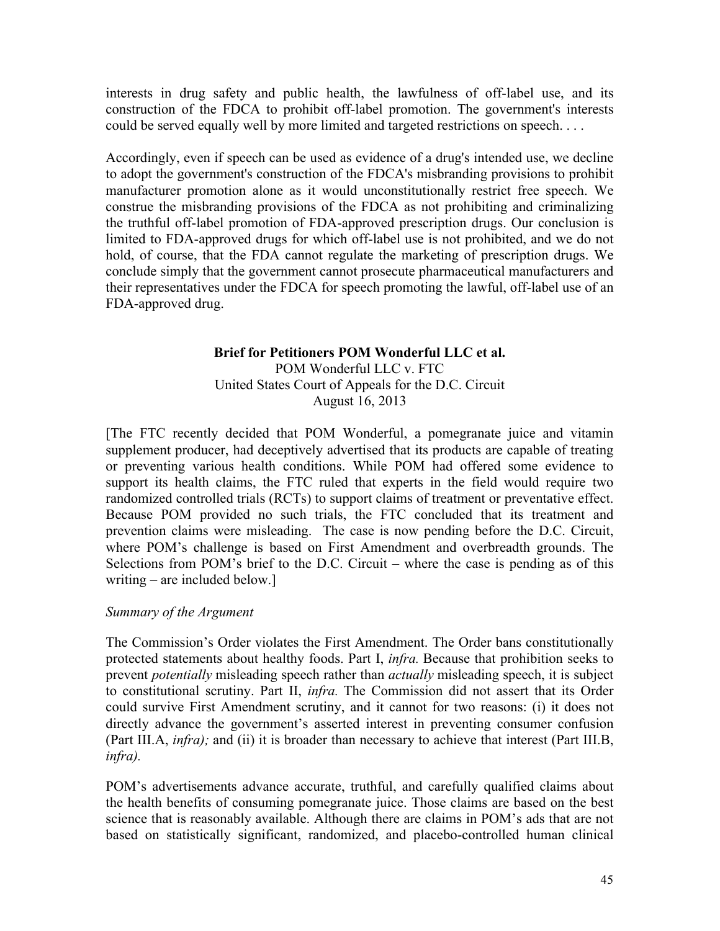interests in drug safety and public health, the lawfulness of off-label use, and its construction of the FDCA to prohibit off-label promotion. The government's interests could be served equally well by more limited and targeted restrictions on speech. . . .

Accordingly, even if speech can be used as evidence of a drug's intended use, we decline to adopt the government's construction of the FDCA's misbranding provisions to prohibit manufacturer promotion alone as it would unconstitutionally restrict free speech. We construe the misbranding provisions of the FDCA as not prohibiting and criminalizing the truthful off-label promotion of FDA-approved prescription drugs. Our conclusion is limited to FDA-approved drugs for which off-label use is not prohibited, and we do not hold, of course, that the FDA cannot regulate the marketing of prescription drugs. We conclude simply that the government cannot prosecute pharmaceutical manufacturers and their representatives under the FDCA for speech promoting the lawful, off-label use of an FDA-approved drug.

## **Brief for Petitioners POM Wonderful LLC et al.**

POM Wonderful LLC v. FTC United States Court of Appeals for the D.C. Circuit August 16, 2013

[The FTC recently decided that POM Wonderful, a pomegranate juice and vitamin supplement producer, had deceptively advertised that its products are capable of treating or preventing various health conditions. While POM had offered some evidence to support its health claims, the FTC ruled that experts in the field would require two randomized controlled trials (RCTs) to support claims of treatment or preventative effect. Because POM provided no such trials, the FTC concluded that its treatment and prevention claims were misleading. The case is now pending before the D.C. Circuit, where POM's challenge is based on First Amendment and overbreadth grounds. The Selections from POM's brief to the D.C. Circuit – where the case is pending as of this writing – are included below.]

#### *Summary of the Argument*

The Commission's Order violates the First Amendment. The Order bans constitutionally protected statements about healthy foods. Part I, *infra.* Because that prohibition seeks to prevent *potentially* misleading speech rather than *actually* misleading speech, it is subject to constitutional scrutiny. Part II, *infra.* The Commission did not assert that its Order could survive First Amendment scrutiny, and it cannot for two reasons: (i) it does not directly advance the government's asserted interest in preventing consumer confusion (Part III.A, *infra);* and (ii) it is broader than necessary to achieve that interest (Part III.B, *infra).*

POM's advertisements advance accurate, truthful, and carefully qualified claims about the health benefits of consuming pomegranate juice. Those claims are based on the best science that is reasonably available. Although there are claims in POM's ads that are not based on statistically significant, randomized, and placebo-controlled human clinical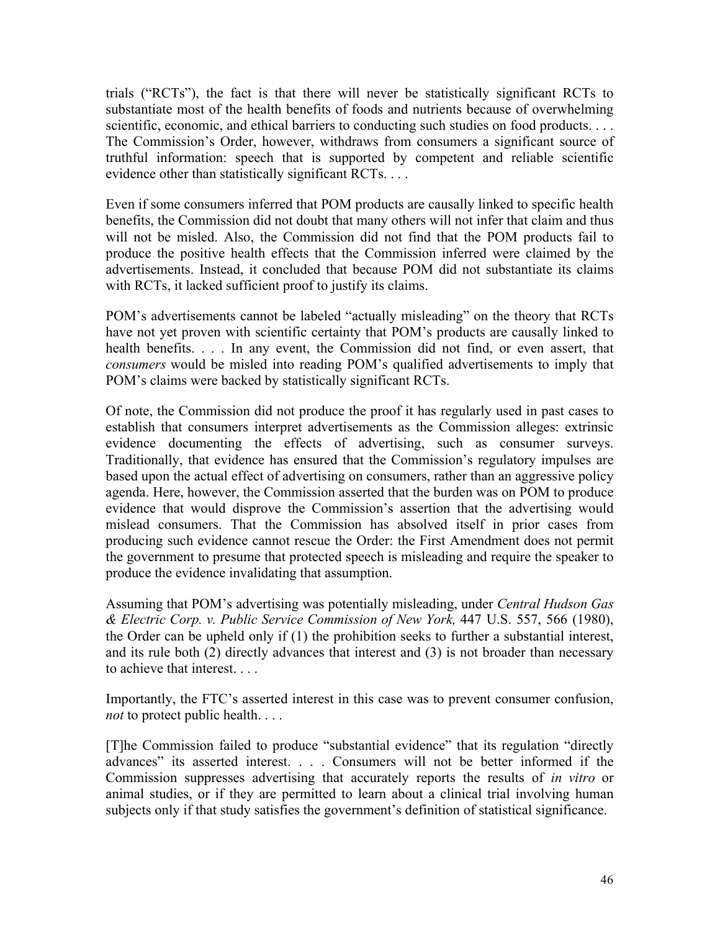trials ("RCTs"), the fact is that there will never be statistically significant RCTs to substantiate most of the health benefits of foods and nutrients because of overwhelming scientific, economic, and ethical barriers to conducting such studies on food products. . . . The Commission's Order, however, withdraws from consumers a significant source of truthful information: speech that is supported by competent and reliable scientific evidence other than statistically significant RCTs. . . .

Even if some consumers inferred that POM products are causally linked to specific health benefits, the Commission did not doubt that many others will not infer that claim and thus will not be misled. Also, the Commission did not find that the POM products fail to produce the positive health effects that the Commission inferred were claimed by the advertisements. Instead, it concluded that because POM did not substantiate its claims with RCTs, it lacked sufficient proof to justify its claims.

POM's advertisements cannot be labeled "actually misleading" on the theory that RCTs have not yet proven with scientific certainty that POM's products are causally linked to health benefits. . . . In any event, the Commission did not find, or even assert, that *consumers* would be misled into reading POM's qualified advertisements to imply that POM's claims were backed by statistically significant RCTs.

Of note, the Commission did not produce the proof it has regularly used in past cases to establish that consumers interpret advertisements as the Commission alleges: extrinsic evidence documenting the effects of advertising, such as consumer surveys. Traditionally, that evidence has ensured that the Commission's regulatory impulses are based upon the actual effect of advertising on consumers, rather than an aggressive policy agenda. Here, however, the Commission asserted that the burden was on POM to produce evidence that would disprove the Commission's assertion that the advertising would mislead consumers. That the Commission has absolved itself in prior cases from producing such evidence cannot rescue the Order: the First Amendment does not permit the government to presume that protected speech is misleading and require the speaker to produce the evidence invalidating that assumption.

Assuming that POM's advertising was potentially misleading, under *Central Hudson Gas & Electric Corp. v. Public Service Commission of New York,* 447 U.S. 557, 566 (1980), the Order can be upheld only if (1) the prohibition seeks to further a substantial interest, and its rule both (2) directly advances that interest and (3) is not broader than necessary to achieve that interest. . . .

Importantly, the FTC's asserted interest in this case was to prevent consumer confusion, *not* to protect public health. . . .

[T]he Commission failed to produce "substantial evidence" that its regulation "directly advances" its asserted interest. . . . Consumers will not be better informed if the Commission suppresses advertising that accurately reports the results of *in vitro* or animal studies, or if they are permitted to learn about a clinical trial involving human subjects only if that study satisfies the government's definition of statistical significance.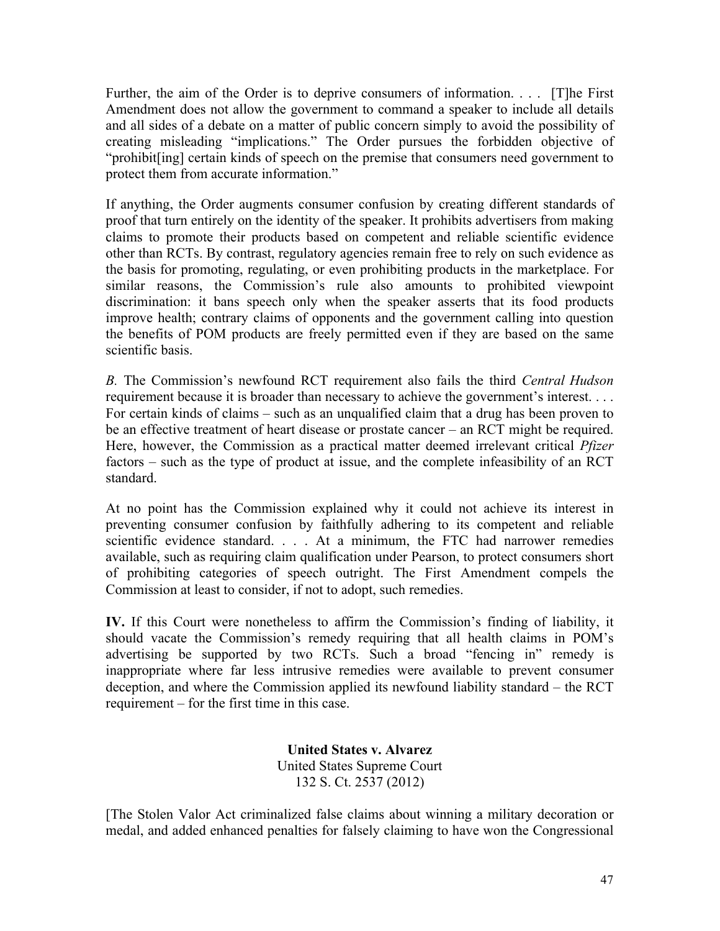Further, the aim of the Order is to deprive consumers of information. . . . [T]he First Amendment does not allow the government to command a speaker to include all details and all sides of a debate on a matter of public concern simply to avoid the possibility of creating misleading "implications." The Order pursues the forbidden objective of "prohibit[ing] certain kinds of speech on the premise that consumers need government to protect them from accurate information."

If anything, the Order augments consumer confusion by creating different standards of proof that turn entirely on the identity of the speaker. It prohibits advertisers from making claims to promote their products based on competent and reliable scientific evidence other than RCTs. By contrast, regulatory agencies remain free to rely on such evidence as the basis for promoting, regulating, or even prohibiting products in the marketplace. For similar reasons, the Commission's rule also amounts to prohibited viewpoint discrimination: it bans speech only when the speaker asserts that its food products improve health; contrary claims of opponents and the government calling into question the benefits of POM products are freely permitted even if they are based on the same scientific basis.

*B.* The Commission's newfound RCT requirement also fails the third *Central Hudson*  requirement because it is broader than necessary to achieve the government's interest. . . . For certain kinds of claims – such as an unqualified claim that a drug has been proven to be an effective treatment of heart disease or prostate cancer – an RCT might be required. Here, however, the Commission as a practical matter deemed irrelevant critical *Pfizer*  factors – such as the type of product at issue, and the complete infeasibility of an RCT standard.

At no point has the Commission explained why it could not achieve its interest in preventing consumer confusion by faithfully adhering to its competent and reliable scientific evidence standard. . . . At a minimum, the FTC had narrower remedies available, such as requiring claim qualification under Pearson, to protect consumers short of prohibiting categories of speech outright. The First Amendment compels the Commission at least to consider, if not to adopt, such remedies.

**IV.** If this Court were nonetheless to affirm the Commission's finding of liability, it should vacate the Commission's remedy requiring that all health claims in POM's advertising be supported by two RCTs. Such a broad "fencing in" remedy is inappropriate where far less intrusive remedies were available to prevent consumer deception, and where the Commission applied its newfound liability standard – the RCT requirement – for the first time in this case.

> **United States v. Alvarez** United States Supreme Court 132 S. Ct. 2537 (2012)

[The Stolen Valor Act criminalized false claims about winning a military decoration or medal, and added enhanced penalties for falsely claiming to have won the Congressional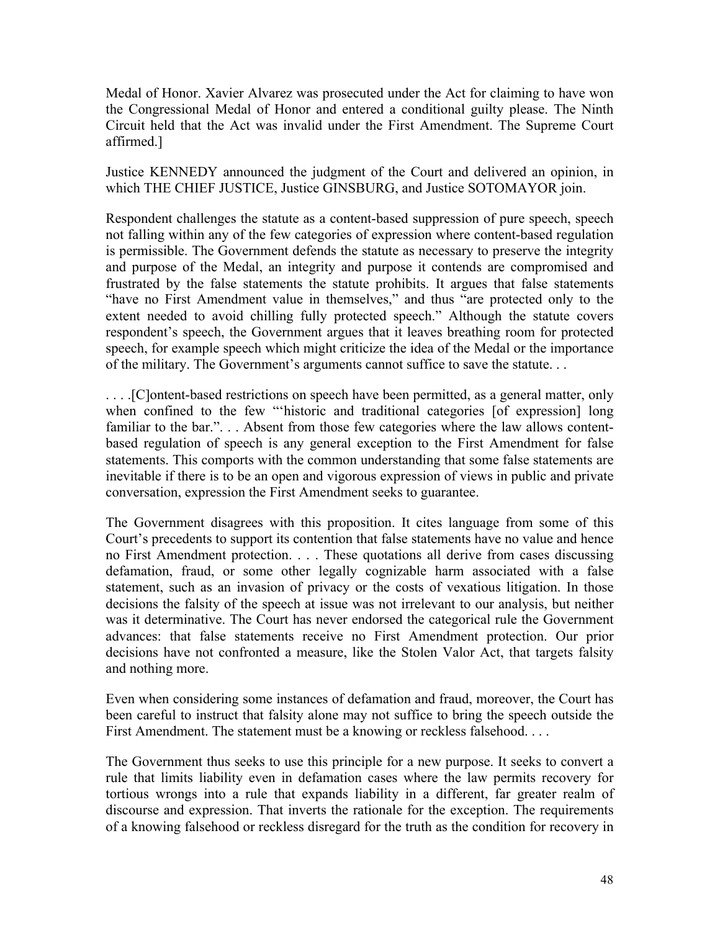Medal of Honor. Xavier Alvarez was prosecuted under the Act for claiming to have won the Congressional Medal of Honor and entered a conditional guilty please. The Ninth Circuit held that the Act was invalid under the First Amendment. The Supreme Court affirmed.]

Justice KENNEDY announced the judgment of the Court and delivered an opinion, in which THE CHIEF JUSTICE, Justice GINSBURG, and Justice SOTOMAYOR join.

Respondent challenges the statute as a content-based suppression of pure speech, speech not falling within any of the few categories of expression where content-based regulation is permissible. The Government defends the statute as necessary to preserve the integrity and purpose of the Medal, an integrity and purpose it contends are compromised and frustrated by the false statements the statute prohibits. It argues that false statements "have no First Amendment value in themselves," and thus "are protected only to the extent needed to avoid chilling fully protected speech." Although the statute covers respondent's speech, the Government argues that it leaves breathing room for protected speech, for example speech which might criticize the idea of the Medal or the importance of the military. The Government's arguments cannot suffice to save the statute. . .

.... [C]ontent-based restrictions on speech have been permitted, as a general matter, only when confined to the few "'historic and traditional categories [of expression] long familiar to the bar."... Absent from those few categories where the law allows contentbased regulation of speech is any general exception to the First Amendment for false statements. This comports with the common understanding that some false statements are inevitable if there is to be an open and vigorous expression of views in public and private conversation, expression the First Amendment seeks to guarantee.

The Government disagrees with this proposition. It cites language from some of this Court's precedents to support its contention that false statements have no value and hence no First Amendment protection. . . . These quotations all derive from cases discussing defamation, fraud, or some other legally cognizable harm associated with a false statement, such as an invasion of privacy or the costs of vexatious litigation. In those decisions the falsity of the speech at issue was not irrelevant to our analysis, but neither was it determinative. The Court has never endorsed the categorical rule the Government advances: that false statements receive no First Amendment protection. Our prior decisions have not confronted a measure, like the Stolen Valor Act, that targets falsity and nothing more.

Even when considering some instances of defamation and fraud, moreover, the Court has been careful to instruct that falsity alone may not suffice to bring the speech outside the First Amendment. The statement must be a knowing or reckless falsehood. . . .

The Government thus seeks to use this principle for a new purpose. It seeks to convert a rule that limits liability even in defamation cases where the law permits recovery for tortious wrongs into a rule that expands liability in a different, far greater realm of discourse and expression. That inverts the rationale for the exception. The requirements of a knowing falsehood or reckless disregard for the truth as the condition for recovery in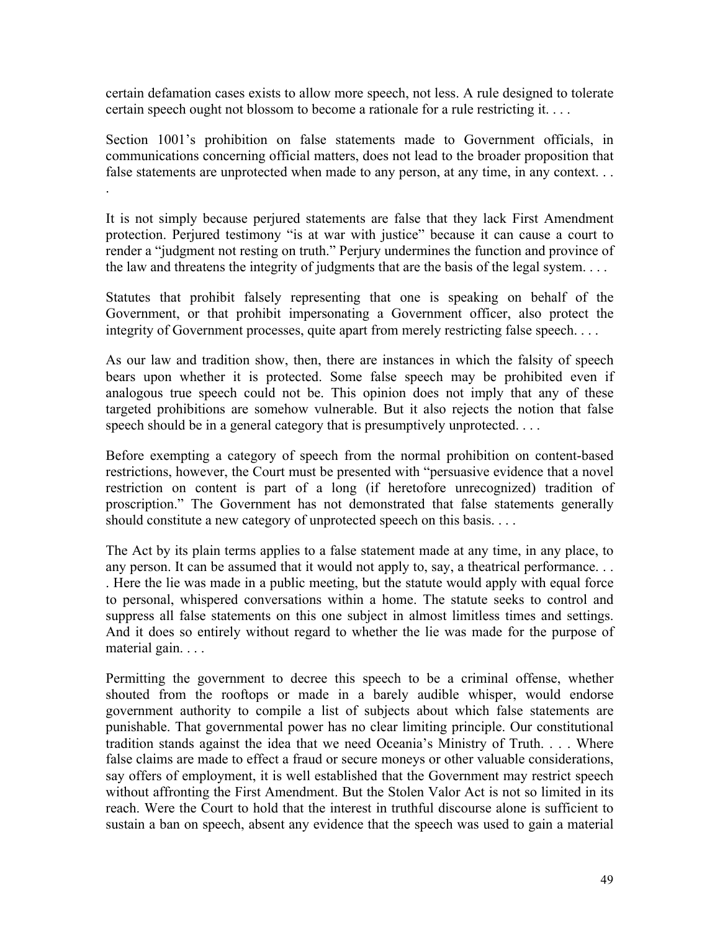certain defamation cases exists to allow more speech, not less. A rule designed to tolerate certain speech ought not blossom to become a rationale for a rule restricting it. . . .

Section 1001's prohibition on false statements made to Government officials, in communications concerning official matters, does not lead to the broader proposition that false statements are unprotected when made to any person, at any time, in any context. . . .

It is not simply because perjured statements are false that they lack First Amendment protection. Perjured testimony "is at war with justice" because it can cause a court to render a "judgment not resting on truth." Perjury undermines the function and province of the law and threatens the integrity of judgments that are the basis of the legal system. . . .

Statutes that prohibit falsely representing that one is speaking on behalf of the Government, or that prohibit impersonating a Government officer, also protect the integrity of Government processes, quite apart from merely restricting false speech. . . .

As our law and tradition show, then, there are instances in which the falsity of speech bears upon whether it is protected. Some false speech may be prohibited even if analogous true speech could not be. This opinion does not imply that any of these targeted prohibitions are somehow vulnerable. But it also rejects the notion that false speech should be in a general category that is presumptively unprotected. . . .

Before exempting a category of speech from the normal prohibition on content-based restrictions, however, the Court must be presented with "persuasive evidence that a novel restriction on content is part of a long (if heretofore unrecognized) tradition of proscription." The Government has not demonstrated that false statements generally should constitute a new category of unprotected speech on this basis. . . .

The Act by its plain terms applies to a false statement made at any time, in any place, to any person. It can be assumed that it would not apply to, say, a theatrical performance. . . . Here the lie was made in a public meeting, but the statute would apply with equal force to personal, whispered conversations within a home. The statute seeks to control and suppress all false statements on this one subject in almost limitless times and settings. And it does so entirely without regard to whether the lie was made for the purpose of material gain. . . .

Permitting the government to decree this speech to be a criminal offense, whether shouted from the rooftops or made in a barely audible whisper, would endorse government authority to compile a list of subjects about which false statements are punishable. That governmental power has no clear limiting principle. Our constitutional tradition stands against the idea that we need Oceania's Ministry of Truth. . . . Where false claims are made to effect a fraud or secure moneys or other valuable considerations, say offers of employment, it is well established that the Government may restrict speech without affronting the First Amendment. But the Stolen Valor Act is not so limited in its reach. Were the Court to hold that the interest in truthful discourse alone is sufficient to sustain a ban on speech, absent any evidence that the speech was used to gain a material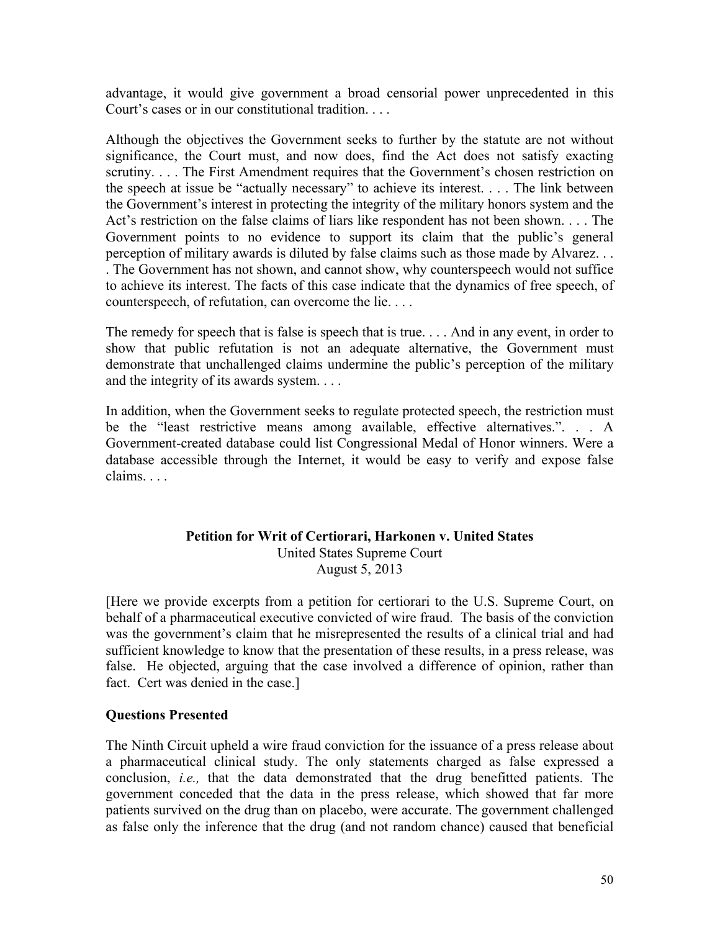advantage, it would give government a broad censorial power unprecedented in this Court's cases or in our constitutional tradition. . . .

Although the objectives the Government seeks to further by the statute are not without significance, the Court must, and now does, find the Act does not satisfy exacting scrutiny. . . . The First Amendment requires that the Government's chosen restriction on the speech at issue be "actually necessary" to achieve its interest. . . . The link between the Government's interest in protecting the integrity of the military honors system and the Act's restriction on the false claims of liars like respondent has not been shown. . . . The Government points to no evidence to support its claim that the public's general perception of military awards is diluted by false claims such as those made by Alvarez. . . . The Government has not shown, and cannot show, why counterspeech would not suffice to achieve its interest. The facts of this case indicate that the dynamics of free speech, of counterspeech, of refutation, can overcome the lie. . . .

The remedy for speech that is false is speech that is true. . . . And in any event, in order to show that public refutation is not an adequate alternative, the Government must demonstrate that unchallenged claims undermine the public's perception of the military and the integrity of its awards system. . . .

In addition, when the Government seeks to regulate protected speech, the restriction must be the "least restrictive means among available, effective alternatives.". . . A Government-created database could list Congressional Medal of Honor winners. Were a database accessible through the Internet, it would be easy to verify and expose false claims.

# **Petition for Writ of Certiorari, Harkonen v. United States**

United States Supreme Court August 5, 2013

[Here we provide excerpts from a petition for certiorari to the U.S. Supreme Court, on behalf of a pharmaceutical executive convicted of wire fraud. The basis of the conviction was the government's claim that he misrepresented the results of a clinical trial and had sufficient knowledge to know that the presentation of these results, in a press release, was false. He objected, arguing that the case involved a difference of opinion, rather than fact. Cert was denied in the case.]

## **Questions Presented**

The Ninth Circuit upheld a wire fraud conviction for the issuance of a press release about a pharmaceutical clinical study. The only statements charged as false expressed a conclusion, *i.e.,* that the data demonstrated that the drug benefitted patients. The government conceded that the data in the press release, which showed that far more patients survived on the drug than on placebo, were accurate. The government challenged as false only the inference that the drug (and not random chance) caused that beneficial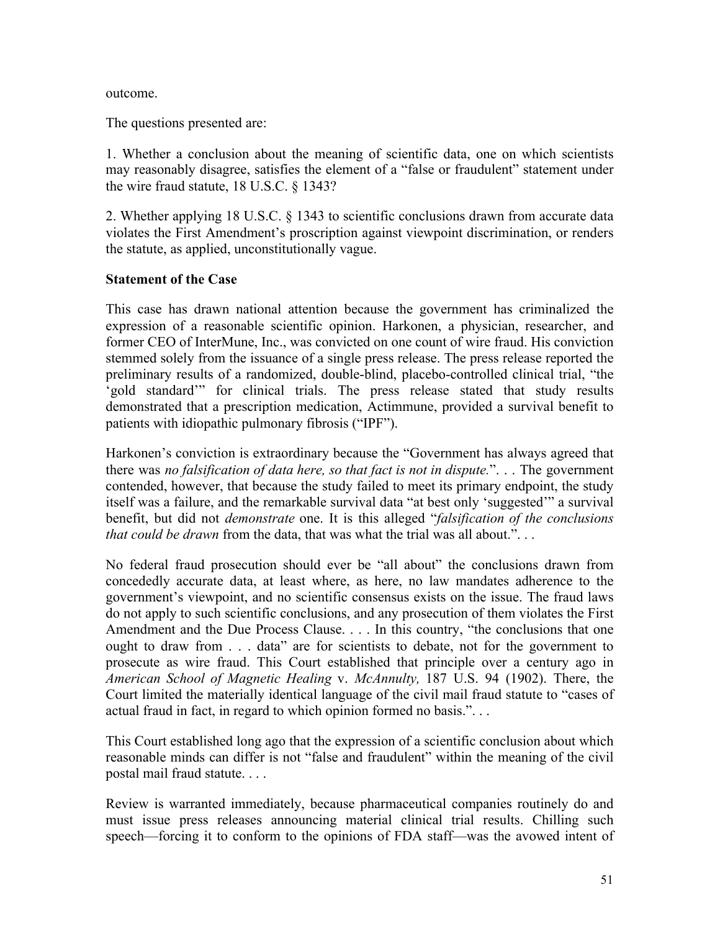#### outcome.

The questions presented are:

1. Whether a conclusion about the meaning of scientific data, one on which scientists may reasonably disagree, satisfies the element of a "false or fraudulent" statement under the wire fraud statute, 18 U.S.C. § 1343?

2. Whether applying 18 U.S.C. § 1343 to scientific conclusions drawn from accurate data violates the First Amendment's proscription against viewpoint discrimination, or renders the statute, as applied, unconstitutionally vague.

#### **Statement of the Case**

This case has drawn national attention because the government has criminalized the expression of a reasonable scientific opinion. Harkonen, a physician, researcher, and former CEO of InterMune, Inc., was convicted on one count of wire fraud. His conviction stemmed solely from the issuance of a single press release. The press release reported the preliminary results of a randomized, double-blind, placebo-controlled clinical trial, "the 'gold standard'" for clinical trials. The press release stated that study results demonstrated that a prescription medication, Actimmune, provided a survival benefit to patients with idiopathic pulmonary fibrosis ("IPF").

Harkonen's conviction is extraordinary because the "Government has always agreed that there was *no falsification of data here, so that fact is not in dispute.*". . . The government contended, however, that because the study failed to meet its primary endpoint, the study itself was a failure, and the remarkable survival data "at best only 'suggested'" a survival benefit, but did not *demonstrate* one. It is this alleged "*falsification of the conclusions that could be drawn* from the data, that was what the trial was all about.". . .

No federal fraud prosecution should ever be "all about" the conclusions drawn from concededly accurate data, at least where, as here, no law mandates adherence to the government's viewpoint, and no scientific consensus exists on the issue. The fraud laws do not apply to such scientific conclusions, and any prosecution of them violates the First Amendment and the Due Process Clause. . . . In this country, "the conclusions that one ought to draw from . . . data" are for scientists to debate, not for the government to prosecute as wire fraud. This Court established that principle over a century ago in *American School of Magnetic Healing* v. *McAnnulty,* 187 U.S. 94 (1902). There, the Court limited the materially identical language of the civil mail fraud statute to "cases of actual fraud in fact, in regard to which opinion formed no basis.". . .

This Court established long ago that the expression of a scientific conclusion about which reasonable minds can differ is not "false and fraudulent" within the meaning of the civil postal mail fraud statute. . . .

Review is warranted immediately, because pharmaceutical companies routinely do and must issue press releases announcing material clinical trial results. Chilling such speech—forcing it to conform to the opinions of FDA staff—was the avowed intent of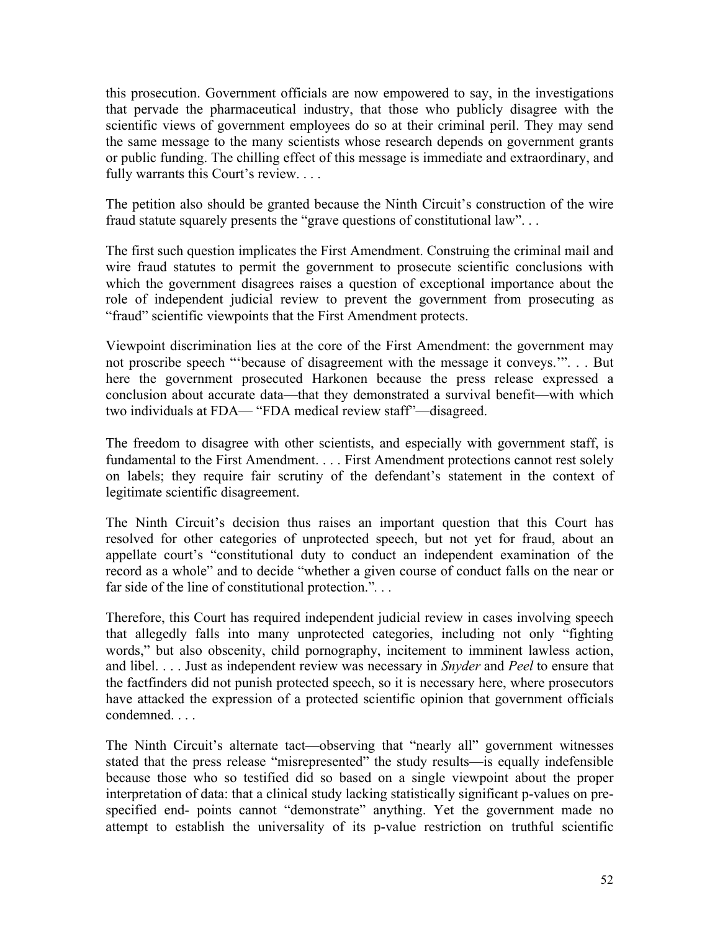this prosecution. Government officials are now empowered to say, in the investigations that pervade the pharmaceutical industry, that those who publicly disagree with the scientific views of government employees do so at their criminal peril. They may send the same message to the many scientists whose research depends on government grants or public funding. The chilling effect of this message is immediate and extraordinary, and fully warrants this Court's review. . . .

The petition also should be granted because the Ninth Circuit's construction of the wire fraud statute squarely presents the "grave questions of constitutional law". . .

The first such question implicates the First Amendment. Construing the criminal mail and wire fraud statutes to permit the government to prosecute scientific conclusions with which the government disagrees raises a question of exceptional importance about the role of independent judicial review to prevent the government from prosecuting as "fraud" scientific viewpoints that the First Amendment protects.

Viewpoint discrimination lies at the core of the First Amendment: the government may not proscribe speech "'because of disagreement with the message it conveys.'". . . But here the government prosecuted Harkonen because the press release expressed a conclusion about accurate data—that they demonstrated a survival benefit—with which two individuals at FDA— "FDA medical review staff"—disagreed.

The freedom to disagree with other scientists, and especially with government staff, is fundamental to the First Amendment. . . . First Amendment protections cannot rest solely on labels; they require fair scrutiny of the defendant's statement in the context of legitimate scientific disagreement.

The Ninth Circuit's decision thus raises an important question that this Court has resolved for other categories of unprotected speech, but not yet for fraud, about an appellate court's "constitutional duty to conduct an independent examination of the record as a whole" and to decide "whether a given course of conduct falls on the near or far side of the line of constitutional protection."*. . .*

Therefore, this Court has required independent judicial review in cases involving speech that allegedly falls into many unprotected categories, including not only "fighting words," but also obscenity, child pornography, incitement to imminent lawless action, and libel. . . . Just as independent review was necessary in *Snyder* and *Peel* to ensure that the factfinders did not punish protected speech, so it is necessary here, where prosecutors have attacked the expression of a protected scientific opinion that government officials condemned. . . .

The Ninth Circuit's alternate tact—observing that "nearly all" government witnesses stated that the press release "misrepresented" the study results—is equally indefensible because those who so testified did so based on a single viewpoint about the proper interpretation of data: that a clinical study lacking statistically significant p-values on prespecified end- points cannot "demonstrate" anything. Yet the government made no attempt to establish the universality of its p-value restriction on truthful scientific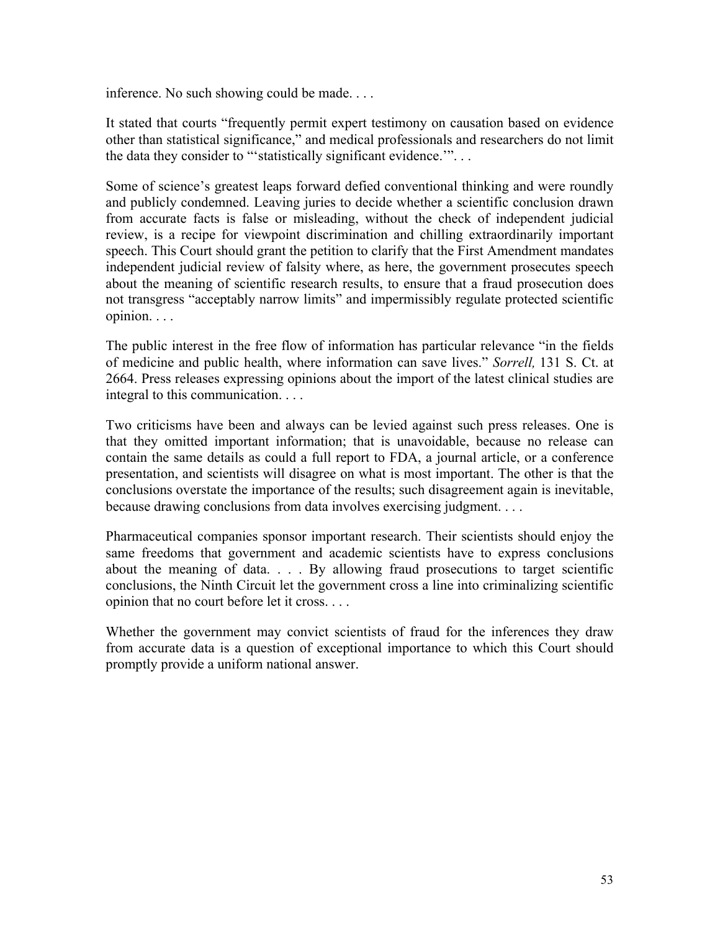inference. No such showing could be made. . . .

It stated that courts "frequently permit expert testimony on causation based on evidence other than statistical significance," and medical professionals and researchers do not limit the data they consider to "'statistically significant evidence.'". . .

Some of science's greatest leaps forward defied conventional thinking and were roundly and publicly condemned. Leaving juries to decide whether a scientific conclusion drawn from accurate facts is false or misleading, without the check of independent judicial review, is a recipe for viewpoint discrimination and chilling extraordinarily important speech. This Court should grant the petition to clarify that the First Amendment mandates independent judicial review of falsity where, as here, the government prosecutes speech about the meaning of scientific research results, to ensure that a fraud prosecution does not transgress "acceptably narrow limits" and impermissibly regulate protected scientific opinion. . . .

The public interest in the free flow of information has particular relevance "in the fields of medicine and public health, where information can save lives." *Sorrell,* 131 S. Ct. at 2664. Press releases expressing opinions about the import of the latest clinical studies are integral to this communication. . . .

Two criticisms have been and always can be levied against such press releases. One is that they omitted important information; that is unavoidable, because no release can contain the same details as could a full report to FDA, a journal article, or a conference presentation, and scientists will disagree on what is most important. The other is that the conclusions overstate the importance of the results; such disagreement again is inevitable, because drawing conclusions from data involves exercising judgment. . . .

Pharmaceutical companies sponsor important research. Their scientists should enjoy the same freedoms that government and academic scientists have to express conclusions about the meaning of data. . . . By allowing fraud prosecutions to target scientific conclusions, the Ninth Circuit let the government cross a line into criminalizing scientific opinion that no court before let it cross. . . .

Whether the government may convict scientists of fraud for the inferences they draw from accurate data is a question of exceptional importance to which this Court should promptly provide a uniform national answer.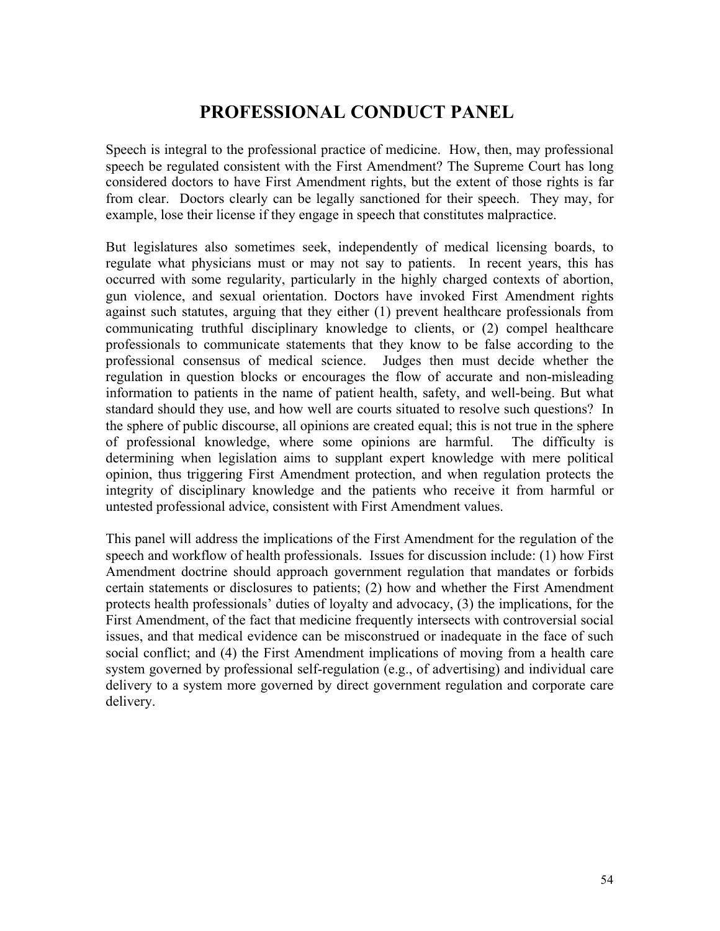# **PROFESSIONAL CONDUCT PANEL**

Speech is integral to the professional practice of medicine. How, then, may professional speech be regulated consistent with the First Amendment? The Supreme Court has long considered doctors to have First Amendment rights, but the extent of those rights is far from clear. Doctors clearly can be legally sanctioned for their speech. They may, for example, lose their license if they engage in speech that constitutes malpractice.

But legislatures also sometimes seek, independently of medical licensing boards, to regulate what physicians must or may not say to patients. In recent years, this has occurred with some regularity, particularly in the highly charged contexts of abortion, gun violence, and sexual orientation. Doctors have invoked First Amendment rights against such statutes, arguing that they either (1) prevent healthcare professionals from communicating truthful disciplinary knowledge to clients, or (2) compel healthcare professionals to communicate statements that they know to be false according to the professional consensus of medical science. Judges then must decide whether the regulation in question blocks or encourages the flow of accurate and non-misleading information to patients in the name of patient health, safety, and well-being. But what standard should they use, and how well are courts situated to resolve such questions? In the sphere of public discourse, all opinions are created equal; this is not true in the sphere of professional knowledge, where some opinions are harmful. The difficulty is determining when legislation aims to supplant expert knowledge with mere political opinion, thus triggering First Amendment protection, and when regulation protects the integrity of disciplinary knowledge and the patients who receive it from harmful or untested professional advice, consistent with First Amendment values.

This panel will address the implications of the First Amendment for the regulation of the speech and workflow of health professionals. Issues for discussion include: (1) how First Amendment doctrine should approach government regulation that mandates or forbids certain statements or disclosures to patients; (2) how and whether the First Amendment protects health professionals' duties of loyalty and advocacy, (3) the implications, for the First Amendment, of the fact that medicine frequently intersects with controversial social issues, and that medical evidence can be misconstrued or inadequate in the face of such social conflict; and (4) the First Amendment implications of moving from a health care system governed by professional self-regulation (e.g., of advertising) and individual care delivery to a system more governed by direct government regulation and corporate care delivery.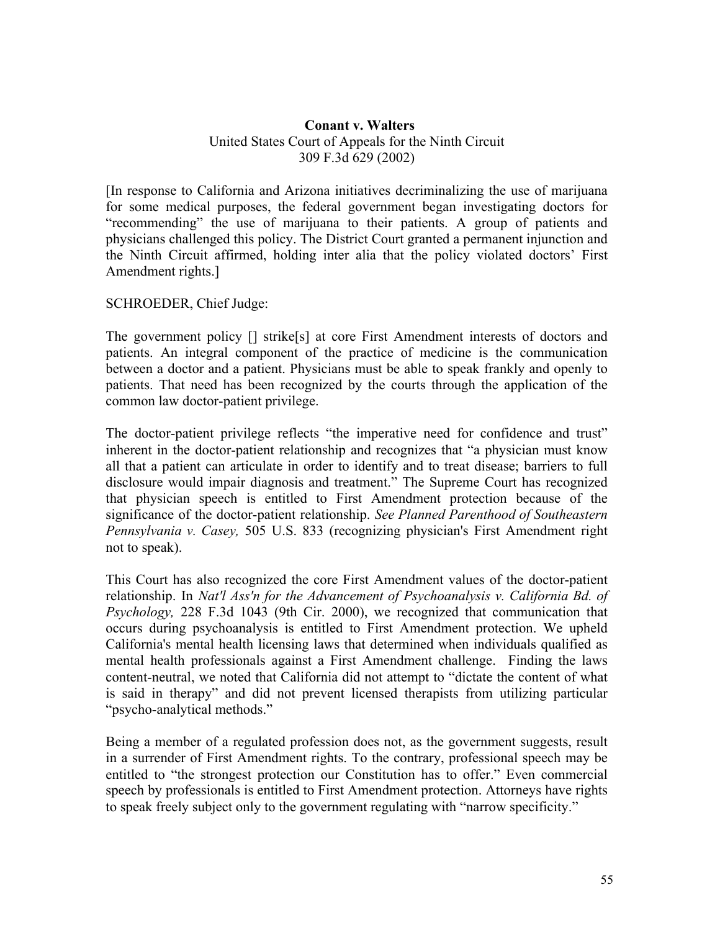#### **Conant v. Walters** United States Court of Appeals for the Ninth Circuit 309 F.3d 629 (2002)

[In response to California and Arizona initiatives decriminalizing the use of marijuana for some medical purposes, the federal government began investigating doctors for "recommending" the use of marijuana to their patients. A group of patients and physicians challenged this policy. The District Court granted a permanent injunction and the Ninth Circuit affirmed, holding inter alia that the policy violated doctors' First Amendment rights.]

#### SCHROEDER, Chief Judge:

The government policy [] strike[s] at core First Amendment interests of doctors and patients. An integral component of the practice of medicine is the communication between a doctor and a patient. Physicians must be able to speak frankly and openly to patients. That need has been recognized by the courts through the application of the common law doctor-patient privilege.

The doctor-patient privilege reflects "the imperative need for confidence and trust" inherent in the doctor-patient relationship and recognizes that "a physician must know all that a patient can articulate in order to identify and to treat disease; barriers to full disclosure would impair diagnosis and treatment." The Supreme Court has recognized that physician speech is entitled to First Amendment protection because of the significance of the doctor-patient relationship. *See Planned Parenthood of Southeastern Pennsylvania v. Casey,* 505 U.S. 833 (recognizing physician's First Amendment right not to speak).

This Court has also recognized the core First Amendment values of the doctor-patient relationship. In *Nat'l Ass'n for the Advancement of Psychoanalysis v. California Bd. of Psychology,* 228 F.3d 1043 (9th Cir. 2000), we recognized that communication that occurs during psychoanalysis is entitled to First Amendment protection. We upheld California's mental health licensing laws that determined when individuals qualified as mental health professionals against a First Amendment challenge. Finding the laws content-neutral, we noted that California did not attempt to "dictate the content of what is said in therapy" and did not prevent licensed therapists from utilizing particular "psycho-analytical methods."

Being a member of a regulated profession does not, as the government suggests, result in a surrender of First Amendment rights. To the contrary, professional speech may be entitled to "the strongest protection our Constitution has to offer." Even commercial speech by professionals is entitled to First Amendment protection. Attorneys have rights to speak freely subject only to the government regulating with "narrow specificity."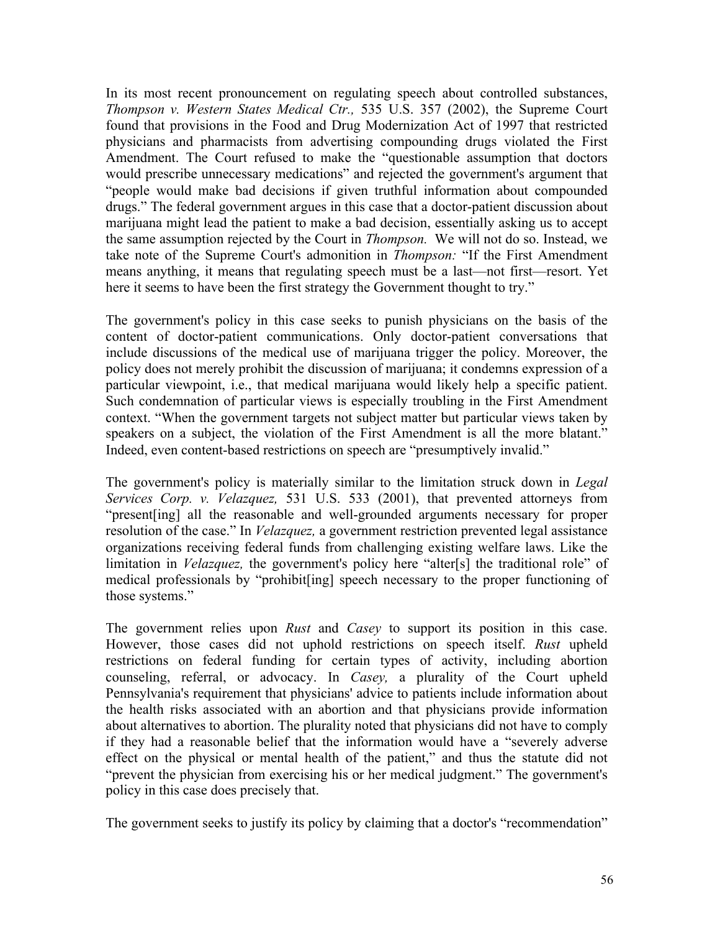In its most recent pronouncement on regulating speech about controlled substances, *Thompson v. Western States Medical Ctr.,* 535 U.S. 357 (2002), the Supreme Court found that provisions in the Food and Drug Modernization Act of 1997 that restricted physicians and pharmacists from advertising compounding drugs violated the First Amendment. The Court refused to make the "questionable assumption that doctors would prescribe unnecessary medications" and rejected the government's argument that "people would make bad decisions if given truthful information about compounded drugs." The federal government argues in this case that a doctor-patient discussion about marijuana might lead the patient to make a bad decision, essentially asking us to accept the same assumption rejected by the Court in *Thompson.* We will not do so. Instead, we take note of the Supreme Court's admonition in *Thompson:* "If the First Amendment means anything, it means that regulating speech must be a last—not first—resort. Yet here it seems to have been the first strategy the Government thought to try."

The government's policy in this case seeks to punish physicians on the basis of the content of doctor-patient communications. Only doctor-patient conversations that include discussions of the medical use of marijuana trigger the policy. Moreover, the policy does not merely prohibit the discussion of marijuana; it condemns expression of a particular viewpoint, i.e., that medical marijuana would likely help a specific patient. Such condemnation of particular views is especially troubling in the First Amendment context. "When the government targets not subject matter but particular views taken by speakers on a subject, the violation of the First Amendment is all the more blatant." Indeed, even content-based restrictions on speech are "presumptively invalid."

The government's policy is materially similar to the limitation struck down in *Legal Services Corp. v. Velazquez,* 531 U.S. 533 (2001), that prevented attorneys from "present[ing] all the reasonable and well-grounded arguments necessary for proper resolution of the case." In *Velazquez,* a government restriction prevented legal assistance organizations receiving federal funds from challenging existing welfare laws. Like the limitation in *Velazquez*, the government's policy here "alter[s] the traditional role" of medical professionals by "prohibit[ing] speech necessary to the proper functioning of those systems."

The government relies upon *Rust* and *Casey* to support its position in this case. However, those cases did not uphold restrictions on speech itself. *Rust* upheld restrictions on federal funding for certain types of activity, including abortion counseling, referral, or advocacy. In *Casey,* a plurality of the Court upheld Pennsylvania's requirement that physicians' advice to patients include information about the health risks associated with an abortion and that physicians provide information about alternatives to abortion. The plurality noted that physicians did not have to comply if they had a reasonable belief that the information would have a "severely adverse effect on the physical or mental health of the patient," and thus the statute did not "prevent the physician from exercising his or her medical judgment." The government's policy in this case does precisely that.

The government seeks to justify its policy by claiming that a doctor's "recommendation"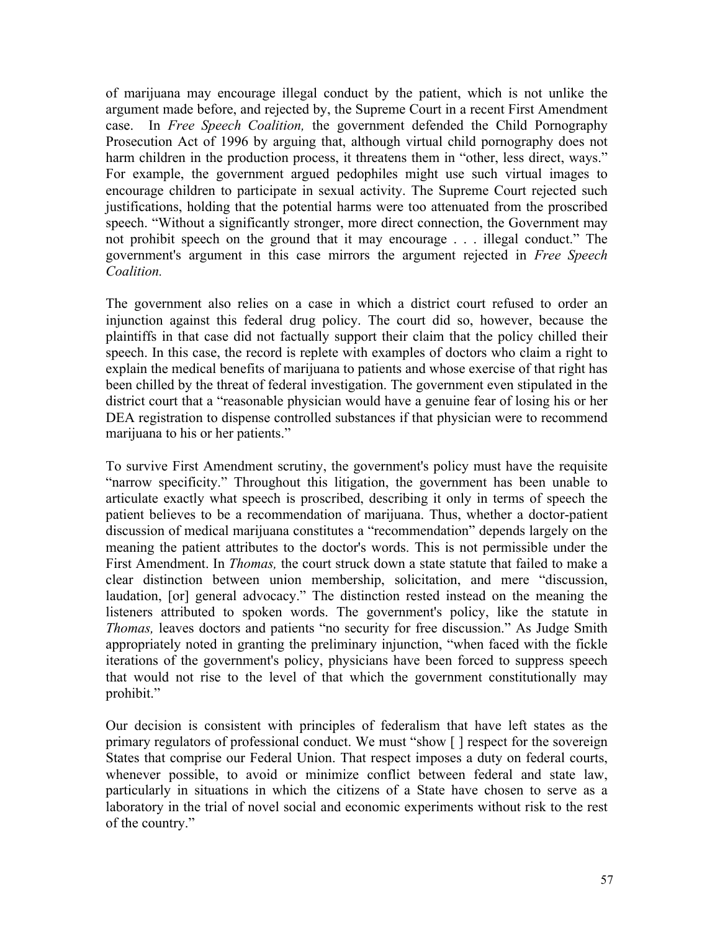of marijuana may encourage illegal conduct by the patient, which is not unlike the argument made before, and rejected by, the Supreme Court in a recent First Amendment case. In *Free Speech Coalition,* the government defended the Child Pornography Prosecution Act of 1996 by arguing that, although virtual child pornography does not harm children in the production process, it threatens them in "other, less direct, ways." For example, the government argued pedophiles might use such virtual images to encourage children to participate in sexual activity. The Supreme Court rejected such justifications, holding that the potential harms were too attenuated from the proscribed speech. "Without a significantly stronger, more direct connection, the Government may not prohibit speech on the ground that it may encourage . . . illegal conduct." The government's argument in this case mirrors the argument rejected in *Free Speech Coalition.*

The government also relies on a case in which a district court refused to order an injunction against this federal drug policy. The court did so, however, because the plaintiffs in that case did not factually support their claim that the policy chilled their speech. In this case, the record is replete with examples of doctors who claim a right to explain the medical benefits of marijuana to patients and whose exercise of that right has been chilled by the threat of federal investigation. The government even stipulated in the district court that a "reasonable physician would have a genuine fear of losing his or her DEA registration to dispense controlled substances if that physician were to recommend marijuana to his or her patients."

To survive First Amendment scrutiny, the government's policy must have the requisite "narrow specificity." Throughout this litigation, the government has been unable to articulate exactly what speech is proscribed, describing it only in terms of speech the patient believes to be a recommendation of marijuana. Thus, whether a doctor-patient discussion of medical marijuana constitutes a "recommendation" depends largely on the meaning the patient attributes to the doctor's words. This is not permissible under the First Amendment. In *Thomas,* the court struck down a state statute that failed to make a clear distinction between union membership, solicitation, and mere "discussion, laudation, [or] general advocacy." The distinction rested instead on the meaning the listeners attributed to spoken words. The government's policy, like the statute in *Thomas,* leaves doctors and patients "no security for free discussion." As Judge Smith appropriately noted in granting the preliminary injunction, "when faced with the fickle iterations of the government's policy, physicians have been forced to suppress speech that would not rise to the level of that which the government constitutionally may prohibit."

Our decision is consistent with principles of federalism that have left states as the primary regulators of professional conduct. We must "show [ ] respect for the sovereign States that comprise our Federal Union. That respect imposes a duty on federal courts, whenever possible, to avoid or minimize conflict between federal and state law, particularly in situations in which the citizens of a State have chosen to serve as a laboratory in the trial of novel social and economic experiments without risk to the rest of the country."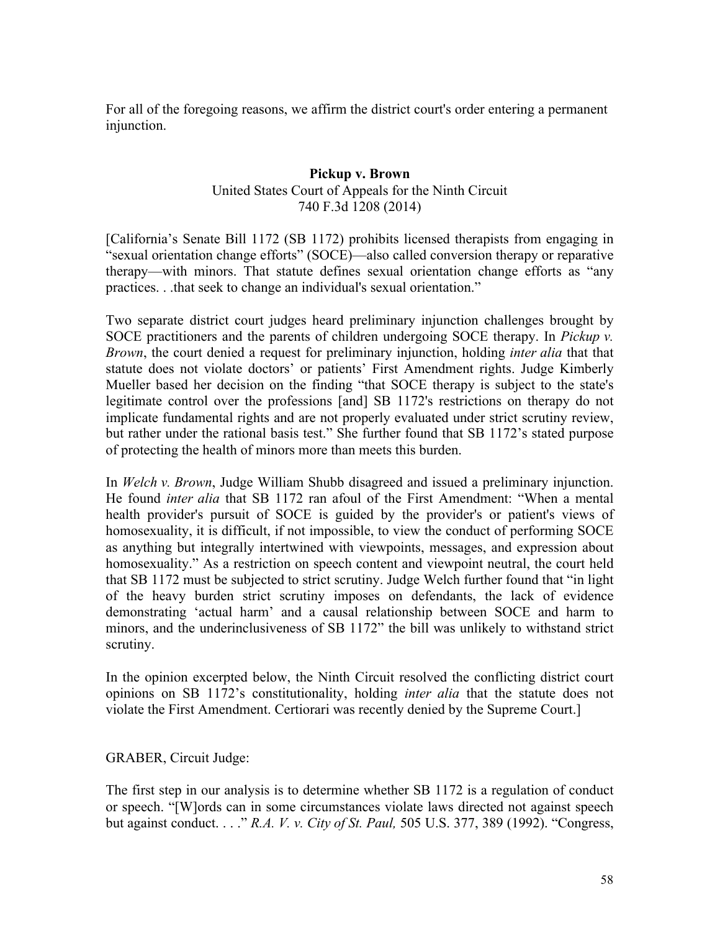For all of the foregoing reasons, we affirm the district court's order entering a permanent injunction.

#### **Pickup v. Brown** United States Court of Appeals for the Ninth Circuit 740 F.3d 1208 (2014)

[California's Senate Bill 1172 (SB 1172) prohibits licensed therapists from engaging in "sexual orientation change efforts" (SOCE)—also called conversion therapy or reparative therapy—with minors. That statute defines sexual orientation change efforts as "any practices. . .that seek to change an individual's sexual orientation."

Two separate district court judges heard preliminary injunction challenges brought by SOCE practitioners and the parents of children undergoing SOCE therapy. In *Pickup v. Brown*, the court denied a request for preliminary injunction, holding *inter alia* that that statute does not violate doctors' or patients' First Amendment rights. Judge Kimberly Mueller based her decision on the finding "that SOCE therapy is subject to the state's legitimate control over the professions [and] SB 1172's restrictions on therapy do not implicate fundamental rights and are not properly evaluated under strict scrutiny review, but rather under the rational basis test." She further found that SB 1172's stated purpose of protecting the health of minors more than meets this burden.

In *Welch v. Brown*, Judge William Shubb disagreed and issued a preliminary injunction. He found *inter alia* that SB 1172 ran afoul of the First Amendment: "When a mental health provider's pursuit of SOCE is guided by the provider's or patient's views of homosexuality, it is difficult, if not impossible, to view the conduct of performing SOCE as anything but integrally intertwined with viewpoints, messages, and expression about homosexuality." As a restriction on speech content and viewpoint neutral, the court held that SB 1172 must be subjected to strict scrutiny. Judge Welch further found that "in light of the heavy burden strict scrutiny imposes on defendants, the lack of evidence demonstrating 'actual harm' and a causal relationship between SOCE and harm to minors, and the underinclusiveness of SB 1172" the bill was unlikely to withstand strict scrutiny.

In the opinion excerpted below, the Ninth Circuit resolved the conflicting district court opinions on SB 1172's constitutionality, holding *inter alia* that the statute does not violate the First Amendment. Certiorari was recently denied by the Supreme Court.]

## GRABER, Circuit Judge:

The first step in our analysis is to determine whether SB 1172 is a regulation of conduct or speech. "[W]ords can in some circumstances violate laws directed not against speech but against conduct. . . ." *R.A. V. v. City of St. Paul,* 505 U.S. 377, 389 (1992). "Congress,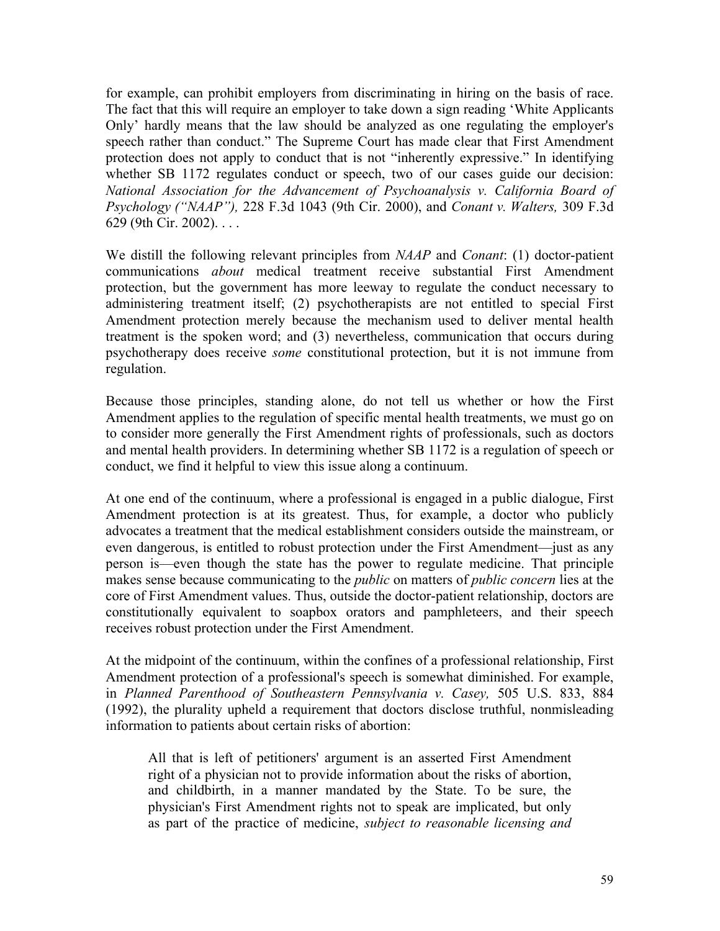for example, can prohibit employers from discriminating in hiring on the basis of race. The fact that this will require an employer to take down a sign reading 'White Applicants Only' hardly means that the law should be analyzed as one regulating the employer's speech rather than conduct." The Supreme Court has made clear that First Amendment protection does not apply to conduct that is not "inherently expressive." In identifying whether SB 1172 regulates conduct or speech, two of our cases guide our decision: *National Association for the Advancement of Psychoanalysis v. California Board of Psychology ("NAAP"),* 228 F.3d 1043 (9th Cir. 2000), and *Conant v. Walters,* 309 F.3d 629 (9th Cir. 2002). . . .

We distill the following relevant principles from *NAAP* and *Conant*: (1) doctor-patient communications *about* medical treatment receive substantial First Amendment protection, but the government has more leeway to regulate the conduct necessary to administering treatment itself; (2) psychotherapists are not entitled to special First Amendment protection merely because the mechanism used to deliver mental health treatment is the spoken word; and (3) nevertheless, communication that occurs during psychotherapy does receive *some* constitutional protection, but it is not immune from regulation.

Because those principles, standing alone, do not tell us whether or how the First Amendment applies to the regulation of specific mental health treatments, we must go on to consider more generally the First Amendment rights of professionals, such as doctors and mental health providers. In determining whether SB 1172 is a regulation of speech or conduct, we find it helpful to view this issue along a continuum.

At one end of the continuum, where a professional is engaged in a public dialogue, First Amendment protection is at its greatest. Thus, for example, a doctor who publicly advocates a treatment that the medical establishment considers outside the mainstream, or even dangerous, is entitled to robust protection under the First Amendment—just as any person is—even though the state has the power to regulate medicine. That principle makes sense because communicating to the *public* on matters of *public concern* lies at the core of First Amendment values. Thus, outside the doctor-patient relationship, doctors are constitutionally equivalent to soapbox orators and pamphleteers, and their speech receives robust protection under the First Amendment.

At the midpoint of the continuum, within the confines of a professional relationship, First Amendment protection of a professional's speech is somewhat diminished. For example, in *Planned Parenthood of Southeastern Pennsylvania v. Casey,* 505 U.S. 833, 884 (1992), the plurality upheld a requirement that doctors disclose truthful, nonmisleading information to patients about certain risks of abortion:

All that is left of petitioners' argument is an asserted First Amendment right of a physician not to provide information about the risks of abortion, and childbirth, in a manner mandated by the State. To be sure, the physician's First Amendment rights not to speak are implicated, but only as part of the practice of medicine, *subject to reasonable licensing and*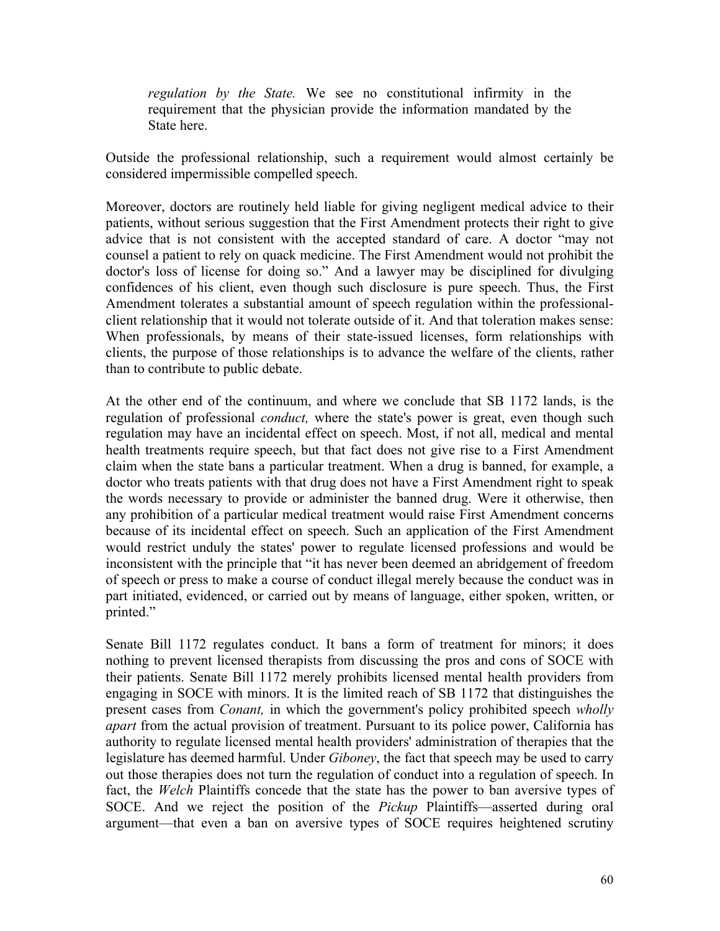*regulation by the State.* We see no constitutional infirmity in the requirement that the physician provide the information mandated by the State here.

Outside the professional relationship, such a requirement would almost certainly be considered impermissible compelled speech.

Moreover, doctors are routinely held liable for giving negligent medical advice to their patients, without serious suggestion that the First Amendment protects their right to give advice that is not consistent with the accepted standard of care. A doctor "may not counsel a patient to rely on quack medicine. The First Amendment would not prohibit the doctor's loss of license for doing so." And a lawyer may be disciplined for divulging confidences of his client, even though such disclosure is pure speech. Thus, the First Amendment tolerates a substantial amount of speech regulation within the professionalclient relationship that it would not tolerate outside of it. And that toleration makes sense: When professionals, by means of their state-issued licenses, form relationships with clients, the purpose of those relationships is to advance the welfare of the clients, rather than to contribute to public debate.

At the other end of the continuum, and where we conclude that SB 1172 lands, is the regulation of professional *conduct,* where the state's power is great, even though such regulation may have an incidental effect on speech. Most, if not all, medical and mental health treatments require speech, but that fact does not give rise to a First Amendment claim when the state bans a particular treatment. When a drug is banned, for example, a doctor who treats patients with that drug does not have a First Amendment right to speak the words necessary to provide or administer the banned drug. Were it otherwise, then any prohibition of a particular medical treatment would raise First Amendment concerns because of its incidental effect on speech. Such an application of the First Amendment would restrict unduly the states' power to regulate licensed professions and would be inconsistent with the principle that "it has never been deemed an abridgement of freedom of speech or press to make a course of conduct illegal merely because the conduct was in part initiated, evidenced, or carried out by means of language, either spoken, written, or printed."

Senate Bill 1172 regulates conduct. It bans a form of treatment for minors; it does nothing to prevent licensed therapists from discussing the pros and cons of SOCE with their patients. Senate Bill 1172 merely prohibits licensed mental health providers from engaging in SOCE with minors. It is the limited reach of SB 1172 that distinguishes the present cases from *Conant,* in which the government's policy prohibited speech *wholly apart* from the actual provision of treatment. Pursuant to its police power, California has authority to regulate licensed mental health providers' administration of therapies that the legislature has deemed harmful. Under *Giboney*, the fact that speech may be used to carry out those therapies does not turn the regulation of conduct into a regulation of speech. In fact, the *Welch* Plaintiffs concede that the state has the power to ban aversive types of SOCE. And we reject the position of the *Pickup* Plaintiffs—asserted during oral argument—that even a ban on aversive types of SOCE requires heightened scrutiny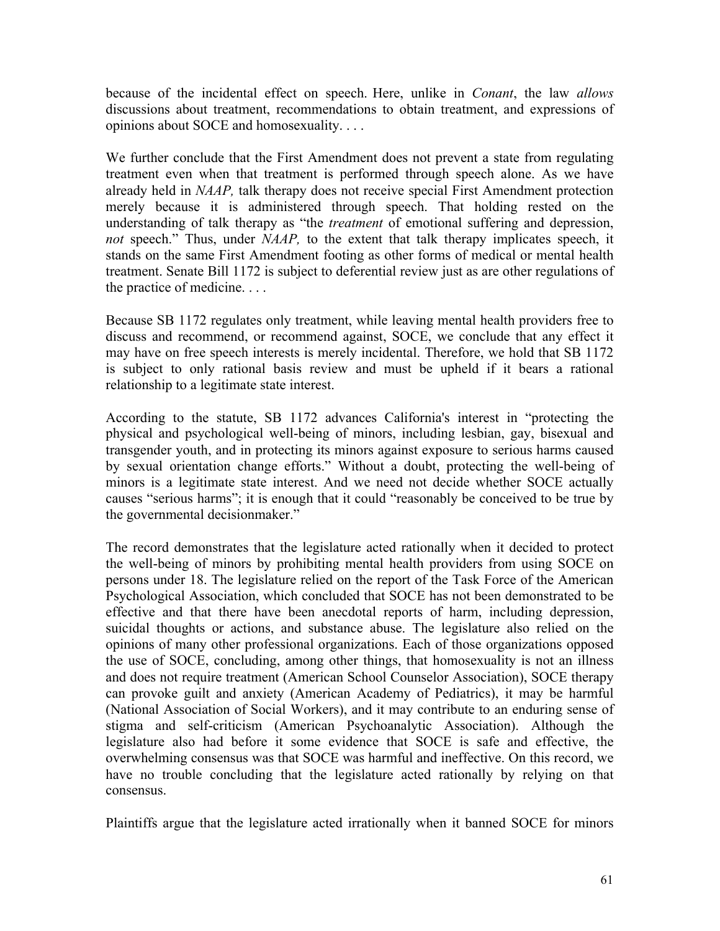because of the incidental effect on speech. Here, unlike in *Conant*, the law *allows* discussions about treatment, recommendations to obtain treatment, and expressions of opinions about SOCE and homosexuality. . . .

We further conclude that the First Amendment does not prevent a state from regulating treatment even when that treatment is performed through speech alone. As we have already held in *NAAP,* talk therapy does not receive special First Amendment protection merely because it is administered through speech. That holding rested on the understanding of talk therapy as "the *treatment* of emotional suffering and depression, *not* speech." Thus, under *NAAP,* to the extent that talk therapy implicates speech, it stands on the same First Amendment footing as other forms of medical or mental health treatment. Senate Bill 1172 is subject to deferential review just as are other regulations of the practice of medicine. . . .

Because SB 1172 regulates only treatment, while leaving mental health providers free to discuss and recommend, or recommend against, SOCE, we conclude that any effect it may have on free speech interests is merely incidental. Therefore, we hold that SB 1172 is subject to only rational basis review and must be upheld if it bears a rational relationship to a legitimate state interest.

According to the statute, SB 1172 advances California's interest in "protecting the physical and psychological well-being of minors, including lesbian, gay, bisexual and transgender youth, and in protecting its minors against exposure to serious harms caused by sexual orientation change efforts." Without a doubt, protecting the well-being of minors is a legitimate state interest. And we need not decide whether SOCE actually causes "serious harms"; it is enough that it could "reasonably be conceived to be true by the governmental decisionmaker."

The record demonstrates that the legislature acted rationally when it decided to protect the well-being of minors by prohibiting mental health providers from using SOCE on persons under 18. The legislature relied on the report of the Task Force of the American Psychological Association, which concluded that SOCE has not been demonstrated to be effective and that there have been anecdotal reports of harm, including depression, suicidal thoughts or actions, and substance abuse. The legislature also relied on the opinions of many other professional organizations. Each of those organizations opposed the use of SOCE, concluding, among other things, that homosexuality is not an illness and does not require treatment (American School Counselor Association), SOCE therapy can provoke guilt and anxiety (American Academy of Pediatrics), it may be harmful (National Association of Social Workers), and it may contribute to an enduring sense of stigma and self-criticism (American Psychoanalytic Association). Although the legislature also had before it some evidence that SOCE is safe and effective, the overwhelming consensus was that SOCE was harmful and ineffective. On this record, we have no trouble concluding that the legislature acted rationally by relying on that consensus.

Plaintiffs argue that the legislature acted irrationally when it banned SOCE for minors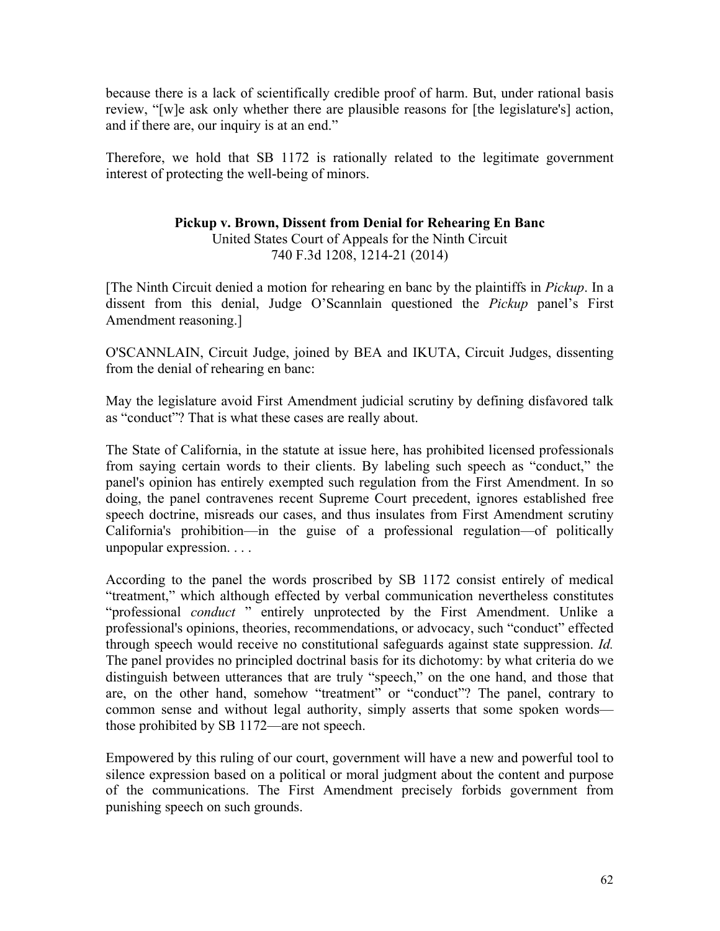because there is a lack of scientifically credible proof of harm. But, under rational basis review, "[w]e ask only whether there are plausible reasons for [the legislature's] action, and if there are, our inquiry is at an end."

Therefore, we hold that SB 1172 is rationally related to the legitimate government interest of protecting the well-being of minors.

## **Pickup v. Brown, Dissent from Denial for Rehearing En Banc**

United States Court of Appeals for the Ninth Circuit 740 F.3d 1208, 1214-21 (2014)

[The Ninth Circuit denied a motion for rehearing en banc by the plaintiffs in *Pickup*. In a dissent from this denial, Judge O'Scannlain questioned the *Pickup* panel's First Amendment reasoning.]

O'SCANNLAIN, Circuit Judge, joined by BEA and IKUTA, Circuit Judges, dissenting from the denial of rehearing en banc:

May the legislature avoid First Amendment judicial scrutiny by defining disfavored talk as "conduct"? That is what these cases are really about.

The State of California, in the statute at issue here, has prohibited licensed professionals from saying certain words to their clients. By labeling such speech as "conduct," the panel's opinion has entirely exempted such regulation from the First Amendment. In so doing, the panel contravenes recent Supreme Court precedent, ignores established free speech doctrine, misreads our cases, and thus insulates from First Amendment scrutiny California's prohibition—in the guise of a professional regulation—of politically unpopular expression. . . .

According to the panel the words proscribed by SB 1172 consist entirely of medical "treatment," which although effected by verbal communication nevertheless constitutes "professional *conduct* " entirely unprotected by the First Amendment. Unlike a professional's opinions, theories, recommendations, or advocacy, such "conduct" effected through speech would receive no constitutional safeguards against state suppression. *Id.* The panel provides no principled doctrinal basis for its dichotomy: by what criteria do we distinguish between utterances that are truly "speech," on the one hand, and those that are, on the other hand, somehow "treatment" or "conduct"? The panel, contrary to common sense and without legal authority, simply asserts that some spoken words those prohibited by SB 1172—are not speech.

Empowered by this ruling of our court, government will have a new and powerful tool to silence expression based on a political or moral judgment about the content and purpose of the communications. The First Amendment precisely forbids government from punishing speech on such grounds.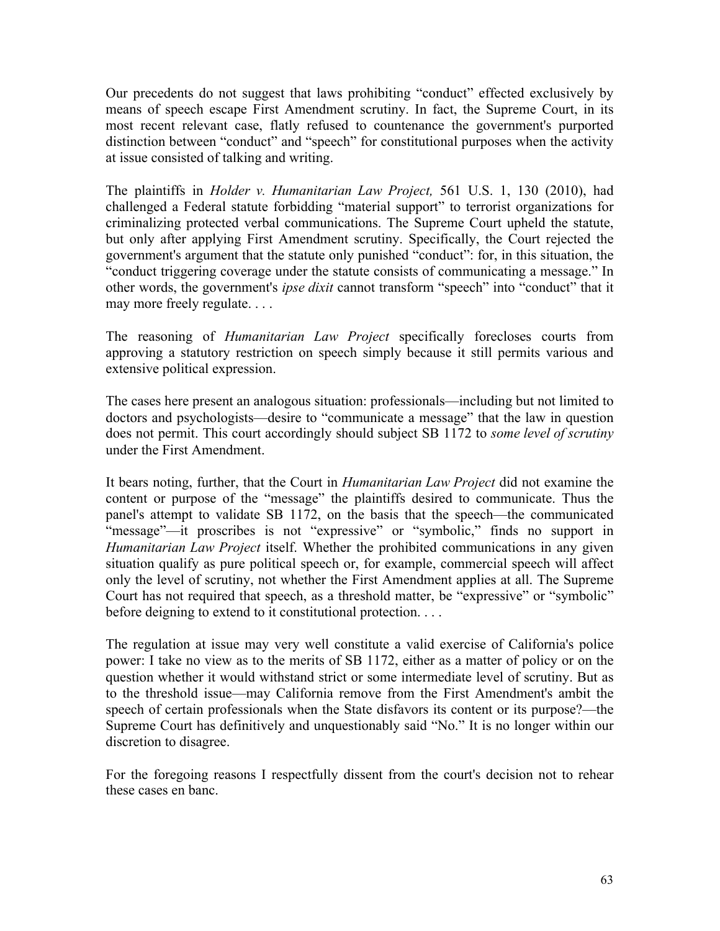Our precedents do not suggest that laws prohibiting "conduct" effected exclusively by means of speech escape First Amendment scrutiny. In fact, the Supreme Court, in its most recent relevant case, flatly refused to countenance the government's purported distinction between "conduct" and "speech" for constitutional purposes when the activity at issue consisted of talking and writing.

The plaintiffs in *Holder v. Humanitarian Law Project,* 561 U.S. 1, 130 (2010), had challenged a Federal statute forbidding "material support" to terrorist organizations for criminalizing protected verbal communications. The Supreme Court upheld the statute, but only after applying First Amendment scrutiny. Specifically, the Court rejected the government's argument that the statute only punished "conduct": for, in this situation, the "conduct triggering coverage under the statute consists of communicating a message." In other words, the government's *ipse dixit* cannot transform "speech" into "conduct" that it may more freely regulate. . . .

The reasoning of *Humanitarian Law Project* specifically forecloses courts from approving a statutory restriction on speech simply because it still permits various and extensive political expression.

The cases here present an analogous situation: professionals—including but not limited to doctors and psychologists—desire to "communicate a message" that the law in question does not permit. This court accordingly should subject SB 1172 to *some level of scrutiny* under the First Amendment.

It bears noting, further, that the Court in *Humanitarian Law Project* did not examine the content or purpose of the "message" the plaintiffs desired to communicate. Thus the panel's attempt to validate SB 1172, on the basis that the speech—the communicated "message"—it proscribes is not "expressive" or "symbolic," finds no support in *Humanitarian Law Project* itself. Whether the prohibited communications in any given situation qualify as pure political speech or, for example, commercial speech will affect only the level of scrutiny, not whether the First Amendment applies at all. The Supreme Court has not required that speech, as a threshold matter, be "expressive" or "symbolic" before deigning to extend to it constitutional protection. . . .

The regulation at issue may very well constitute a valid exercise of California's police power: I take no view as to the merits of SB 1172, either as a matter of policy or on the question whether it would withstand strict or some intermediate level of scrutiny. But as to the threshold issue—may California remove from the First Amendment's ambit the speech of certain professionals when the State disfavors its content or its purpose?—the Supreme Court has definitively and unquestionably said "No." It is no longer within our discretion to disagree.

For the foregoing reasons I respectfully dissent from the court's decision not to rehear these cases en banc.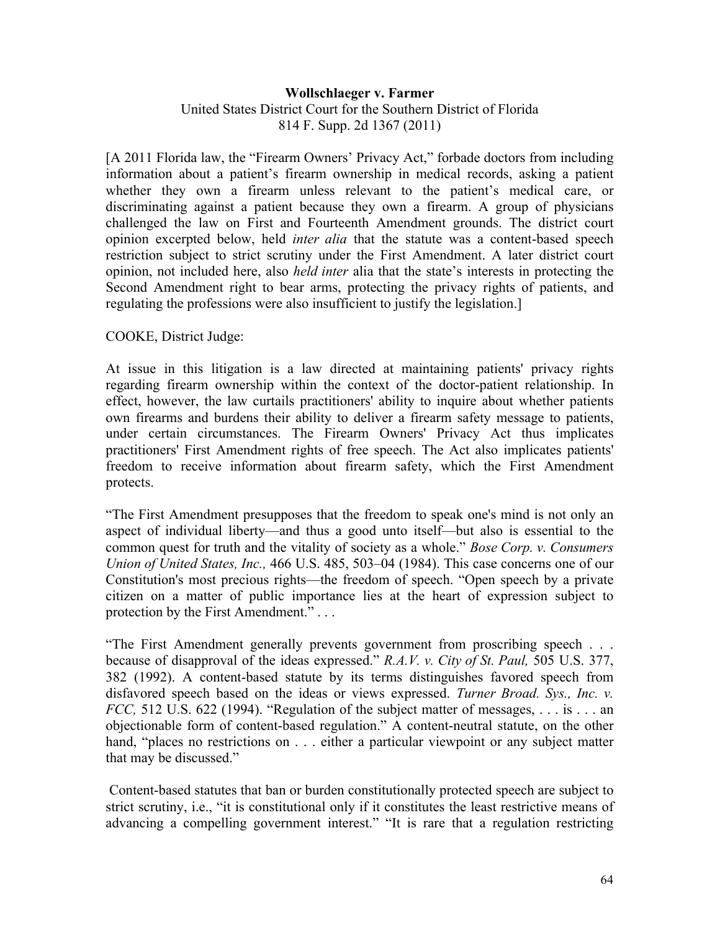### **Wollschlaeger v. Farmer** United States District Court for the Southern District of Florida 814 F. Supp. 2d 1367 (2011)

[A 2011 Florida law, the "Firearm Owners' Privacy Act," forbade doctors from including information about a patient's firearm ownership in medical records, asking a patient whether they own a firearm unless relevant to the patient's medical care, or discriminating against a patient because they own a firearm. A group of physicians challenged the law on First and Fourteenth Amendment grounds. The district court opinion excerpted below, held *inter alia* that the statute was a content-based speech restriction subject to strict scrutiny under the First Amendment. A later district court opinion, not included here, also *held inter* alia that the state's interests in protecting the Second Amendment right to bear arms, protecting the privacy rights of patients, and regulating the professions were also insufficient to justify the legislation.]

### COOKE, District Judge:

At issue in this litigation is a law directed at maintaining patients' privacy rights regarding firearm ownership within the context of the doctor-patient relationship. In effect, however, the law curtails practitioners' ability to inquire about whether patients own firearms and burdens their ability to deliver a firearm safety message to patients, under certain circumstances. The Firearm Owners' Privacy Act thus implicates practitioners' First Amendment rights of free speech. The Act also implicates patients' freedom to receive information about firearm safety, which the First Amendment protects.

"The First Amendment presupposes that the freedom to speak one's mind is not only an aspect of individual liberty—and thus a good unto itself—but also is essential to the common quest for truth and the vitality of society as a whole." *Bose Corp. v. Consumers Union of United States, Inc.,* 466 U.S. 485, 503–04 (1984). This case concerns one of our Constitution's most precious rights—the freedom of speech. "Open speech by a private citizen on a matter of public importance lies at the heart of expression subject to protection by the First Amendment." . . .

"The First Amendment generally prevents government from proscribing speech . . . because of disapproval of the ideas expressed." *R.A.V. v. City of St. Paul,* 505 U.S. 377, 382 (1992). A content-based statute by its terms distinguishes favored speech from disfavored speech based on the ideas or views expressed. *Turner Broad. Sys., Inc. v. FCC*, 512 U.S. 622 (1994). "Regulation of the subject matter of messages, ... is ... an objectionable form of content-based regulation." A content-neutral statute, on the other hand, "places no restrictions on . . . either a particular viewpoint or any subject matter that may be discussed."

Content-based statutes that ban or burden constitutionally protected speech are subject to strict scrutiny, i.e., "it is constitutional only if it constitutes the least restrictive means of advancing a compelling government interest." "It is rare that a regulation restricting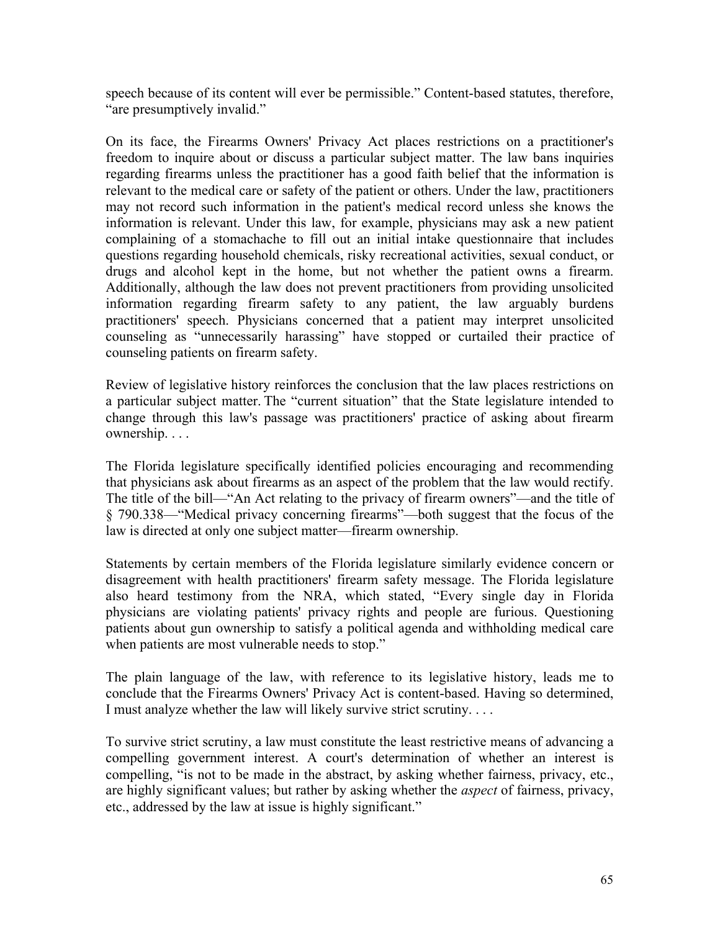speech because of its content will ever be permissible." Content-based statutes, therefore, "are presumptively invalid."

On its face, the Firearms Owners' Privacy Act places restrictions on a practitioner's freedom to inquire about or discuss a particular subject matter. The law bans inquiries regarding firearms unless the practitioner has a good faith belief that the information is relevant to the medical care or safety of the patient or others. Under the law, practitioners may not record such information in the patient's medical record unless she knows the information is relevant. Under this law, for example, physicians may ask a new patient complaining of a stomachache to fill out an initial intake questionnaire that includes questions regarding household chemicals, risky recreational activities, sexual conduct, or drugs and alcohol kept in the home, but not whether the patient owns a firearm. Additionally, although the law does not prevent practitioners from providing unsolicited information regarding firearm safety to any patient, the law arguably burdens practitioners' speech. Physicians concerned that a patient may interpret unsolicited counseling as "unnecessarily harassing" have stopped or curtailed their practice of counseling patients on firearm safety.

Review of legislative history reinforces the conclusion that the law places restrictions on a particular subject matter. The "current situation" that the State legislature intended to change through this law's passage was practitioners' practice of asking about firearm ownership. . . .

The Florida legislature specifically identified policies encouraging and recommending that physicians ask about firearms as an aspect of the problem that the law would rectify. The title of the bill—"An Act relating to the privacy of firearm owners"—and the title of § 790.338—"Medical privacy concerning firearms"—both suggest that the focus of the law is directed at only one subject matter—firearm ownership.

Statements by certain members of the Florida legislature similarly evidence concern or disagreement with health practitioners' firearm safety message. The Florida legislature also heard testimony from the NRA, which stated, "Every single day in Florida physicians are violating patients' privacy rights and people are furious. Questioning patients about gun ownership to satisfy a political agenda and withholding medical care when patients are most vulnerable needs to stop."

The plain language of the law, with reference to its legislative history, leads me to conclude that the Firearms Owners' Privacy Act is content-based. Having so determined, I must analyze whether the law will likely survive strict scrutiny. . . .

To survive strict scrutiny, a law must constitute the least restrictive means of advancing a compelling government interest. A court's determination of whether an interest is compelling, "is not to be made in the abstract, by asking whether fairness, privacy, etc., are highly significant values; but rather by asking whether the *aspect* of fairness, privacy, etc., addressed by the law at issue is highly significant."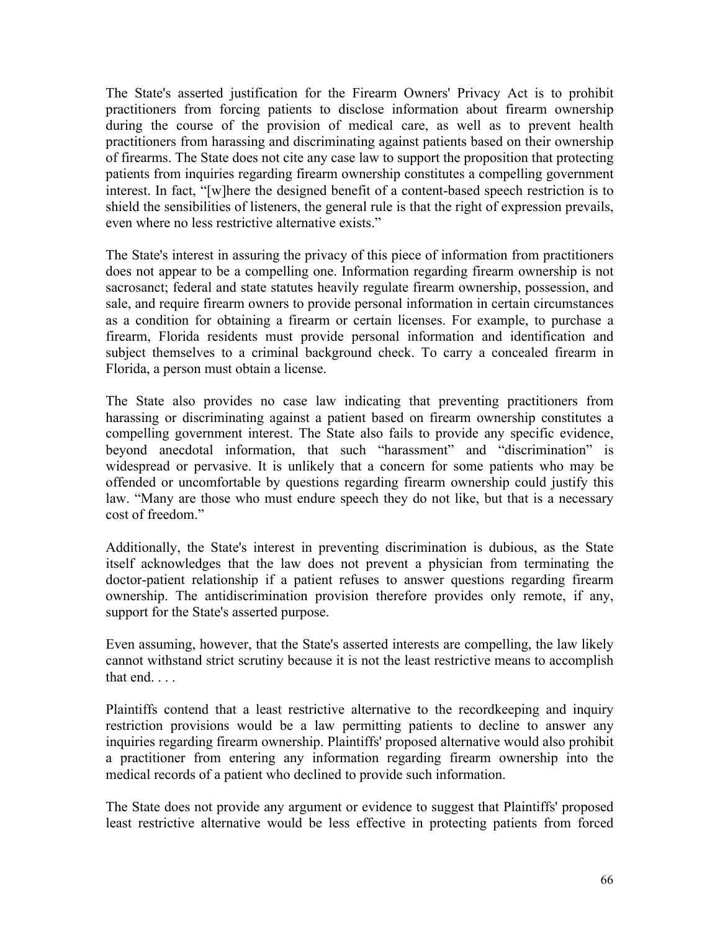The State's asserted justification for the Firearm Owners' Privacy Act is to prohibit practitioners from forcing patients to disclose information about firearm ownership during the course of the provision of medical care, as well as to prevent health practitioners from harassing and discriminating against patients based on their ownership of firearms. The State does not cite any case law to support the proposition that protecting patients from inquiries regarding firearm ownership constitutes a compelling government interest. In fact, "[w]here the designed benefit of a content-based speech restriction is to shield the sensibilities of listeners, the general rule is that the right of expression prevails, even where no less restrictive alternative exists."

The State's interest in assuring the privacy of this piece of information from practitioners does not appear to be a compelling one. Information regarding firearm ownership is not sacrosanct; federal and state statutes heavily regulate firearm ownership, possession, and sale, and require firearm owners to provide personal information in certain circumstances as a condition for obtaining a firearm or certain licenses. For example, to purchase a firearm, Florida residents must provide personal information and identification and subject themselves to a criminal background check. To carry a concealed firearm in Florida, a person must obtain a license.

The State also provides no case law indicating that preventing practitioners from harassing or discriminating against a patient based on firearm ownership constitutes a compelling government interest. The State also fails to provide any specific evidence, beyond anecdotal information, that such "harassment" and "discrimination" is widespread or pervasive. It is unlikely that a concern for some patients who may be offended or uncomfortable by questions regarding firearm ownership could justify this law. "Many are those who must endure speech they do not like, but that is a necessary cost of freedom."

Additionally, the State's interest in preventing discrimination is dubious, as the State itself acknowledges that the law does not prevent a physician from terminating the doctor-patient relationship if a patient refuses to answer questions regarding firearm ownership. The antidiscrimination provision therefore provides only remote, if any, support for the State's asserted purpose.

Even assuming, however, that the State's asserted interests are compelling, the law likely cannot withstand strict scrutiny because it is not the least restrictive means to accomplish that end.

Plaintiffs contend that a least restrictive alternative to the recordkeeping and inquiry restriction provisions would be a law permitting patients to decline to answer any inquiries regarding firearm ownership. Plaintiffs' proposed alternative would also prohibit a practitioner from entering any information regarding firearm ownership into the medical records of a patient who declined to provide such information.

The State does not provide any argument or evidence to suggest that Plaintiffs' proposed least restrictive alternative would be less effective in protecting patients from forced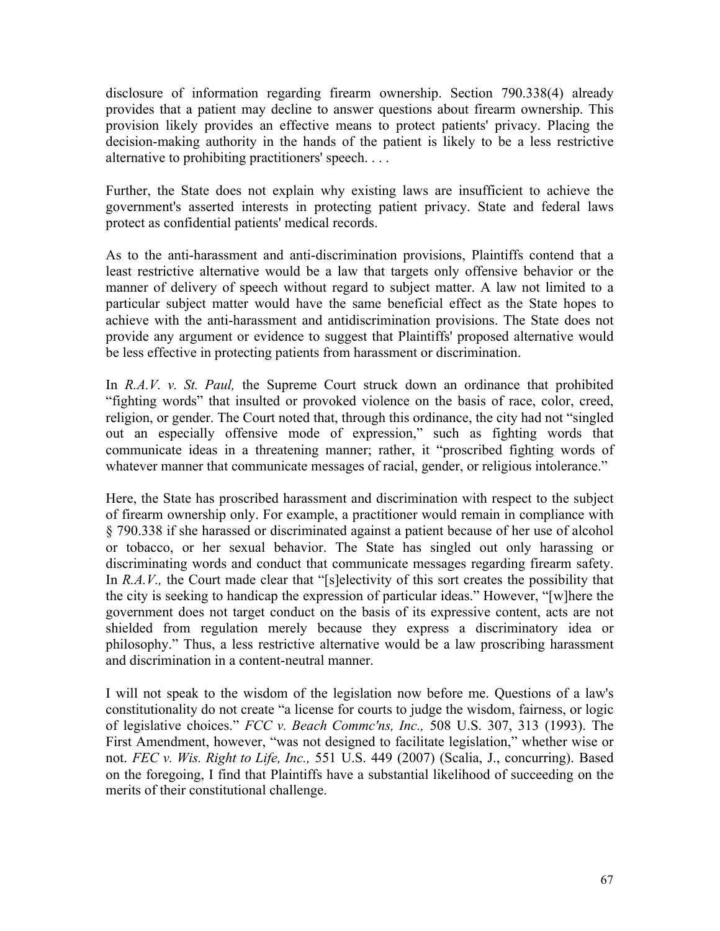disclosure of information regarding firearm ownership. Section 790.338(4) already provides that a patient may decline to answer questions about firearm ownership. This provision likely provides an effective means to protect patients' privacy. Placing the decision-making authority in the hands of the patient is likely to be a less restrictive alternative to prohibiting practitioners' speech. . . .

Further, the State does not explain why existing laws are insufficient to achieve the government's asserted interests in protecting patient privacy. State and federal laws protect as confidential patients' medical records.

As to the anti-harassment and anti-discrimination provisions, Plaintiffs contend that a least restrictive alternative would be a law that targets only offensive behavior or the manner of delivery of speech without regard to subject matter. A law not limited to a particular subject matter would have the same beneficial effect as the State hopes to achieve with the anti-harassment and antidiscrimination provisions. The State does not provide any argument or evidence to suggest that Plaintiffs' proposed alternative would be less effective in protecting patients from harassment or discrimination.

In *R.A.V. v. St. Paul,* the Supreme Court struck down an ordinance that prohibited "fighting words" that insulted or provoked violence on the basis of race, color, creed, religion, or gender. The Court noted that, through this ordinance, the city had not "singled out an especially offensive mode of expression," such as fighting words that communicate ideas in a threatening manner; rather, it "proscribed fighting words of whatever manner that communicate messages of racial, gender, or religious intolerance."

Here, the State has proscribed harassment and discrimination with respect to the subject of firearm ownership only. For example, a practitioner would remain in compliance with § 790.338 if she harassed or discriminated against a patient because of her use of alcohol or tobacco, or her sexual behavior. The State has singled out only harassing or discriminating words and conduct that communicate messages regarding firearm safety. In *R.A.V.*, the Court made clear that "[s]electivity of this sort creates the possibility that the city is seeking to handicap the expression of particular ideas." However, "[w]here the government does not target conduct on the basis of its expressive content, acts are not shielded from regulation merely because they express a discriminatory idea or philosophy." Thus, a less restrictive alternative would be a law proscribing harassment and discrimination in a content-neutral manner.

I will not speak to the wisdom of the legislation now before me. Questions of a law's constitutionality do not create "a license for courts to judge the wisdom, fairness, or logic of legislative choices." *FCC v. Beach Commc'ns, Inc.,* 508 U.S. 307, 313 (1993). The First Amendment, however, "was not designed to facilitate legislation," whether wise or not. *FEC v. Wis. Right to Life, Inc.,* 551 U.S. 449 (2007) (Scalia, J., concurring). Based on the foregoing, I find that Plaintiffs have a substantial likelihood of succeeding on the merits of their constitutional challenge.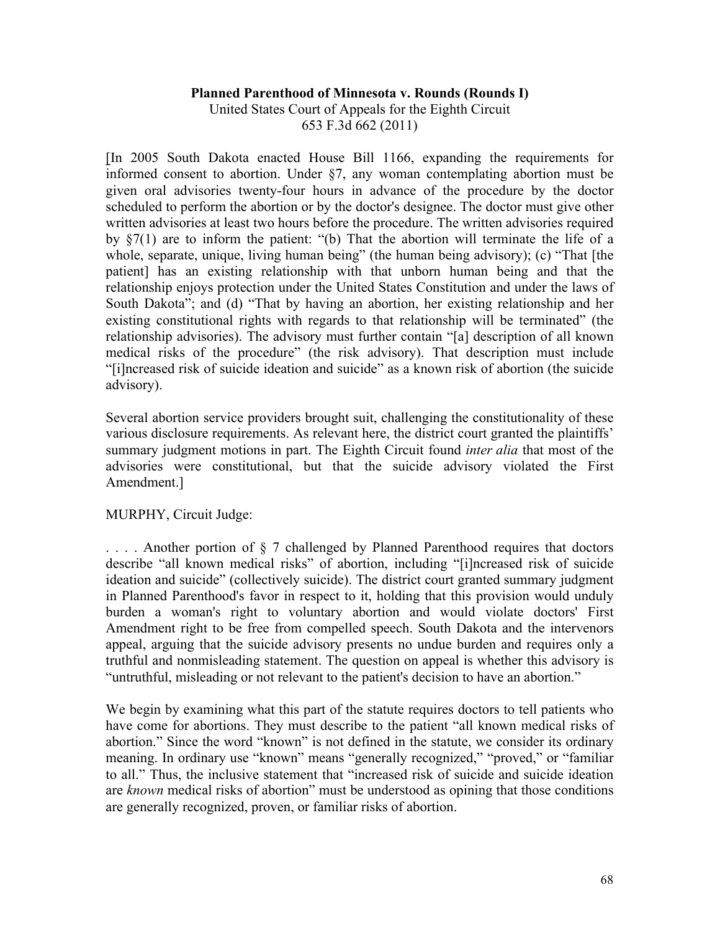#### **Planned Parenthood of Minnesota v. Rounds (Rounds I)**

United States Court of Appeals for the Eighth Circuit 653 F.3d 662 (2011)

[In 2005 South Dakota enacted House Bill 1166, expanding the requirements for informed consent to abortion. Under §7, any woman contemplating abortion must be given oral advisories twenty-four hours in advance of the procedure by the doctor scheduled to perform the abortion or by the doctor's designee. The doctor must give other written advisories at least two hours before the procedure. The written advisories required by  $\S7(1)$  are to inform the patient: "(b) That the abortion will terminate the life of a whole, separate, unique, living human being" (the human being advisory); (c) "That [the patient] has an existing relationship with that unborn human being and that the relationship enjoys protection under the United States Constitution and under the laws of South Dakota"; and (d) "That by having an abortion, her existing relationship and her existing constitutional rights with regards to that relationship will be terminated" (the relationship advisories). The advisory must further contain "[a] description of all known medical risks of the procedure" (the risk advisory). That description must include "[i]ncreased risk of suicide ideation and suicide" as a known risk of abortion (the suicide advisory).

Several abortion service providers brought suit, challenging the constitutionality of these various disclosure requirements. As relevant here, the district court granted the plaintiffs' summary judgment motions in part. The Eighth Circuit found *inter alia* that most of the advisories were constitutional, but that the suicide advisory violated the First Amendment.]

#### MURPHY, Circuit Judge:

.... Another portion of § 7 challenged by Planned Parenthood requires that doctors describe "all known medical risks" of abortion, including "[i]ncreased risk of suicide ideation and suicide" (collectively suicide). The district court granted summary judgment in Planned Parenthood's favor in respect to it, holding that this provision would unduly burden a woman's right to voluntary abortion and would violate doctors' First Amendment right to be free from compelled speech. South Dakota and the intervenors appeal, arguing that the suicide advisory presents no undue burden and requires only a truthful and nonmisleading statement. The question on appeal is whether this advisory is "untruthful, misleading or not relevant to the patient's decision to have an abortion."

We begin by examining what this part of the statute requires doctors to tell patients who have come for abortions. They must describe to the patient "all known medical risks of abortion." Since the word "known" is not defined in the statute, we consider its ordinary meaning. In ordinary use "known" means "generally recognized," "proved," or "familiar to all." Thus, the inclusive statement that "increased risk of suicide and suicide ideation are *known* medical risks of abortion" must be understood as opining that those conditions are generally recognized, proven, or familiar risks of abortion.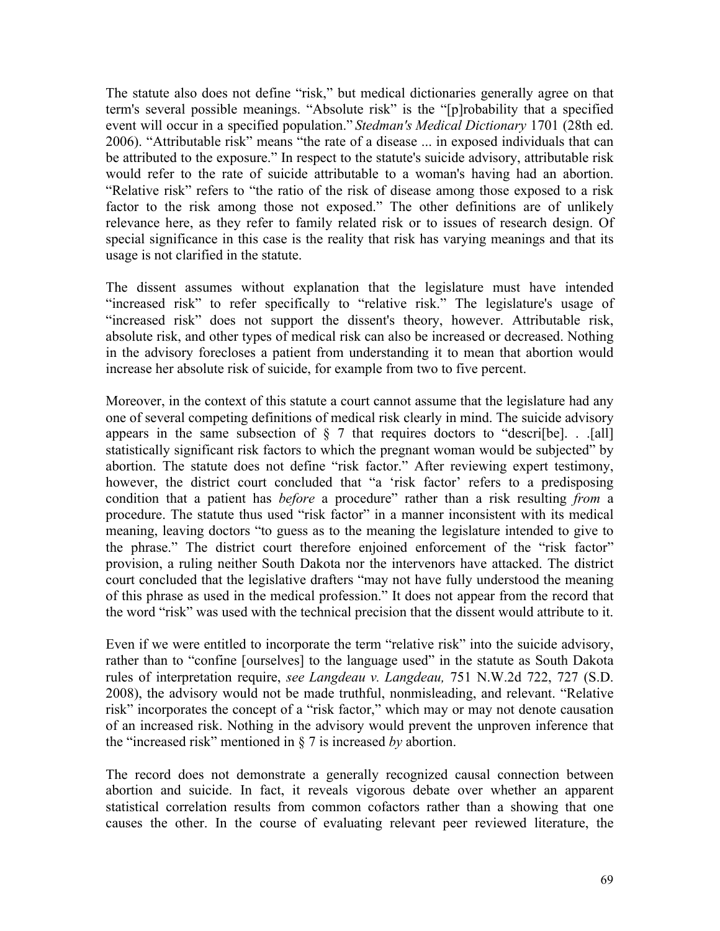The statute also does not define "risk," but medical dictionaries generally agree on that term's several possible meanings. "Absolute risk" is the "[p]robability that a specified event will occur in a specified population." *Stedman's Medical Dictionary* 1701 (28th ed. 2006). "Attributable risk" means "the rate of a disease ... in exposed individuals that can be attributed to the exposure." In respect to the statute's suicide advisory, attributable risk would refer to the rate of suicide attributable to a woman's having had an abortion. "Relative risk" refers to "the ratio of the risk of disease among those exposed to a risk factor to the risk among those not exposed." The other definitions are of unlikely relevance here, as they refer to family related risk or to issues of research design. Of special significance in this case is the reality that risk has varying meanings and that its usage is not clarified in the statute.

The dissent assumes without explanation that the legislature must have intended "increased risk" to refer specifically to "relative risk." The legislature's usage of "increased risk" does not support the dissent's theory, however. Attributable risk, absolute risk, and other types of medical risk can also be increased or decreased. Nothing in the advisory forecloses a patient from understanding it to mean that abortion would increase her absolute risk of suicide, for example from two to five percent.

Moreover, in the context of this statute a court cannot assume that the legislature had any one of several competing definitions of medical risk clearly in mind. The suicide advisory appears in the same subsection of  $\S$  7 that requires doctors to "descripel. . . [all] statistically significant risk factors to which the pregnant woman would be subjected" by abortion. The statute does not define "risk factor." After reviewing expert testimony, however, the district court concluded that "a 'risk factor' refers to a predisposing condition that a patient has *before* a procedure" rather than a risk resulting *from* a procedure. The statute thus used "risk factor" in a manner inconsistent with its medical meaning, leaving doctors "to guess as to the meaning the legislature intended to give to the phrase." The district court therefore enjoined enforcement of the "risk factor" provision, a ruling neither South Dakota nor the intervenors have attacked. The district court concluded that the legislative drafters "may not have fully understood the meaning of this phrase as used in the medical profession." It does not appear from the record that the word "risk" was used with the technical precision that the dissent would attribute to it.

Even if we were entitled to incorporate the term "relative risk" into the suicide advisory, rather than to "confine [ourselves] to the language used" in the statute as South Dakota rules of interpretation require, *see Langdeau v. Langdeau,* 751 N.W.2d 722, 727 (S.D. 2008), the advisory would not be made truthful, nonmisleading, and relevant. "Relative risk" incorporates the concept of a "risk factor," which may or may not denote causation of an increased risk. Nothing in the advisory would prevent the unproven inference that the "increased risk" mentioned in § 7 is increased *by* abortion.

The record does not demonstrate a generally recognized causal connection between abortion and suicide. In fact, it reveals vigorous debate over whether an apparent statistical correlation results from common cofactors rather than a showing that one causes the other. In the course of evaluating relevant peer reviewed literature, the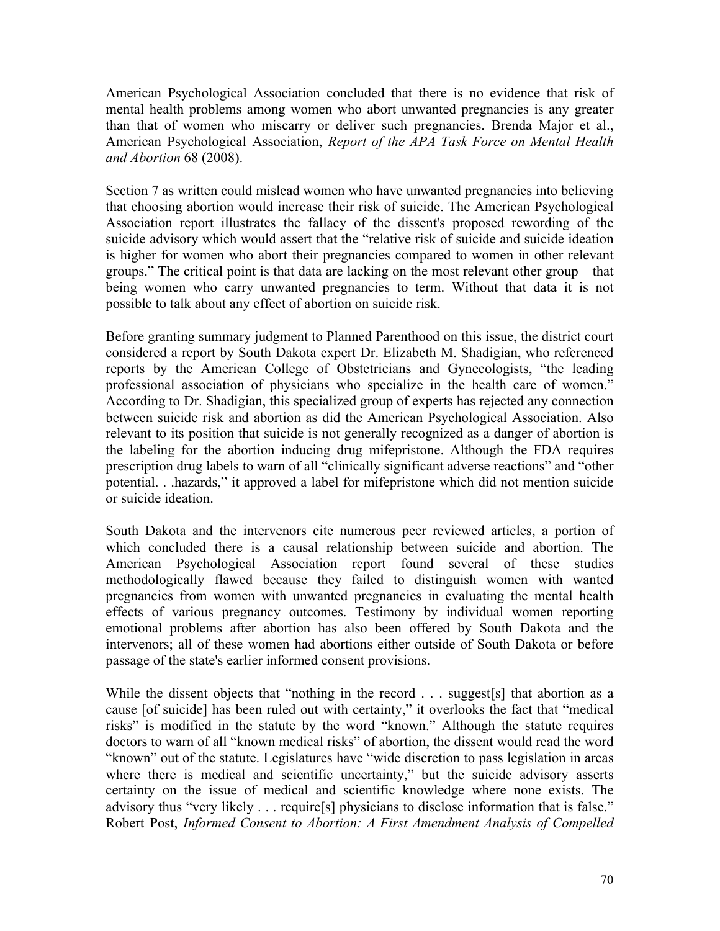American Psychological Association concluded that there is no evidence that risk of mental health problems among women who abort unwanted pregnancies is any greater than that of women who miscarry or deliver such pregnancies. Brenda Major et al., American Psychological Association, *Report of the APA Task Force on Mental Health and Abortion* 68 (2008).

Section 7 as written could mislead women who have unwanted pregnancies into believing that choosing abortion would increase their risk of suicide. The American Psychological Association report illustrates the fallacy of the dissent's proposed rewording of the suicide advisory which would assert that the "relative risk of suicide and suicide ideation is higher for women who abort their pregnancies compared to women in other relevant groups." The critical point is that data are lacking on the most relevant other group—that being women who carry unwanted pregnancies to term. Without that data it is not possible to talk about any effect of abortion on suicide risk.

Before granting summary judgment to Planned Parenthood on this issue, the district court considered a report by South Dakota expert Dr. Elizabeth M. Shadigian, who referenced reports by the American College of Obstetricians and Gynecologists, "the leading professional association of physicians who specialize in the health care of women." According to Dr. Shadigian, this specialized group of experts has rejected any connection between suicide risk and abortion as did the American Psychological Association. Also relevant to its position that suicide is not generally recognized as a danger of abortion is the labeling for the abortion inducing drug mifepristone. Although the FDA requires prescription drug labels to warn of all "clinically significant adverse reactions" and "other potential. . .hazards," it approved a label for mifepristone which did not mention suicide or suicide ideation.

South Dakota and the intervenors cite numerous peer reviewed articles, a portion of which concluded there is a causal relationship between suicide and abortion. The American Psychological Association report found several of these studies methodologically flawed because they failed to distinguish women with wanted pregnancies from women with unwanted pregnancies in evaluating the mental health effects of various pregnancy outcomes. Testimony by individual women reporting emotional problems after abortion has also been offered by South Dakota and the intervenors; all of these women had abortions either outside of South Dakota or before passage of the state's earlier informed consent provisions.

While the dissent objects that "nothing in the record . . . suggest[s] that abortion as a cause [of suicide] has been ruled out with certainty," it overlooks the fact that "medical risks" is modified in the statute by the word "known." Although the statute requires doctors to warn of all "known medical risks" of abortion, the dissent would read the word "known" out of the statute. Legislatures have "wide discretion to pass legislation in areas where there is medical and scientific uncertainty," but the suicide advisory asserts certainty on the issue of medical and scientific knowledge where none exists. The advisory thus "very likely . . . require[s] physicians to disclose information that is false." Robert Post, *Informed Consent to Abortion: A First Amendment Analysis of Compelled*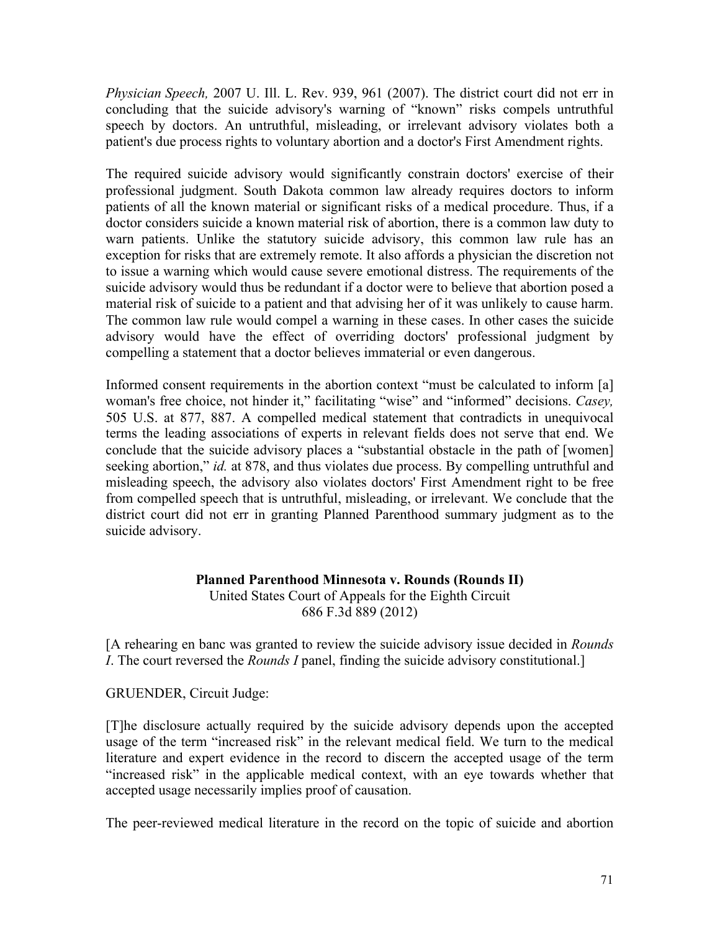*Physician Speech,* 2007 U. Ill. L. Rev. 939, 961 (2007). The district court did not err in concluding that the suicide advisory's warning of "known" risks compels untruthful speech by doctors. An untruthful, misleading, or irrelevant advisory violates both a patient's due process rights to voluntary abortion and a doctor's First Amendment rights.

The required suicide advisory would significantly constrain doctors' exercise of their professional judgment. South Dakota common law already requires doctors to inform patients of all the known material or significant risks of a medical procedure. Thus, if a doctor considers suicide a known material risk of abortion, there is a common law duty to warn patients. Unlike the statutory suicide advisory, this common law rule has an exception for risks that are extremely remote. It also affords a physician the discretion not to issue a warning which would cause severe emotional distress. The requirements of the suicide advisory would thus be redundant if a doctor were to believe that abortion posed a material risk of suicide to a patient and that advising her of it was unlikely to cause harm. The common law rule would compel a warning in these cases. In other cases the suicide advisory would have the effect of overriding doctors' professional judgment by compelling a statement that a doctor believes immaterial or even dangerous.

Informed consent requirements in the abortion context "must be calculated to inform [a] woman's free choice, not hinder it," facilitating "wise" and "informed" decisions. *Casey,* 505 U.S. at 877, 887. A compelled medical statement that contradicts in unequivocal terms the leading associations of experts in relevant fields does not serve that end. We conclude that the suicide advisory places a "substantial obstacle in the path of [women] seeking abortion," *id.* at 878, and thus violates due process. By compelling untruthful and misleading speech, the advisory also violates doctors' First Amendment right to be free from compelled speech that is untruthful, misleading, or irrelevant. We conclude that the district court did not err in granting Planned Parenthood summary judgment as to the suicide advisory.

## **Planned Parenthood Minnesota v. Rounds (Rounds II)** United States Court of Appeals for the Eighth Circuit

686 F.3d 889 (2012)

[A rehearing en banc was granted to review the suicide advisory issue decided in *Rounds I*. The court reversed the *Rounds I* panel, finding the suicide advisory constitutional.]

GRUENDER, Circuit Judge:

[T]he disclosure actually required by the suicide advisory depends upon the accepted usage of the term "increased risk" in the relevant medical field. We turn to the medical literature and expert evidence in the record to discern the accepted usage of the term "increased risk" in the applicable medical context, with an eye towards whether that accepted usage necessarily implies proof of causation.

The peer-reviewed medical literature in the record on the topic of suicide and abortion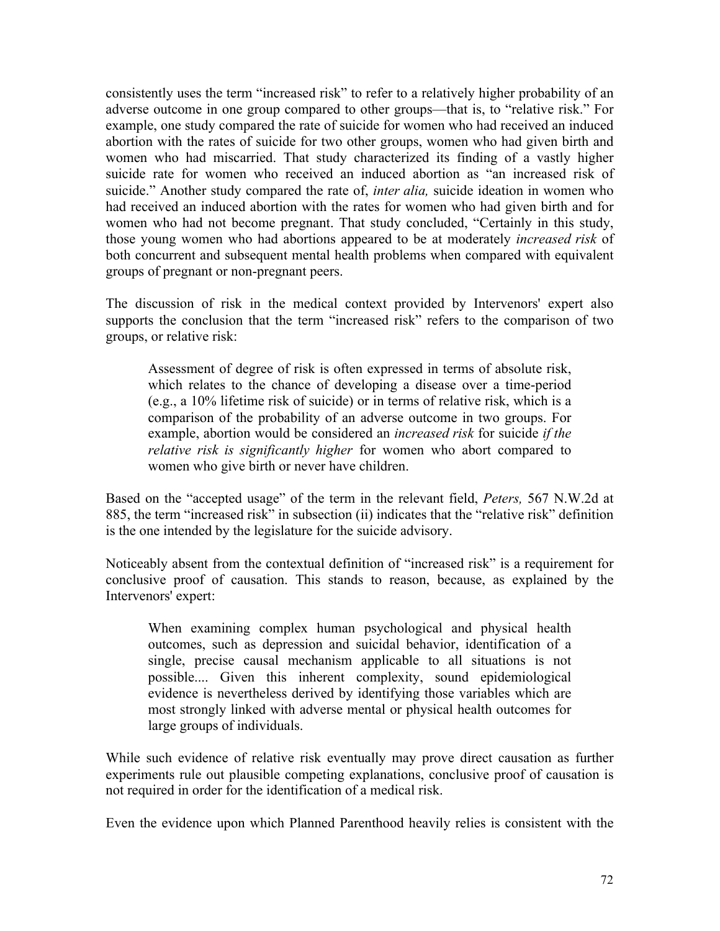consistently uses the term "increased risk" to refer to a relatively higher probability of an adverse outcome in one group compared to other groups—that is, to "relative risk." For example, one study compared the rate of suicide for women who had received an induced abortion with the rates of suicide for two other groups, women who had given birth and women who had miscarried. That study characterized its finding of a vastly higher suicide rate for women who received an induced abortion as "an increased risk of suicide." Another study compared the rate of, *inter alia,* suicide ideation in women who had received an induced abortion with the rates for women who had given birth and for women who had not become pregnant. That study concluded, "Certainly in this study, those young women who had abortions appeared to be at moderately *increased risk* of both concurrent and subsequent mental health problems when compared with equivalent groups of pregnant or non-pregnant peers.

The discussion of risk in the medical context provided by Intervenors' expert also supports the conclusion that the term "increased risk" refers to the comparison of two groups, or relative risk:

Assessment of degree of risk is often expressed in terms of absolute risk, which relates to the chance of developing a disease over a time-period (e.g., a 10% lifetime risk of suicide) or in terms of relative risk, which is a comparison of the probability of an adverse outcome in two groups. For example, abortion would be considered an *increased risk* for suicide *if the relative risk is significantly higher* for women who abort compared to women who give birth or never have children.

Based on the "accepted usage" of the term in the relevant field, *Peters,* 567 N.W.2d at 885, the term "increased risk" in subsection (ii) indicates that the "relative risk" definition is the one intended by the legislature for the suicide advisory.

Noticeably absent from the contextual definition of "increased risk" is a requirement for conclusive proof of causation. This stands to reason, because, as explained by the Intervenors' expert:

When examining complex human psychological and physical health outcomes, such as depression and suicidal behavior, identification of a single, precise causal mechanism applicable to all situations is not possible.... Given this inherent complexity, sound epidemiological evidence is nevertheless derived by identifying those variables which are most strongly linked with adverse mental or physical health outcomes for large groups of individuals.

While such evidence of relative risk eventually may prove direct causation as further experiments rule out plausible competing explanations, conclusive proof of causation is not required in order for the identification of a medical risk.

Even the evidence upon which Planned Parenthood heavily relies is consistent with the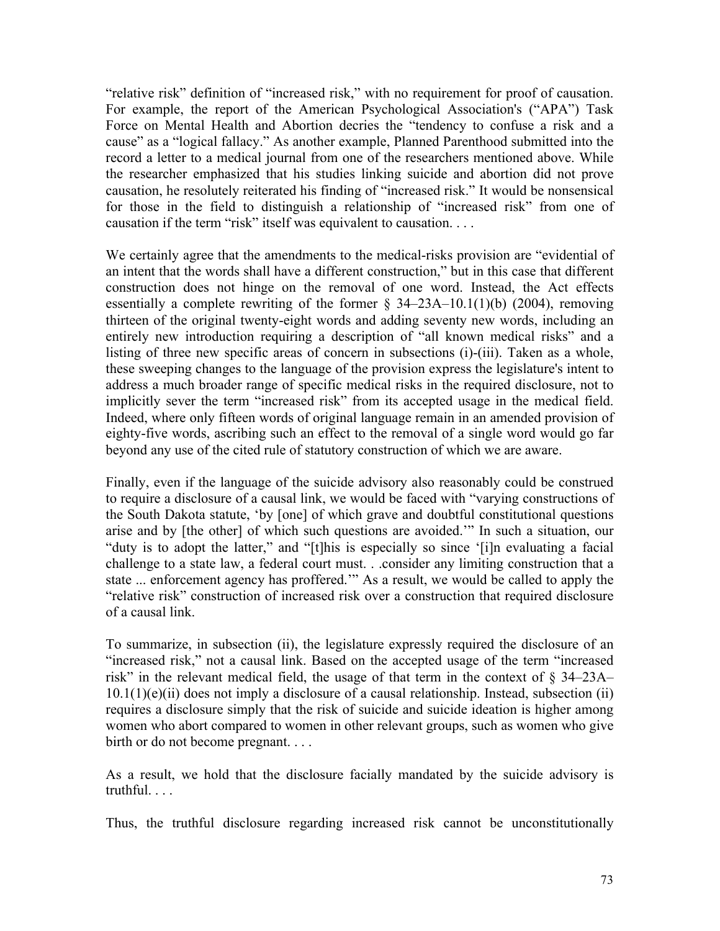"relative risk" definition of "increased risk," with no requirement for proof of causation. For example, the report of the American Psychological Association's ("APA") Task Force on Mental Health and Abortion decries the "tendency to confuse a risk and a cause" as a "logical fallacy." As another example, Planned Parenthood submitted into the record a letter to a medical journal from one of the researchers mentioned above. While the researcher emphasized that his studies linking suicide and abortion did not prove causation, he resolutely reiterated his finding of "increased risk." It would be nonsensical for those in the field to distinguish a relationship of "increased risk" from one of causation if the term "risk" itself was equivalent to causation. . . .

We certainly agree that the amendments to the medical-risks provision are "evidential of an intent that the words shall have a different construction," but in this case that different construction does not hinge on the removal of one word. Instead, the Act effects essentially a complete rewriting of the former § 34–23A–10.1(1)(b) (2004), removing thirteen of the original twenty-eight words and adding seventy new words, including an entirely new introduction requiring a description of "all known medical risks" and a listing of three new specific areas of concern in subsections (i)-(iii). Taken as a whole, these sweeping changes to the language of the provision express the legislature's intent to address a much broader range of specific medical risks in the required disclosure, not to implicitly sever the term "increased risk" from its accepted usage in the medical field. Indeed, where only fifteen words of original language remain in an amended provision of eighty-five words, ascribing such an effect to the removal of a single word would go far beyond any use of the cited rule of statutory construction of which we are aware.

Finally, even if the language of the suicide advisory also reasonably could be construed to require a disclosure of a causal link, we would be faced with "varying constructions of the South Dakota statute, 'by [one] of which grave and doubtful constitutional questions arise and by [the other] of which such questions are avoided.'" In such a situation, our "duty is to adopt the latter," and "[t]his is especially so since '[i]n evaluating a facial challenge to a state law, a federal court must. . .consider any limiting construction that a state ... enforcement agency has proffered.'" As a result, we would be called to apply the "relative risk" construction of increased risk over a construction that required disclosure of a causal link.

To summarize, in subsection (ii), the legislature expressly required the disclosure of an "increased risk," not a causal link. Based on the accepted usage of the term "increased risk" in the relevant medical field, the usage of that term in the context of  $\S$  34–23A–  $10.1(1)(e)(ii)$  does not imply a disclosure of a causal relationship. Instead, subsection (ii) requires a disclosure simply that the risk of suicide and suicide ideation is higher among women who abort compared to women in other relevant groups, such as women who give birth or do not become pregnant....

As a result, we hold that the disclosure facially mandated by the suicide advisory is truthful. . . .

Thus, the truthful disclosure regarding increased risk cannot be unconstitutionally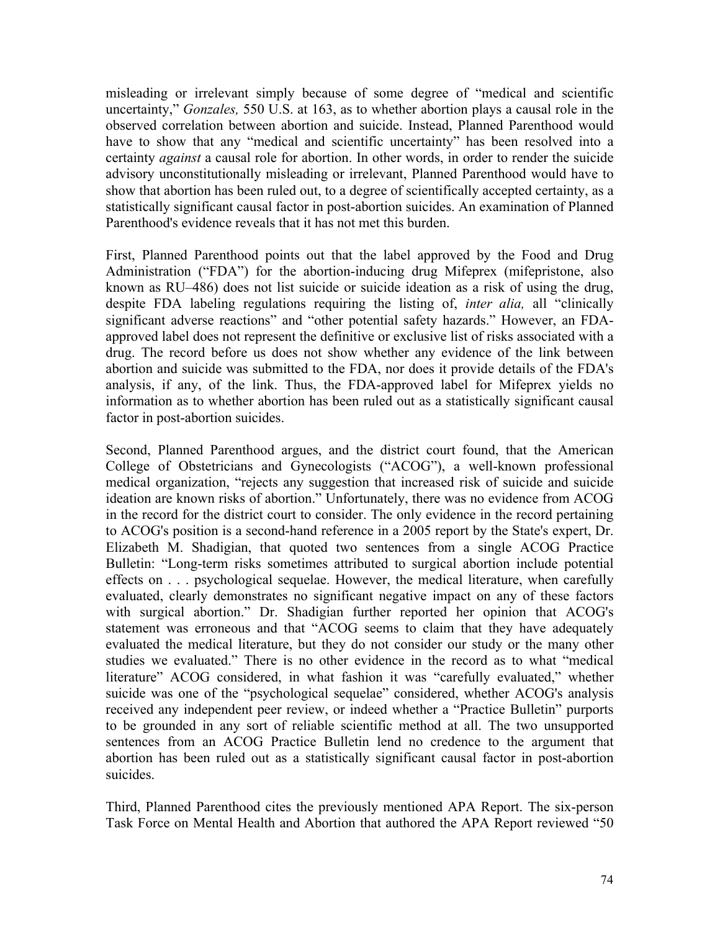misleading or irrelevant simply because of some degree of "medical and scientific uncertainty," *Gonzales,* 550 U.S. at 163, as to whether abortion plays a causal role in the observed correlation between abortion and suicide. Instead, Planned Parenthood would have to show that any "medical and scientific uncertainty" has been resolved into a certainty *against* a causal role for abortion. In other words, in order to render the suicide advisory unconstitutionally misleading or irrelevant, Planned Parenthood would have to show that abortion has been ruled out, to a degree of scientifically accepted certainty, as a statistically significant causal factor in post-abortion suicides. An examination of Planned Parenthood's evidence reveals that it has not met this burden.

First, Planned Parenthood points out that the label approved by the Food and Drug Administration ("FDA") for the abortion-inducing drug Mifeprex (mifepristone, also known as RU–486) does not list suicide or suicide ideation as a risk of using the drug, despite FDA labeling regulations requiring the listing of, *inter alia,* all "clinically significant adverse reactions" and "other potential safety hazards." However, an FDAapproved label does not represent the definitive or exclusive list of risks associated with a drug. The record before us does not show whether any evidence of the link between abortion and suicide was submitted to the FDA, nor does it provide details of the FDA's analysis, if any, of the link. Thus, the FDA-approved label for Mifeprex yields no information as to whether abortion has been ruled out as a statistically significant causal factor in post-abortion suicides.

Second, Planned Parenthood argues, and the district court found, that the American College of Obstetricians and Gynecologists ("ACOG"), a well-known professional medical organization, "rejects any suggestion that increased risk of suicide and suicide ideation are known risks of abortion." Unfortunately, there was no evidence from ACOG in the record for the district court to consider. The only evidence in the record pertaining to ACOG's position is a second-hand reference in a 2005 report by the State's expert, Dr. Elizabeth M. Shadigian, that quoted two sentences from a single ACOG Practice Bulletin: "Long-term risks sometimes attributed to surgical abortion include potential effects on . . . psychological sequelae. However, the medical literature, when carefully evaluated, clearly demonstrates no significant negative impact on any of these factors with surgical abortion." Dr. Shadigian further reported her opinion that ACOG's statement was erroneous and that "ACOG seems to claim that they have adequately evaluated the medical literature, but they do not consider our study or the many other studies we evaluated." There is no other evidence in the record as to what "medical literature" ACOG considered, in what fashion it was "carefully evaluated," whether suicide was one of the "psychological sequelae" considered, whether ACOG's analysis received any independent peer review, or indeed whether a "Practice Bulletin" purports to be grounded in any sort of reliable scientific method at all. The two unsupported sentences from an ACOG Practice Bulletin lend no credence to the argument that abortion has been ruled out as a statistically significant causal factor in post-abortion suicides.

Third, Planned Parenthood cites the previously mentioned APA Report. The six-person Task Force on Mental Health and Abortion that authored the APA Report reviewed "50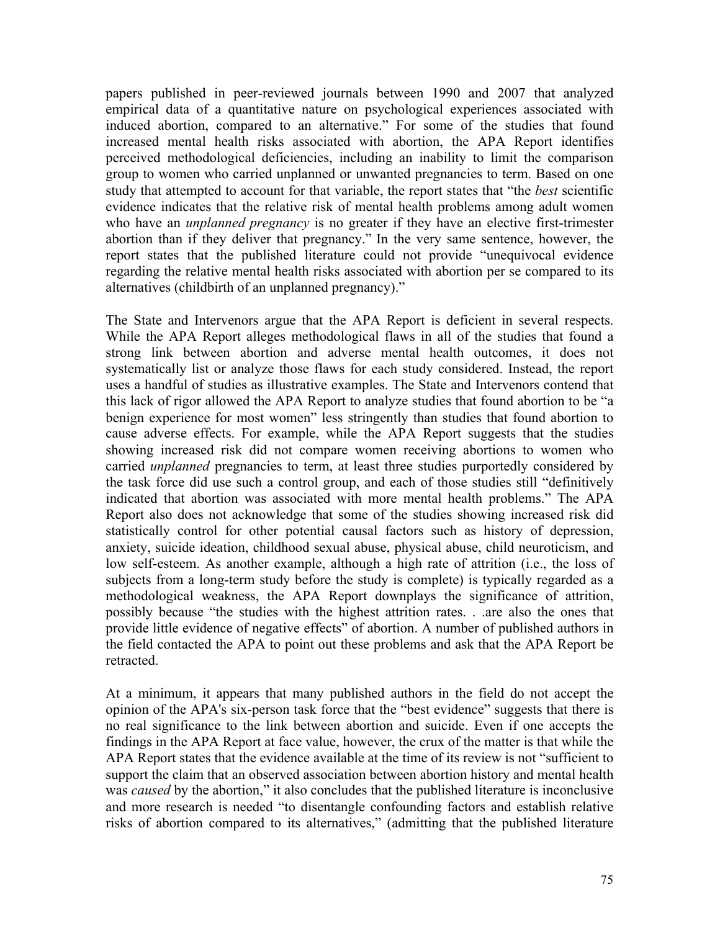papers published in peer-reviewed journals between 1990 and 2007 that analyzed empirical data of a quantitative nature on psychological experiences associated with induced abortion, compared to an alternative." For some of the studies that found increased mental health risks associated with abortion, the APA Report identifies perceived methodological deficiencies, including an inability to limit the comparison group to women who carried unplanned or unwanted pregnancies to term. Based on one study that attempted to account for that variable, the report states that "the *best* scientific evidence indicates that the relative risk of mental health problems among adult women who have an *unplanned pregnancy* is no greater if they have an elective first-trimester abortion than if they deliver that pregnancy." In the very same sentence, however, the report states that the published literature could not provide "unequivocal evidence regarding the relative mental health risks associated with abortion per se compared to its alternatives (childbirth of an unplanned pregnancy)."

The State and Intervenors argue that the APA Report is deficient in several respects. While the APA Report alleges methodological flaws in all of the studies that found a strong link between abortion and adverse mental health outcomes, it does not systematically list or analyze those flaws for each study considered. Instead, the report uses a handful of studies as illustrative examples. The State and Intervenors contend that this lack of rigor allowed the APA Report to analyze studies that found abortion to be "a benign experience for most women" less stringently than studies that found abortion to cause adverse effects. For example, while the APA Report suggests that the studies showing increased risk did not compare women receiving abortions to women who carried *unplanned* pregnancies to term, at least three studies purportedly considered by the task force did use such a control group, and each of those studies still "definitively indicated that abortion was associated with more mental health problems." The APA Report also does not acknowledge that some of the studies showing increased risk did statistically control for other potential causal factors such as history of depression, anxiety, suicide ideation, childhood sexual abuse, physical abuse, child neuroticism, and low self-esteem. As another example, although a high rate of attrition (i.e., the loss of subjects from a long-term study before the study is complete) is typically regarded as a methodological weakness, the APA Report downplays the significance of attrition, possibly because "the studies with the highest attrition rates. . .are also the ones that provide little evidence of negative effects" of abortion. A number of published authors in the field contacted the APA to point out these problems and ask that the APA Report be retracted.

At a minimum, it appears that many published authors in the field do not accept the opinion of the APA's six-person task force that the "best evidence" suggests that there is no real significance to the link between abortion and suicide. Even if one accepts the findings in the APA Report at face value, however, the crux of the matter is that while the APA Report states that the evidence available at the time of its review is not "sufficient to support the claim that an observed association between abortion history and mental health was *caused* by the abortion," it also concludes that the published literature is inconclusive and more research is needed "to disentangle confounding factors and establish relative risks of abortion compared to its alternatives," (admitting that the published literature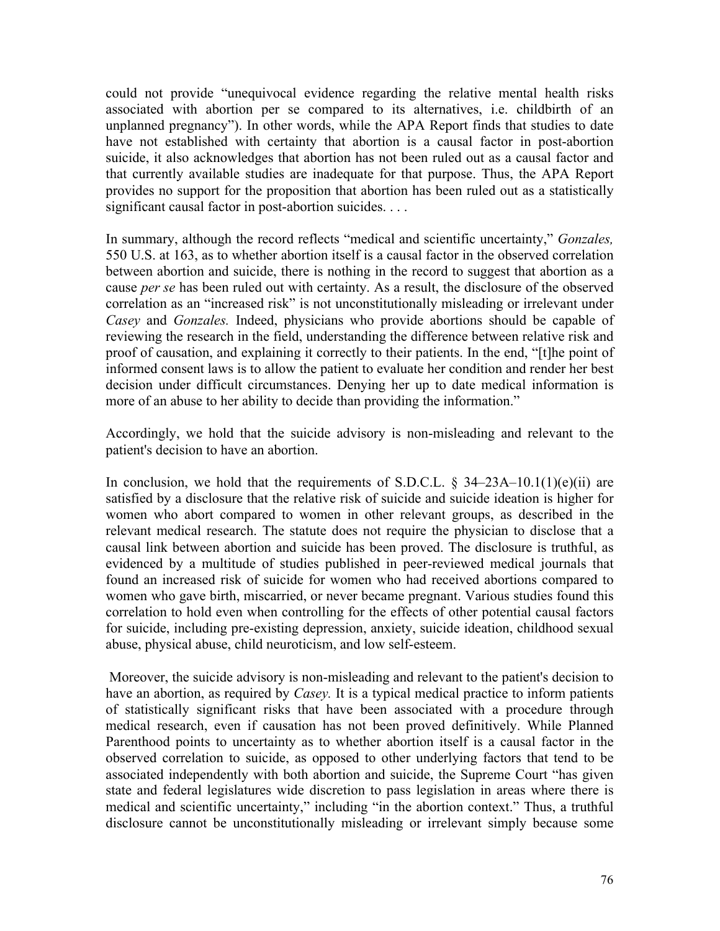could not provide "unequivocal evidence regarding the relative mental health risks associated with abortion per se compared to its alternatives, i.e. childbirth of an unplanned pregnancy"). In other words, while the APA Report finds that studies to date have not established with certainty that abortion is a causal factor in post-abortion suicide, it also acknowledges that abortion has not been ruled out as a causal factor and that currently available studies are inadequate for that purpose. Thus, the APA Report provides no support for the proposition that abortion has been ruled out as a statistically significant causal factor in post-abortion suicides. . . .

In summary, although the record reflects "medical and scientific uncertainty," *Gonzales,* 550 U.S. at 163, as to whether abortion itself is a causal factor in the observed correlation between abortion and suicide, there is nothing in the record to suggest that abortion as a cause *per se* has been ruled out with certainty. As a result, the disclosure of the observed correlation as an "increased risk" is not unconstitutionally misleading or irrelevant under *Casey* and *Gonzales.* Indeed, physicians who provide abortions should be capable of reviewing the research in the field, understanding the difference between relative risk and proof of causation, and explaining it correctly to their patients. In the end, "[t]he point of informed consent laws is to allow the patient to evaluate her condition and render her best decision under difficult circumstances. Denying her up to date medical information is more of an abuse to her ability to decide than providing the information."

Accordingly, we hold that the suicide advisory is non-misleading and relevant to the patient's decision to have an abortion.

In conclusion, we hold that the requirements of S.D.C.L.  $\S$  34–23A–10.1(1)(e)(ii) are satisfied by a disclosure that the relative risk of suicide and suicide ideation is higher for women who abort compared to women in other relevant groups, as described in the relevant medical research. The statute does not require the physician to disclose that a causal link between abortion and suicide has been proved. The disclosure is truthful, as evidenced by a multitude of studies published in peer-reviewed medical journals that found an increased risk of suicide for women who had received abortions compared to women who gave birth, miscarried, or never became pregnant. Various studies found this correlation to hold even when controlling for the effects of other potential causal factors for suicide, including pre-existing depression, anxiety, suicide ideation, childhood sexual abuse, physical abuse, child neuroticism, and low self-esteem.

Moreover, the suicide advisory is non-misleading and relevant to the patient's decision to have an abortion, as required by *Casey.* It is a typical medical practice to inform patients of statistically significant risks that have been associated with a procedure through medical research, even if causation has not been proved definitively. While Planned Parenthood points to uncertainty as to whether abortion itself is a causal factor in the observed correlation to suicide, as opposed to other underlying factors that tend to be associated independently with both abortion and suicide, the Supreme Court "has given state and federal legislatures wide discretion to pass legislation in areas where there is medical and scientific uncertainty," including "in the abortion context." Thus, a truthful disclosure cannot be unconstitutionally misleading or irrelevant simply because some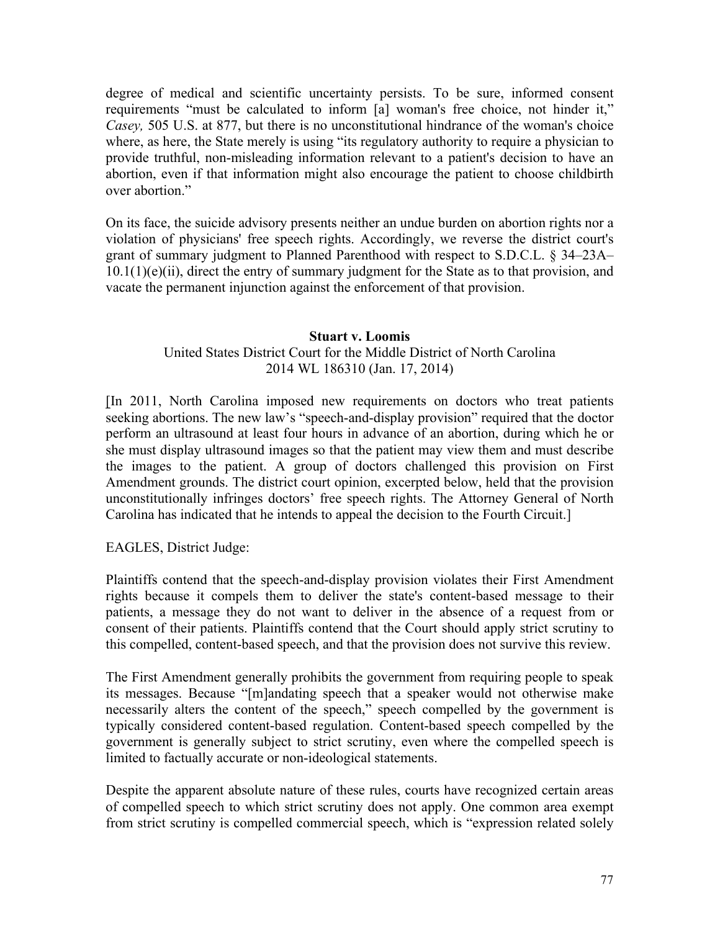degree of medical and scientific uncertainty persists. To be sure, informed consent requirements "must be calculated to inform [a] woman's free choice, not hinder it," *Casey,* 505 U.S. at 877, but there is no unconstitutional hindrance of the woman's choice where, as here, the State merely is using "its regulatory authority to require a physician to provide truthful, non-misleading information relevant to a patient's decision to have an abortion, even if that information might also encourage the patient to choose childbirth over abortion"

On its face, the suicide advisory presents neither an undue burden on abortion rights nor a violation of physicians' free speech rights. Accordingly, we reverse the district court's grant of summary judgment to Planned Parenthood with respect to S.D.C.L. § 34–23A–  $10.1(1)(e)(ii)$ , direct the entry of summary judgment for the State as to that provision, and vacate the permanent injunction against the enforcement of that provision.

## **Stuart v. Loomis**

## United States District Court for the Middle District of North Carolina 2014 WL 186310 (Jan. 17, 2014)

[In 2011, North Carolina imposed new requirements on doctors who treat patients seeking abortions. The new law's "speech-and-display provision" required that the doctor perform an ultrasound at least four hours in advance of an abortion, during which he or she must display ultrasound images so that the patient may view them and must describe the images to the patient. A group of doctors challenged this provision on First Amendment grounds. The district court opinion, excerpted below, held that the provision unconstitutionally infringes doctors' free speech rights. The Attorney General of North Carolina has indicated that he intends to appeal the decision to the Fourth Circuit.]

## EAGLES, District Judge:

Plaintiffs contend that the speech-and-display provision violates their First Amendment rights because it compels them to deliver the state's content-based message to their patients, a message they do not want to deliver in the absence of a request from or consent of their patients. Plaintiffs contend that the Court should apply strict scrutiny to this compelled, content-based speech, and that the provision does not survive this review.

The First Amendment generally prohibits the government from requiring people to speak its messages. Because "[m]andating speech that a speaker would not otherwise make necessarily alters the content of the speech," speech compelled by the government is typically considered content-based regulation. Content-based speech compelled by the government is generally subject to strict scrutiny, even where the compelled speech is limited to factually accurate or non-ideological statements.

Despite the apparent absolute nature of these rules, courts have recognized certain areas of compelled speech to which strict scrutiny does not apply. One common area exempt from strict scrutiny is compelled commercial speech, which is "expression related solely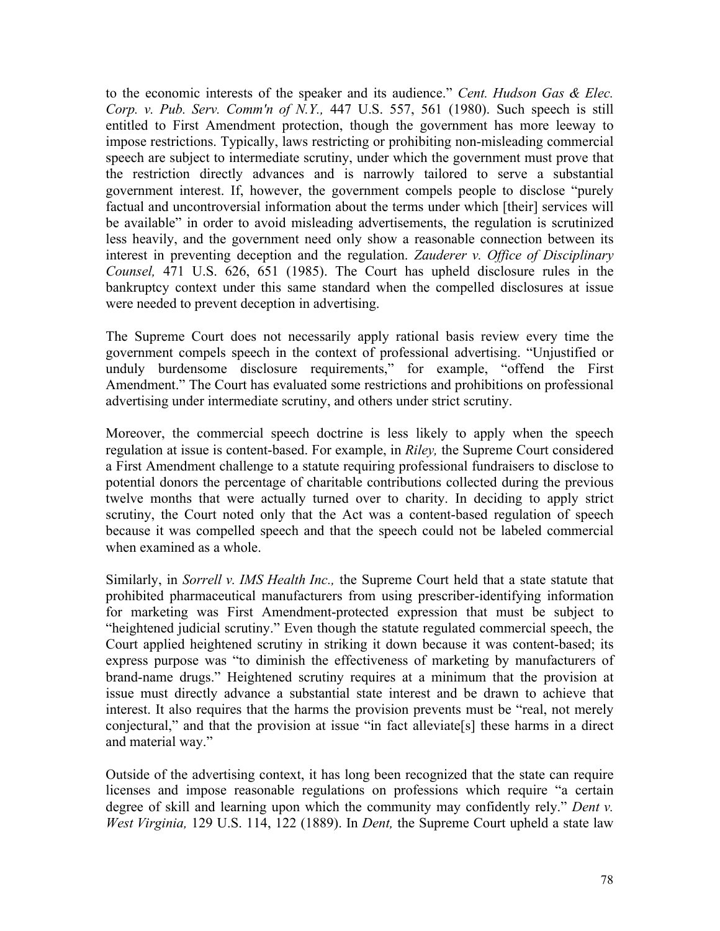to the economic interests of the speaker and its audience." *Cent. Hudson Gas & Elec. Corp. v. Pub. Serv. Comm'n of N.Y.,* 447 U.S. 557, 561 (1980). Such speech is still entitled to First Amendment protection, though the government has more leeway to impose restrictions. Typically, laws restricting or prohibiting non-misleading commercial speech are subject to intermediate scrutiny, under which the government must prove that the restriction directly advances and is narrowly tailored to serve a substantial government interest. If, however, the government compels people to disclose "purely factual and uncontroversial information about the terms under which [their] services will be available" in order to avoid misleading advertisements, the regulation is scrutinized less heavily, and the government need only show a reasonable connection between its interest in preventing deception and the regulation. *Zauderer v. Office of Disciplinary Counsel,* 471 U.S. 626, 651 (1985). The Court has upheld disclosure rules in the bankruptcy context under this same standard when the compelled disclosures at issue were needed to prevent deception in advertising.

The Supreme Court does not necessarily apply rational basis review every time the government compels speech in the context of professional advertising. "Unjustified or unduly burdensome disclosure requirements," for example, "offend the First Amendment." The Court has evaluated some restrictions and prohibitions on professional advertising under intermediate scrutiny, and others under strict scrutiny.

Moreover, the commercial speech doctrine is less likely to apply when the speech regulation at issue is content-based. For example, in *Riley,* the Supreme Court considered a First Amendment challenge to a statute requiring professional fundraisers to disclose to potential donors the percentage of charitable contributions collected during the previous twelve months that were actually turned over to charity. In deciding to apply strict scrutiny, the Court noted only that the Act was a content-based regulation of speech because it was compelled speech and that the speech could not be labeled commercial when examined as a whole.

Similarly, in *Sorrell v. IMS Health Inc.,* the Supreme Court held that a state statute that prohibited pharmaceutical manufacturers from using prescriber-identifying information for marketing was First Amendment-protected expression that must be subject to "heightened judicial scrutiny." Even though the statute regulated commercial speech, the Court applied heightened scrutiny in striking it down because it was content-based; its express purpose was "to diminish the effectiveness of marketing by manufacturers of brand-name drugs." Heightened scrutiny requires at a minimum that the provision at issue must directly advance a substantial state interest and be drawn to achieve that interest. It also requires that the harms the provision prevents must be "real, not merely conjectural," and that the provision at issue "in fact alleviate[s] these harms in a direct and material way."

Outside of the advertising context, it has long been recognized that the state can require licenses and impose reasonable regulations on professions which require "a certain degree of skill and learning upon which the community may confidently rely." *Dent v. West Virginia,* 129 U.S. 114, 122 (1889). In *Dent,* the Supreme Court upheld a state law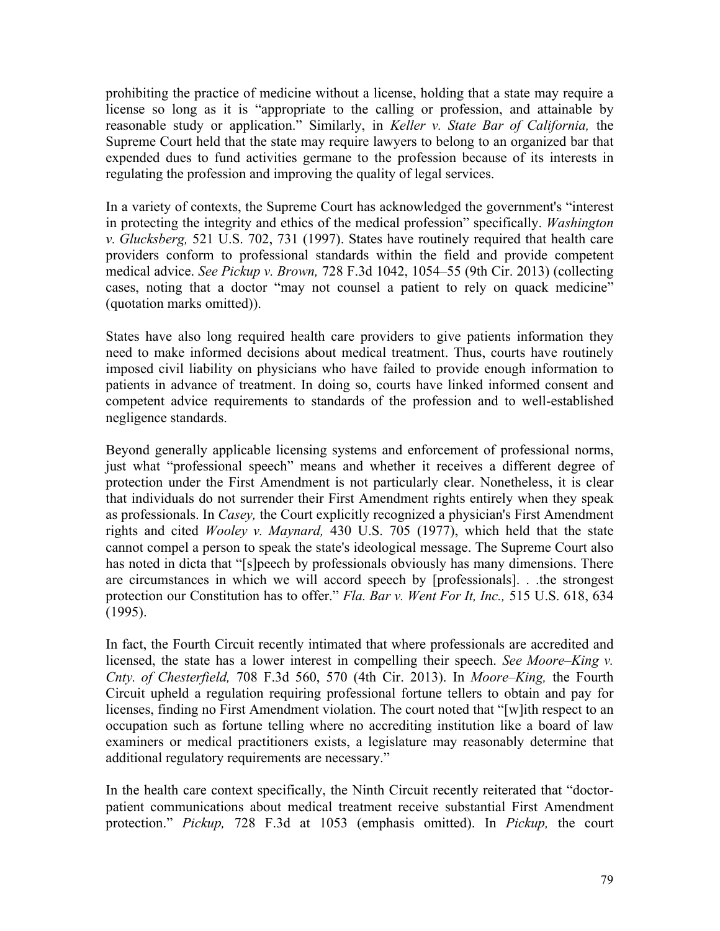prohibiting the practice of medicine without a license, holding that a state may require a license so long as it is "appropriate to the calling or profession, and attainable by reasonable study or application." Similarly, in *Keller v. State Bar of California,* the Supreme Court held that the state may require lawyers to belong to an organized bar that expended dues to fund activities germane to the profession because of its interests in regulating the profession and improving the quality of legal services.

In a variety of contexts, the Supreme Court has acknowledged the government's "interest in protecting the integrity and ethics of the medical profession" specifically. *Washington v. Glucksberg,* 521 U.S. 702, 731 (1997). States have routinely required that health care providers conform to professional standards within the field and provide competent medical advice. *See Pickup v. Brown,* 728 F.3d 1042, 1054–55 (9th Cir. 2013) (collecting cases, noting that a doctor "may not counsel a patient to rely on quack medicine" (quotation marks omitted)).

States have also long required health care providers to give patients information they need to make informed decisions about medical treatment. Thus, courts have routinely imposed civil liability on physicians who have failed to provide enough information to patients in advance of treatment. In doing so, courts have linked informed consent and competent advice requirements to standards of the profession and to well-established negligence standards.

Beyond generally applicable licensing systems and enforcement of professional norms, just what "professional speech" means and whether it receives a different degree of protection under the First Amendment is not particularly clear. Nonetheless, it is clear that individuals do not surrender their First Amendment rights entirely when they speak as professionals. In *Casey,* the Court explicitly recognized a physician's First Amendment rights and cited *Wooley v. Maynard,* 430 U.S. 705 (1977), which held that the state cannot compel a person to speak the state's ideological message. The Supreme Court also has noted in dicta that "[s]peech by professionals obviously has many dimensions. There are circumstances in which we will accord speech by [professionals]. . .the strongest protection our Constitution has to offer." *Fla. Bar v. Went For It, Inc.,* 515 U.S. 618, 634 (1995).

In fact, the Fourth Circuit recently intimated that where professionals are accredited and licensed, the state has a lower interest in compelling their speech. *See Moore–King v. Cnty. of Chesterfield,* 708 F.3d 560, 570 (4th Cir. 2013). In *Moore–King,* the Fourth Circuit upheld a regulation requiring professional fortune tellers to obtain and pay for licenses, finding no First Amendment violation. The court noted that "[w]ith respect to an occupation such as fortune telling where no accrediting institution like a board of law examiners or medical practitioners exists, a legislature may reasonably determine that additional regulatory requirements are necessary."

In the health care context specifically, the Ninth Circuit recently reiterated that "doctorpatient communications about medical treatment receive substantial First Amendment protection." *Pickup,* 728 F.3d at 1053 (emphasis omitted). In *Pickup,* the court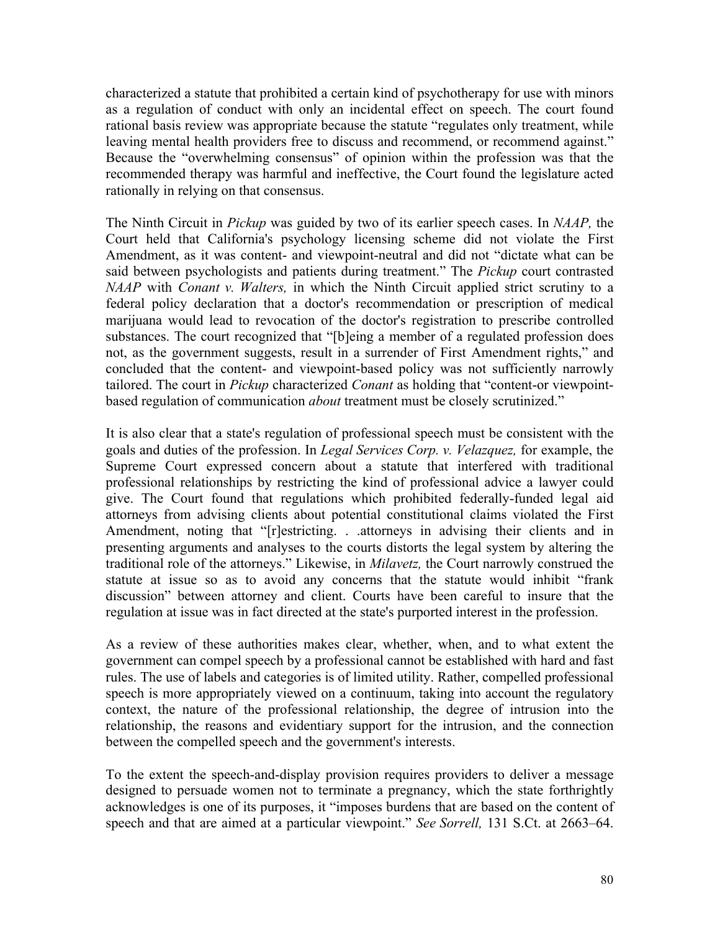characterized a statute that prohibited a certain kind of psychotherapy for use with minors as a regulation of conduct with only an incidental effect on speech. The court found rational basis review was appropriate because the statute "regulates only treatment, while leaving mental health providers free to discuss and recommend, or recommend against." Because the "overwhelming consensus" of opinion within the profession was that the recommended therapy was harmful and ineffective, the Court found the legislature acted rationally in relying on that consensus.

The Ninth Circuit in *Pickup* was guided by two of its earlier speech cases. In *NAAP,* the Court held that California's psychology licensing scheme did not violate the First Amendment, as it was content- and viewpoint-neutral and did not "dictate what can be said between psychologists and patients during treatment." The *Pickup* court contrasted *NAAP* with *Conant v. Walters,* in which the Ninth Circuit applied strict scrutiny to a federal policy declaration that a doctor's recommendation or prescription of medical marijuana would lead to revocation of the doctor's registration to prescribe controlled substances. The court recognized that "[b]eing a member of a regulated profession does not, as the government suggests, result in a surrender of First Amendment rights," and concluded that the content- and viewpoint-based policy was not sufficiently narrowly tailored. The court in *Pickup* characterized *Conant* as holding that "content-or viewpointbased regulation of communication *about* treatment must be closely scrutinized."

It is also clear that a state's regulation of professional speech must be consistent with the goals and duties of the profession. In *Legal Services Corp. v. Velazquez,* for example, the Supreme Court expressed concern about a statute that interfered with traditional professional relationships by restricting the kind of professional advice a lawyer could give. The Court found that regulations which prohibited federally-funded legal aid attorneys from advising clients about potential constitutional claims violated the First Amendment, noting that "[r]estricting. . .attorneys in advising their clients and in presenting arguments and analyses to the courts distorts the legal system by altering the traditional role of the attorneys." Likewise, in *Milavetz,* the Court narrowly construed the statute at issue so as to avoid any concerns that the statute would inhibit "frank discussion" between attorney and client. Courts have been careful to insure that the regulation at issue was in fact directed at the state's purported interest in the profession.

As a review of these authorities makes clear, whether, when, and to what extent the government can compel speech by a professional cannot be established with hard and fast rules. The use of labels and categories is of limited utility. Rather, compelled professional speech is more appropriately viewed on a continuum, taking into account the regulatory context, the nature of the professional relationship, the degree of intrusion into the relationship, the reasons and evidentiary support for the intrusion, and the connection between the compelled speech and the government's interests.

To the extent the speech-and-display provision requires providers to deliver a message designed to persuade women not to terminate a pregnancy, which the state forthrightly acknowledges is one of its purposes, it "imposes burdens that are based on the content of speech and that are aimed at a particular viewpoint." *See Sorrell,* 131 S.Ct. at 2663–64.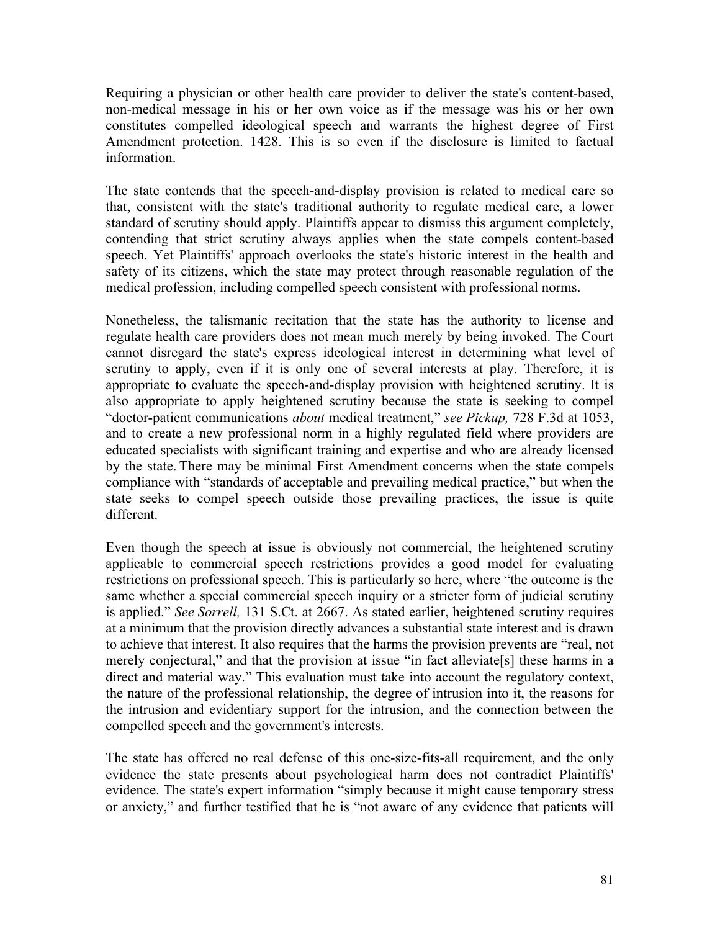Requiring a physician or other health care provider to deliver the state's content-based, non-medical message in his or her own voice as if the message was his or her own constitutes compelled ideological speech and warrants the highest degree of First Amendment protection. 1428. This is so even if the disclosure is limited to factual information.

The state contends that the speech-and-display provision is related to medical care so that, consistent with the state's traditional authority to regulate medical care, a lower standard of scrutiny should apply. Plaintiffs appear to dismiss this argument completely, contending that strict scrutiny always applies when the state compels content-based speech. Yet Plaintiffs' approach overlooks the state's historic interest in the health and safety of its citizens, which the state may protect through reasonable regulation of the medical profession, including compelled speech consistent with professional norms.

Nonetheless, the talismanic recitation that the state has the authority to license and regulate health care providers does not mean much merely by being invoked. The Court cannot disregard the state's express ideological interest in determining what level of scrutiny to apply, even if it is only one of several interests at play. Therefore, it is appropriate to evaluate the speech-and-display provision with heightened scrutiny. It is also appropriate to apply heightened scrutiny because the state is seeking to compel "doctor-patient communications *about* medical treatment," *see Pickup,* 728 F.3d at 1053, and to create a new professional norm in a highly regulated field where providers are educated specialists with significant training and expertise and who are already licensed by the state. There may be minimal First Amendment concerns when the state compels compliance with "standards of acceptable and prevailing medical practice," but when the state seeks to compel speech outside those prevailing practices, the issue is quite different.

Even though the speech at issue is obviously not commercial, the heightened scrutiny applicable to commercial speech restrictions provides a good model for evaluating restrictions on professional speech. This is particularly so here, where "the outcome is the same whether a special commercial speech inquiry or a stricter form of judicial scrutiny is applied." *See Sorrell,* 131 S.Ct. at 2667. As stated earlier, heightened scrutiny requires at a minimum that the provision directly advances a substantial state interest and is drawn to achieve that interest. It also requires that the harms the provision prevents are "real, not merely conjectural," and that the provision at issue "in fact alleviate[s] these harms in a direct and material way." This evaluation must take into account the regulatory context, the nature of the professional relationship, the degree of intrusion into it, the reasons for the intrusion and evidentiary support for the intrusion, and the connection between the compelled speech and the government's interests.

The state has offered no real defense of this one-size-fits-all requirement, and the only evidence the state presents about psychological harm does not contradict Plaintiffs' evidence. The state's expert information "simply because it might cause temporary stress or anxiety," and further testified that he is "not aware of any evidence that patients will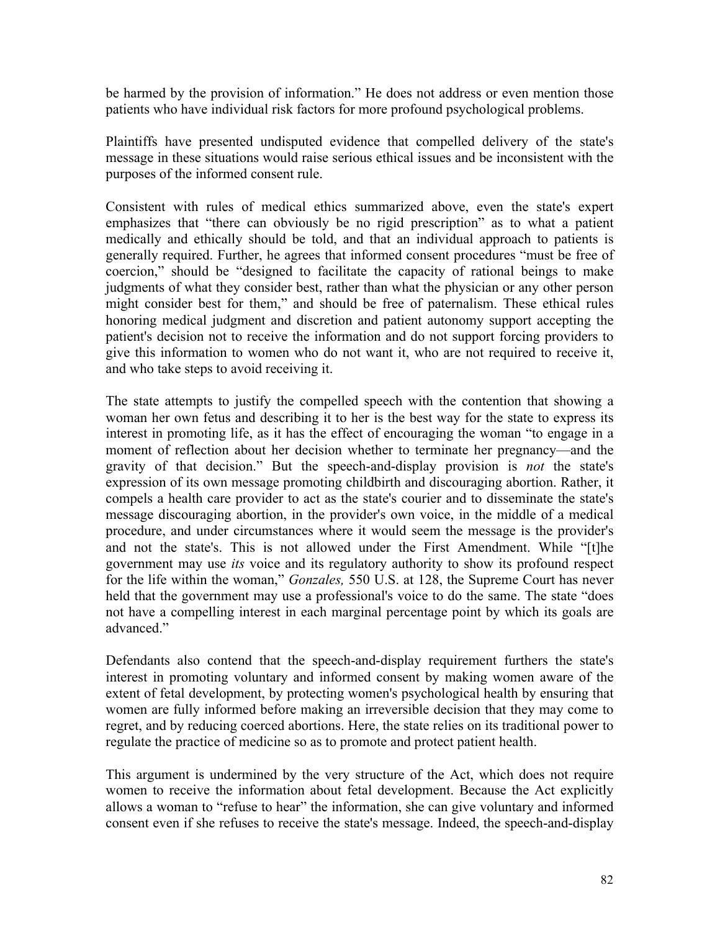be harmed by the provision of information." He does not address or even mention those patients who have individual risk factors for more profound psychological problems.

Plaintiffs have presented undisputed evidence that compelled delivery of the state's message in these situations would raise serious ethical issues and be inconsistent with the purposes of the informed consent rule.

Consistent with rules of medical ethics summarized above, even the state's expert emphasizes that "there can obviously be no rigid prescription" as to what a patient medically and ethically should be told, and that an individual approach to patients is generally required. Further, he agrees that informed consent procedures "must be free of coercion," should be "designed to facilitate the capacity of rational beings to make judgments of what they consider best, rather than what the physician or any other person might consider best for them," and should be free of paternalism. These ethical rules honoring medical judgment and discretion and patient autonomy support accepting the patient's decision not to receive the information and do not support forcing providers to give this information to women who do not want it, who are not required to receive it, and who take steps to avoid receiving it.

The state attempts to justify the compelled speech with the contention that showing a woman her own fetus and describing it to her is the best way for the state to express its interest in promoting life, as it has the effect of encouraging the woman "to engage in a moment of reflection about her decision whether to terminate her pregnancy—and the gravity of that decision." But the speech-and-display provision is *not* the state's expression of its own message promoting childbirth and discouraging abortion. Rather, it compels a health care provider to act as the state's courier and to disseminate the state's message discouraging abortion, in the provider's own voice, in the middle of a medical procedure, and under circumstances where it would seem the message is the provider's and not the state's. This is not allowed under the First Amendment. While "[t]he government may use *its* voice and its regulatory authority to show its profound respect for the life within the woman," *Gonzales,* 550 U.S. at 128, the Supreme Court has never held that the government may use a professional's voice to do the same. The state "does not have a compelling interest in each marginal percentage point by which its goals are advanced."

Defendants also contend that the speech-and-display requirement furthers the state's interest in promoting voluntary and informed consent by making women aware of the extent of fetal development, by protecting women's psychological health by ensuring that women are fully informed before making an irreversible decision that they may come to regret, and by reducing coerced abortions. Here, the state relies on its traditional power to regulate the practice of medicine so as to promote and protect patient health.

This argument is undermined by the very structure of the Act, which does not require women to receive the information about fetal development. Because the Act explicitly allows a woman to "refuse to hear" the information, she can give voluntary and informed consent even if she refuses to receive the state's message. Indeed, the speech-and-display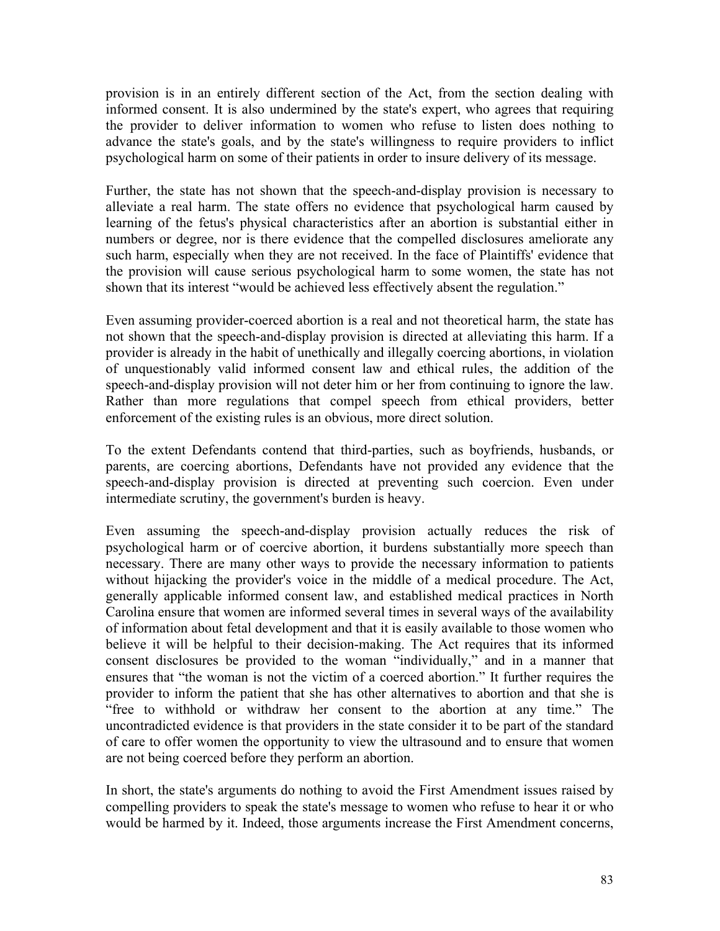provision is in an entirely different section of the Act, from the section dealing with informed consent. It is also undermined by the state's expert, who agrees that requiring the provider to deliver information to women who refuse to listen does nothing to advance the state's goals, and by the state's willingness to require providers to inflict psychological harm on some of their patients in order to insure delivery of its message.

Further, the state has not shown that the speech-and-display provision is necessary to alleviate a real harm. The state offers no evidence that psychological harm caused by learning of the fetus's physical characteristics after an abortion is substantial either in numbers or degree, nor is there evidence that the compelled disclosures ameliorate any such harm, especially when they are not received. In the face of Plaintiffs' evidence that the provision will cause serious psychological harm to some women, the state has not shown that its interest "would be achieved less effectively absent the regulation."

Even assuming provider-coerced abortion is a real and not theoretical harm, the state has not shown that the speech-and-display provision is directed at alleviating this harm. If a provider is already in the habit of unethically and illegally coercing abortions, in violation of unquestionably valid informed consent law and ethical rules, the addition of the speech-and-display provision will not deter him or her from continuing to ignore the law. Rather than more regulations that compel speech from ethical providers, better enforcement of the existing rules is an obvious, more direct solution.

To the extent Defendants contend that third-parties, such as boyfriends, husbands, or parents, are coercing abortions, Defendants have not provided any evidence that the speech-and-display provision is directed at preventing such coercion. Even under intermediate scrutiny, the government's burden is heavy.

Even assuming the speech-and-display provision actually reduces the risk of psychological harm or of coercive abortion, it burdens substantially more speech than necessary. There are many other ways to provide the necessary information to patients without hijacking the provider's voice in the middle of a medical procedure. The Act, generally applicable informed consent law, and established medical practices in North Carolina ensure that women are informed several times in several ways of the availability of information about fetal development and that it is easily available to those women who believe it will be helpful to their decision-making. The Act requires that its informed consent disclosures be provided to the woman "individually," and in a manner that ensures that "the woman is not the victim of a coerced abortion." It further requires the provider to inform the patient that she has other alternatives to abortion and that she is "free to withhold or withdraw her consent to the abortion at any time." The uncontradicted evidence is that providers in the state consider it to be part of the standard of care to offer women the opportunity to view the ultrasound and to ensure that women are not being coerced before they perform an abortion.

In short, the state's arguments do nothing to avoid the First Amendment issues raised by compelling providers to speak the state's message to women who refuse to hear it or who would be harmed by it. Indeed, those arguments increase the First Amendment concerns,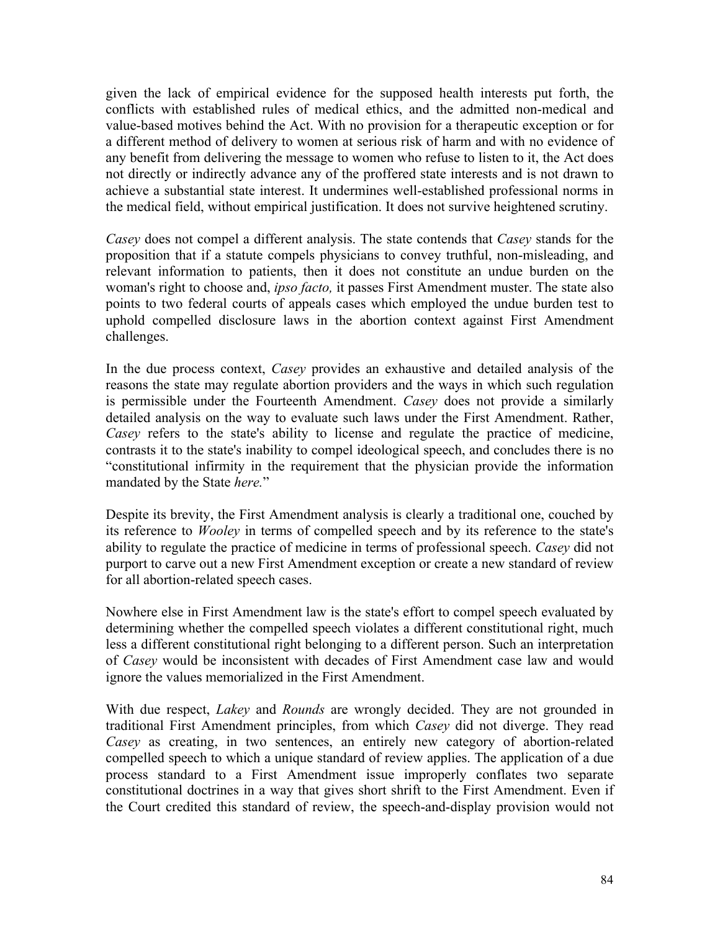given the lack of empirical evidence for the supposed health interests put forth, the conflicts with established rules of medical ethics, and the admitted non-medical and value-based motives behind the Act. With no provision for a therapeutic exception or for a different method of delivery to women at serious risk of harm and with no evidence of any benefit from delivering the message to women who refuse to listen to it, the Act does not directly or indirectly advance any of the proffered state interests and is not drawn to achieve a substantial state interest. It undermines well-established professional norms in the medical field, without empirical justification. It does not survive heightened scrutiny.

*Casey* does not compel a different analysis. The state contends that *Casey* stands for the proposition that if a statute compels physicians to convey truthful, non-misleading, and relevant information to patients, then it does not constitute an undue burden on the woman's right to choose and, *ipso facto,* it passes First Amendment muster. The state also points to two federal courts of appeals cases which employed the undue burden test to uphold compelled disclosure laws in the abortion context against First Amendment challenges.

In the due process context, *Casey* provides an exhaustive and detailed analysis of the reasons the state may regulate abortion providers and the ways in which such regulation is permissible under the Fourteenth Amendment. *Casey* does not provide a similarly detailed analysis on the way to evaluate such laws under the First Amendment. Rather, *Casey* refers to the state's ability to license and regulate the practice of medicine, contrasts it to the state's inability to compel ideological speech, and concludes there is no "constitutional infirmity in the requirement that the physician provide the information mandated by the State *here.*"

Despite its brevity, the First Amendment analysis is clearly a traditional one, couched by its reference to *Wooley* in terms of compelled speech and by its reference to the state's ability to regulate the practice of medicine in terms of professional speech. *Casey* did not purport to carve out a new First Amendment exception or create a new standard of review for all abortion-related speech cases.

Nowhere else in First Amendment law is the state's effort to compel speech evaluated by determining whether the compelled speech violates a different constitutional right, much less a different constitutional right belonging to a different person. Such an interpretation of *Casey* would be inconsistent with decades of First Amendment case law and would ignore the values memorialized in the First Amendment.

With due respect, *Lakey* and *Rounds* are wrongly decided. They are not grounded in traditional First Amendment principles, from which *Casey* did not diverge. They read *Casey* as creating, in two sentences, an entirely new category of abortion-related compelled speech to which a unique standard of review applies. The application of a due process standard to a First Amendment issue improperly conflates two separate constitutional doctrines in a way that gives short shrift to the First Amendment. Even if the Court credited this standard of review, the speech-and-display provision would not